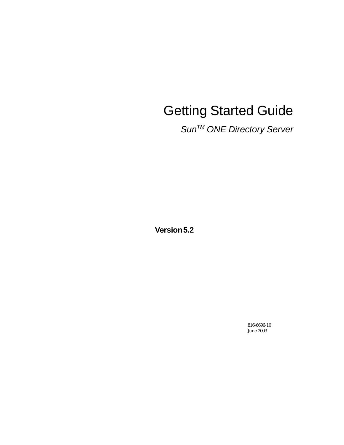# Getting Started Guide

Sun<sup>™</sup> ONE Directory Server

**Version 5.2**

816-6696-10 June 2003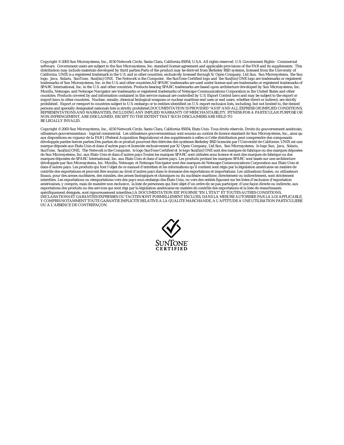Copyright © 2003 Sun Microsystems, Inc., 4150 Network Circle, Santa Clara, California 95054, U.S.A. All rights reserved. U.S. Government Rights - Commercial software. Government users are subject to the Sun Microsystems, Inc. standard license agreement and applicable provisions of the FAR and its supplements. This distribution may include materials developed by third parties.Parts of the product may be derived from Berkeley BSD systems, licensed from the University of California. UNIX is a registered trademark in the U.S. and in other countries, exclusively licensed through X/Open Company, Ltd.Sun, Sun Microsystems, the Sun logo, Java, Solaris, SunTone, Sun[tm] ONE, The Network is the Computer, the SunTone Certified logo and the Sun[tm] ONE logo are trademarks or registered trademarks of Sun Microsystems, Inc. in the U.S. and other countries.All SPARC trademarks are used under license and are trademarks or registered trademarks of SPARC International, Inc. in the U.S. and other countries. Products bearing SPARC trademarks are based upon architecture developed by Sun Microsystems, Inc. Mozilla, Netscape, and Netscape Navigator are trademarks or registered trademarks of Netscape Communications Corporation in the United States and other countries. Products covered by and information contained in this service manual are controlled by U.S. Export Control laws and may be subject to the export or import laws in other countries. Nuclear, missile, chemical biological weapons or nuclear maritime end uses or end users, whether direct or indirect, are strictly prohibited. Export or reexport to countries subject to U.S. embargo or to entities identified on U.S. export exclusion lists, including, but not limited to, the denied persons and specially designated nationals lists is strictly prohibited.DOCUMENTATION IS PROVIDED "AS IS" AND ALL EXPRESS OR IMPLIED CONDITIONS, REPRESENTATIONS AND WARRANTIES, INCLUDING ANY IMPLIED WARRANTY OF MERCHANTABILITY, FITNESS FOR A PARTICULAR PURPOSE OR NON-INFRINGEMENT, ARE DISCLAIMED, EXCEPT TO THE EXTENT THAT SUCH DISCLAIMERS ARE HELD TO BE LEGALLY INVALID.

Copyright © 2003 Sun Microsystems, Inc., 4150 Network Circle, Santa Clara, California 95054, Etats-Unis. Tous droits réservés. Droits du gouvernement américain, utlisateurs gouvernmentaux - logiciel commercial. Les utilisateurs gouvernmentaux sont soumis au contrat de licence standard de Sun Microsystems, Inc., ainsi qu aux dispositions en vigueur de la FAR [ (Federal Acquisition Regulations) et des suppléments à celles-ci.Cette distribution peut comprendre des composants développés pardes tierces parties.Des parties de ce produit pourront être dérivées des systèmes Berkeley BSD licenciés par l'Université de Californie. UNIX est une marque déposée aux Etats-Unis et dans d'autres pays et licenciée exclusivement par X/Open Company, Ltd.Sun, Sun Microsystems, le logo Sun, Java, Solaris, SunTone, Sun[tm] ONE, The Network is the Computer, le logo SunTone Certified et le logo Sun[tm] ONE sont des marques de fabrique ou des marques déposées de Sun Microsystems, Inc. aux Etats-Unis et dans d'autres pays.Toutes les marques SPARC sont utilisées sous licence et sont des marques de fabrique ou des marques déposées de SPARC International, Inc. aux Etats-Unis et dans d'autres pays. Les produits protant les marques SPARC sont basés sur une architecture développée par Sun Microsystems, Inc. Mozilla, Netscape, et Netscape Navigator sont des marques de Netscape Communications Corporation aux Etats-Unis et dans d'autres pays. Les produits qui font l'objet de ce manuel d'entretien et les informations qu'il contient sont régis par la législation américaine en matière de contrôle des exportations et peuvent être soumis au droit d'autres pays dans le domaine des exportations et importations. Les utilisations finales, ou utilisateurs finaux, pour des armes nucléaires, des missiles, des armes biologiques et chimiques ou du nucléaire maritime, directement ou indirectement, sont strictement interdites. Les exportations ou réexportations vers des pays sous embargo des États-Unis, ou vers des entités figurant sur les listes d'exclusion d'exportation américaines, y compris, mais de manière non exclusive, la liste de personnes qui font objet d'un ordre de ne pas participer, d'une façon directe ou indirecte, aux exportations des produits ou des services qui sont régi par la législation américaine en matière de contrôle des exportations et la liste de ressortissants spécifiquement désignés, sont rigoureusement interdites.LA DOCUMENTATION EST FOURNIE "EN L'ÉTAT" ET TOUTES AUTRES CONDITIONS, DECLARATIONS ET GARANTIES EXPRESSES OU TACITES SONT FORMELLEMENT EXCLUES, DANS LA MESURE AUTORISEE PAR LA LOI APPLICABLE, Y COMPRIS NOTAMMENT TOUTE GARANTIE IMPLICITE RELATIVE A LA QUALITE MARCHANDE, A L'APTITUDE A UNE UTILISATION PARTICULIERE OU A L'ABSENCE DE CONTREFAÇON.

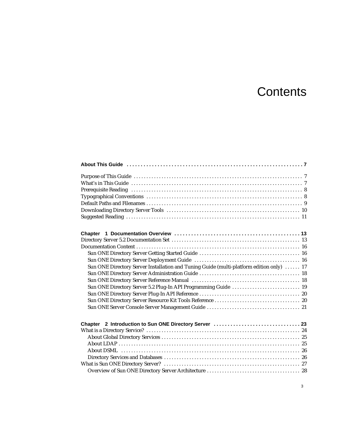# **Contents**

| Sun ONE Directory Server Installation and Tuning Guide (multi-platform edition only)  17 |  |
|------------------------------------------------------------------------------------------|--|
|                                                                                          |  |
|                                                                                          |  |
| Sun ONE Directory Server 5.2 Plug-In API Programming Guide  19                           |  |
|                                                                                          |  |
|                                                                                          |  |
|                                                                                          |  |
|                                                                                          |  |
|                                                                                          |  |
|                                                                                          |  |
|                                                                                          |  |
|                                                                                          |  |
|                                                                                          |  |
|                                                                                          |  |
|                                                                                          |  |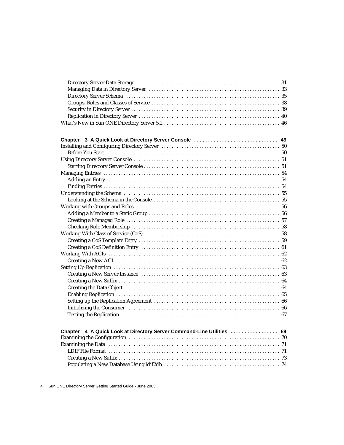| Chapter 3 A Quick Look at Directory Server Console  49                |  |
|-----------------------------------------------------------------------|--|
|                                                                       |  |
|                                                                       |  |
|                                                                       |  |
|                                                                       |  |
|                                                                       |  |
|                                                                       |  |
|                                                                       |  |
|                                                                       |  |
|                                                                       |  |
|                                                                       |  |
|                                                                       |  |
|                                                                       |  |
|                                                                       |  |
|                                                                       |  |
|                                                                       |  |
|                                                                       |  |
|                                                                       |  |
|                                                                       |  |
|                                                                       |  |
|                                                                       |  |
|                                                                       |  |
|                                                                       |  |
|                                                                       |  |
|                                                                       |  |
|                                                                       |  |
|                                                                       |  |
|                                                                       |  |
|                                                                       |  |
| Chapter 4 A Quick Look at Directory Server Command-Line Utilities  69 |  |
|                                                                       |  |
|                                                                       |  |
|                                                                       |  |
|                                                                       |  |
|                                                                       |  |

[Populating a New Database Using ldif2db . . . . . . . . . . . . . . . . . . . . . . . . . . . . . . . . . . . . . . . . . . . . . . 7](#page-73-0)4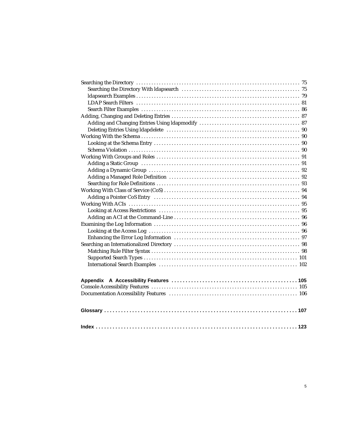**[Index . . . . . . . . . . . . . . . . . . . . . . . . . . . . . . . . . . . . . . . . . . . . . . . . . . . . . . . . . . . . . . . . . . . . . . . . 1](#page-122-0)23**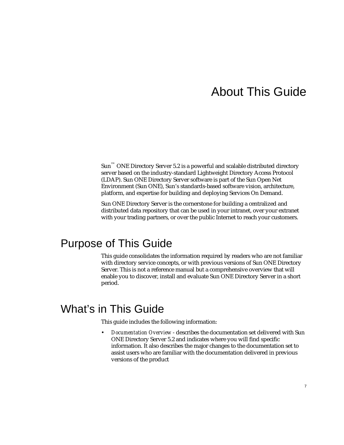# About This Guide

<span id="page-6-0"></span>Sun<sup>™</sup> ONE Directory Server 5.2 is a powerful and scalable distributed directory server based on the industry-standard Lightweight Directory Access Protocol (LDAP). Sun ONE Directory Server software is part of the Sun Open Net Environment (Sun ONE), Sun's standards-based software vision, architecture, platform, and expertise for building and deploying Services On Demand.

Sun ONE Directory Server is the cornerstone for building a centralized and distributed data repository that can be used in your intranet, over your extranet with your trading partners, or over the public Internet to reach your customers.

## <span id="page-6-1"></span>Purpose of This Guide

This guide consolidates the information required by readers who are not familiar with directory service concepts, or with previous versions of Sun ONE Directory Server. This is not a reference manual but a comprehensive overview that will enable you to discover, install and evaluate Sun ONE Directory Server in a short period.

## <span id="page-6-2"></span>What's in This Guide

This guide includes the following information:

• *[Documentation Overview](#page-12-3)* - describes the documentation set delivered with Sun ONE Directory Server 5.2 and indicates where you will find specific information. It also describes the major changes to the documentation set to assist users who are familiar with the documentation delivered in previous versions of the product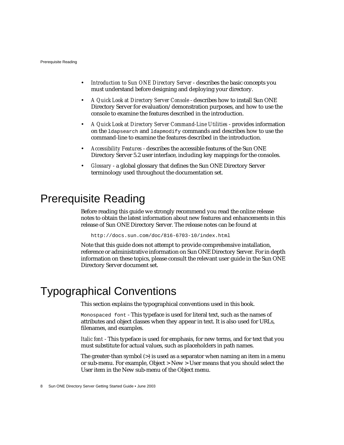- *[Introduction to Sun ONE Directory Server](#page-22-2)* describes the basic concepts you must understand before designing and deploying your directory.
- *[A Quick Look at Directory Server Console](#page-48-2)* describes how to install Sun ONE Directory Server for evaluation/demonstration purposes, and how to use the console to examine the features described in the introduction.
- *[A Quick Look at Directory Server Command-Line Utilities](#page-68-2)* provides information on the ldapsearch and ldapmodify commands and describes how to use the command-line to examine the features described in the introduction.
- *[Accessibility Features](#page-104-3)* describes the accessible features of the Sun ONE Directory Server 5.2 user interface, including key mappings for the consoles.
- *[Glossary](#page-106-1)* a global glossary that defines the Sun ONE Directory Server terminology used throughout the documentation set.

## <span id="page-7-0"></span>Prerequisite Reading

Before reading this guide we strongly recommend you read the online release notes to obtain the latest information about new features and enhancements in this release of Sun ONE Directory Server. The release notes can be found at

http://docs.sun.com/doc/816-6703-10/index.html

Note that this guide does not attempt to provide comprehensive installation, reference or administrative information on Sun ONE Directory Server. For in depth information on these topics, please consult the relevant user guide in the Sun ONE Directory Server document set.

## <span id="page-7-1"></span>Typographical Conventions

This section explains the typographical conventions used in this book.

Monospaced font - This typeface is used for literal text, such as the names of attributes and object classes when they appear in text. It is also used for URLs, filenames, and examples.

*Italic font* - This typeface is used for emphasis, for new terms, and for text that you must substitute for actual values, such as placeholders in path names.

The greater-than symbol (>) is used as a separator when naming an item in a menu or sub-menu. For example, Object > New > User means that you should select the User item in the New sub-menu of the Object menu.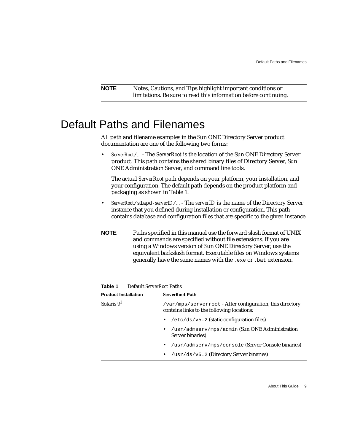**NOTE** Notes, Cautions, and Tips highlight important conditions or limitations. Be sure to read this information before continuing.

## <span id="page-8-0"></span>Default Paths and Filenames

All path and filename examples in the Sun ONE Directory Server product documentation are one of the following two forms:

• *ServerRoot*/*...* - The *ServerRoot* is the location of the Sun ONE Directory Server product. This path contains the shared binary files of Directory Server, Sun ONE Administration Server, and command line tools.

The actual *ServerRoot* path depends on your platform, your installation, and your configuration. The default path depends on the product platform and packaging as shown in [Table 1](#page-8-1).

- *ServerRoot*/slapd-*serverID*/*...* The *serverID* is the name of the Directory Server instance that you defined during installation or configuration. This path contains database and configuration files that are specific to the given instance.
- **NOTE** Paths specified in this manual use the forward slash format of UNIX and commands are specified without file extensions. If you are using a Windows version of Sun ONE Directory Server, use the equivalent backslash format. Executable files on Windows systems generally have the same names with the .exe or .bat extension.

<span id="page-8-1"></span>

| <b>Product Installation</b> | ServerRoot Path                                                                                         |
|-----------------------------|---------------------------------------------------------------------------------------------------------|
| Solaris $91$                | /var/mps/serverroot - After configuration, this directory<br>contains links to the following locations: |
|                             | • /etc/ds/v5.2 (static configuration files)                                                             |
|                             | $\frac{1}{100}$ / usr/admserv/mps/admin (Sun ONE Administration<br>$\bullet$<br>Server binaries)        |
|                             | /usr/admserv/mps/console (Server Console binaries)<br>$\bullet$                                         |
|                             | /usr/ds/v5.2 (Directory Server binaries)                                                                |

**Table 1** Default *ServerRoot* Paths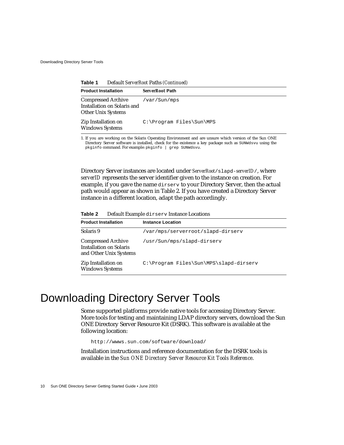| <b>Product Installation</b>                                                           | ServerRoot Path          |
|---------------------------------------------------------------------------------------|--------------------------|
| <b>Compressed Archive</b><br>Installation on Solaris and<br><b>Other Unix Systems</b> | /var/Sun/mps             |
| Zip Installation on<br><b>Windows Systems</b>                                         | C:\Program Files\Sun\MPS |

**Table 1** Default *ServerRoot* Paths *(Continued)*

1. If you are working on the Solaris Operating Environment and are unsure which version of the Sun ONE Directory Server software is installed, check for the existence a key package such as SUNWdsvu using the pkginfo command. For example: pkginfo | grep SUNWdsvu.

Directory Server instances are located under *ServerRoot*/slapd-*serverID*/, where *serverID* represents the server identifier given to the instance on creation. For example, if you gave the name dirserv to your Directory Server, then the actual path would appear as shown in [Table 2](#page-9-1). If you have created a Directory Server instance in a different location, adapt the path accordingly.

**Table 2** Default Example dirserv Instance Locations

<span id="page-9-1"></span>

| <b>Product Installation</b>                                                           | <b>Instance Location</b>               |
|---------------------------------------------------------------------------------------|----------------------------------------|
| Solaris 9                                                                             | /var/mps/serverroot/slapd-dirserv      |
| <b>Compressed Archive</b><br><b>Installation on Solaris</b><br>and Other Unix Systems | /usr/Sun/mps/slapd-dirserv             |
| Zip Installation on<br><b>Windows Systems</b>                                         | C:\Program Files\Sun\MPS\slapd-dirserv |

### <span id="page-9-0"></span>Downloading Directory Server Tools

Some supported platforms provide native tools for accessing Directory Server. More tools for testing and maintaining LDAP directory servers, download the Sun ONE Directory Server Resource Kit (DSRK). This software is available at the following location:

http://wwws.sun.com/software/download/

Installation instructions and reference documentation for the DSRK tools is available in the *Sun ONE Directory Server Resource Kit Tools Reference*.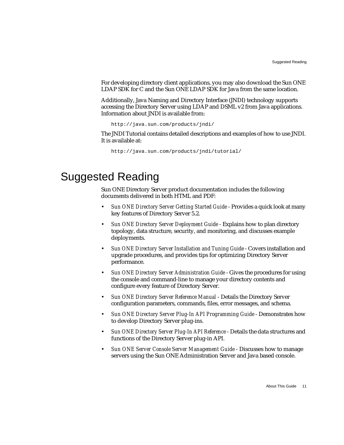For developing directory client applications, you may also download the Sun ONE LDAP SDK for C and the Sun ONE LDAP SDK for Java from the same location.

Additionally, Java Naming and Directory Interface (JNDI) technology supports accessing the Directory Server using LDAP and DSML v2 from Java applications. Information about JNDI is available from:

http://java.sun.com/products/jndi/

The JNDI Tutorial contains detailed descriptions and examples of how to use JNDI. It is available at:

http://java.sun.com/products/jndi/tutorial/

### <span id="page-10-0"></span>Suggested Reading

Sun ONE Directory Server product documentation includes the following documents delivered in both HTML and PDF:

- *Sun ONE Directory Server Getting Started Guide* Provides a quick look at many key features of Directory Server 5.2.
- *Sun ONE Directory Server Deployment Guide* Explains how to plan directory topology, data structure, security, and monitoring, and discusses example deployments.
- *Sun ONE Directory Server Installation and Tuning Guide* Covers installation and upgrade procedures, and provides tips for optimizing Directory Server performance.
- *Sun ONE Directory Server Administration Guide* Gives the procedures for using the console and command-line to manage your directory contents and configure every feature of Directory Server.
- *Sun ONE Directory Server Reference Manual* Details the Directory Server configuration parameters, commands, files, error messages, and schema.
- *Sun ONE Directory Server Plug-In API Programming Guide* Demonstrates how to develop Directory Server plug-ins.
- *Sun ONE Directory Server Plug-In API Reference* Details the data structures and functions of the Directory Server plug-in API.
- *Sun ONE Server Console Server Management Guide* Discusses how to manage servers using the Sun ONE Administration Server and Java based console.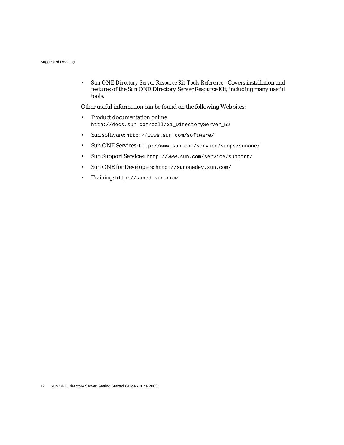• *Sun ONE Directory Server Resource Kit Tools Reference* - Covers installation and features of the Sun ONE Directory Server Resource Kit, including many useful tools.

Other useful information can be found on the following Web sites:

- Product documentation online: http://docs.sun.com/coll/S1\_DirectoryServer\_52
- Sun software: http://wwws.sun.com/software/
- Sun ONE Services: http://www.sun.com/service/sunps/sunone/
- Sun Support Services: http://www.sun.com/service/support/
- Sun ONE for Developers: http://sunonedev.sun.com/
- Training: http://suned.sun.com/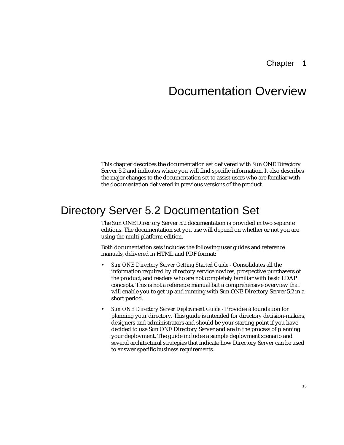# <span id="page-12-3"></span>Documentation Overview

<span id="page-12-1"></span><span id="page-12-0"></span>This chapter describes the documentation set delivered with Sun ONE Directory Server 5.2 and indicates where you will find specific information. It also describes the major changes to the documentation set to assist users who are familiar with the documentation delivered in previous versions of the product.

## <span id="page-12-2"></span>Directory Server 5.2 Documentation Set

The Sun ONE Directory Server 5.2 documentation is provided in two separate editions. The documentation set you use will depend on whether or not you are using the multi-platform edition.

Both documentation sets includes the following user guides and reference manuals, delivered in HTML and PDF format:

- *Sun ONE Directory Server Getting Started Guide* Consolidates all the information required by directory service novices, prospective purchasers of the product, and readers who are not completely familiar with basic LDAP concepts. This is not a reference manual but a comprehensive overview that will enable you to get up and running with Sun ONE Directory Server 5.2 in a short period.
- *Sun ONE Directory Server Deployment Guide*  Provides a foundation for planning your directory. This guide is intended for directory decision-makers, designers and administrators and should be your starting point if you have decided to use Sun ONE Directory Server and are in the process of planning your deployment. The guide includes a sample deployment scenario and several architectural strategies that indicate how Directory Server can be used to answer specific business requirements.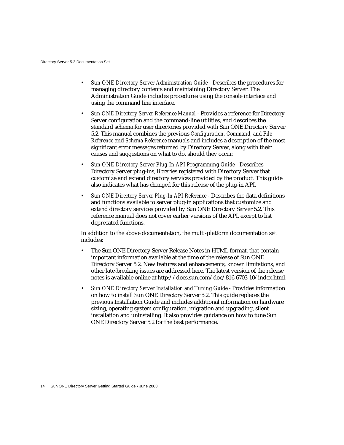- *Sun ONE Directory Server Administration Guide*  Describes the procedures for managing directory contents and maintaining Directory Server. The Administration Guide includes procedures using the console interface and using the command line interface.
- Sun ONE Directory Server Reference Manual Provides a reference for Directory Server configuration and the command-line utilities, and describes the standard schema for user directories provided with Sun ONE Directory Server 5.2. This manual combines the previous *Configuration, Command, and File Reference* and *Schema Reference* manuals and includes a description of the most significant error messages returned by Directory Server, along with their causes and suggestions on what to do, should they occur.
- Sun ONE Directory Server Plug-In API Programming Guide Describes Directory Server plug-ins, libraries registered with Directory Server that customize and extend directory services provided by the product. This guide also indicates what has changed for this release of the plug-in API.
- *Sun ONE Directory Server Plug-In API Reference*  Describes the data definitions and functions available to server plug-in applications that customize and extend directory services provided by Sun ONE Directory Server 5.2. This reference manual does not cover earlier versions of the API, except to list deprecated functions.

In addition to the above documentation, the multi-platform documentation set includes:

- The Sun ONE Directory Server Release Notes in HTML format, that contain important information available at the time of the release of Sun ONE Directory Server 5.2. New features and enhancements, known limitations, and other late-breaking issues are addressed here. The latest version of the release notes is available online at http://docs.sun.com/doc/816-6703-10/index.html.
- *Sun ONE Directory Server Installation and Tuning Guide* Provides information on how to install Sun ONE Directory Server 5.2. This guide replaces the previous Installation Guide and includes additional information on hardware sizing, operating system configuration, migration and upgrading, silent installation and uninstalling. It also provides guidance on how to tune Sun ONE Directory Server 5.2 for the best performance.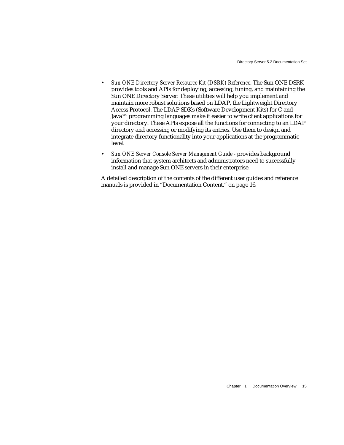- *Sun ONE Directory Server Resource Kit (DSRK) Reference*. The Sun ONE DSRK provides tools and APIs for deploying, accessing, tuning, and maintaining the Sun ONE Directory Server. These utilities will help you implement and maintain more robust solutions based on LDAP, the Lightweight Directory Access Protocol. The LDAP SDKs (Software Development Kits) for C and Java™ programming languages make it easier to write client applications for your directory. These APIs expose all the functions for connecting to an LDAP directory and accessing or modifying its entries. Use them to design and integrate directory functionality into your applications at the programmatic level.
- *Sun ONE Server Console Server Managment Guide* provides background information that system architects and administrators need to successfully install and manage Sun ONE servers in their enterprise.

A detailed description of the contents of the different user guides and reference manuals is provided in ["Documentation Content," on page 16.](#page-15-0)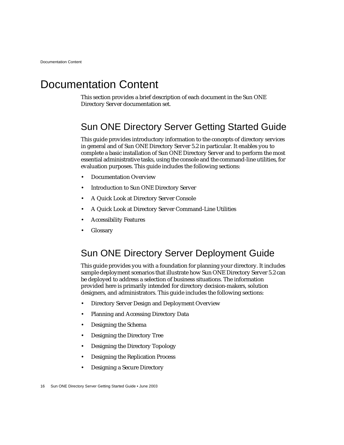## <span id="page-15-0"></span>Documentation Content

This section provides a brief description of each document in the Sun ONE Directory Server documentation set.

## <span id="page-15-1"></span>Sun ONE Directory Server Getting Started Guide

This guide provides introductory information to the concepts of directory services in general and of Sun ONE Directory Server 5.2 in particular. It enables you to complete a basic installation of Sun ONE Directory Server and to perform the most essential administrative tasks, using the console and the command-line utilities, for evaluation purposes. This guide includes the following sections:

- Documentation Overview
- Introduction to Sun ONE Directory Server
- A Quick Look at Directory Server Console
- A Quick Look at Directory Server Command-Line Utilities
- Accessibility Features
- Glossary

## <span id="page-15-2"></span>Sun ONE Directory Server Deployment Guide

This guide provides you with a foundation for planning your directory. It includes sample deployment scenarios that illustrate how Sun ONE Directory Server 5.2 can be deployed to address a selection of business situations. The information provided here is primarily intended for directory decision-makers, solution designers, and administrators. This guide includes the following sections:

- Directory Server Design and Deployment Overview
- Planning and Accessing Directory Data
- Designing the Schema
- Designing the Directory Tree
- Designing the Directory Topology
- Designing the Replication Process
- Designing a Secure Directory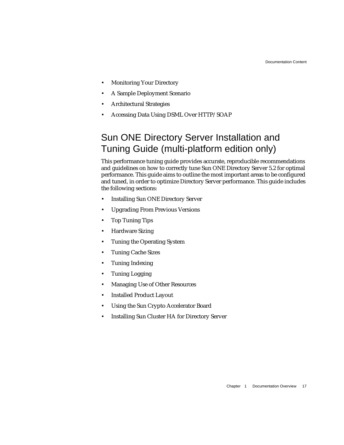- Monitoring Your Directory
- A Sample Deployment Scenario
- Architectural Strategies
- Accessing Data Using DSML Over HTTP/SOAP

## <span id="page-16-0"></span>Sun ONE Directory Server Installation and Tuning Guide (multi-platform edition only)

This performance tuning guide provides accurate, reproducible recommendations and guidelines on how to correctly tune Sun ONE Directory Server 5.2 for optimal performance. This guide aims to outline the most important areas to be configured and tuned, in order to optimize Directory Server performance. This guide includes the following sections:

- Installing Sun ONE Directory Server
- Upgrading From Previous Versions
- Top Tuning Tips
- Hardware Sizing
- Tuning the Operating System
- Tuning Cache Sizes
- Tuning Indexing
- Tuning Logging
- Managing Use of Other Resources
- Installed Product Layout
- Using the Sun Crypto Accelerator Board
- Installing Sun Cluster HA for Directory Server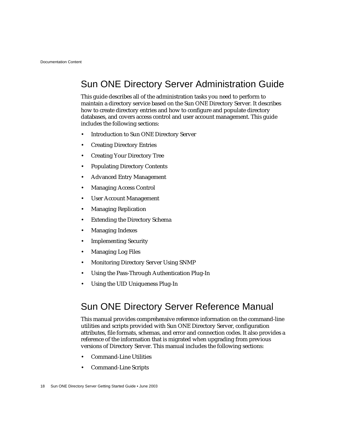## <span id="page-17-0"></span>Sun ONE Directory Server Administration Guide

This guide describes all of the administration tasks you need to perform to maintain a directory service based on the Sun ONE Directory Server. It describes how to create directory entries and how to configure and populate directory databases, and covers access control and user account management. This guide includes the following sections:

- Introduction to Sun ONE Directory Server
- Creating Directory Entries
- Creating Your Directory Tree
- Populating Directory Contents
- Advanced Entry Management
- Managing Access Control
- User Account Management
- Managing Replication
- Extending the Directory Schema
- Managing Indexes
- Implementing Security
- Managing Log Files
- Monitoring Directory Server Using SNMP
- Using the Pass-Through Authentication Plug-In
- Using the UID Uniqueness Plug-In

## <span id="page-17-1"></span>Sun ONE Directory Server Reference Manual

This manual provides comprehensive reference information on the command-line utilities and scripts provided with Sun ONE Directory Server, configuration attributes, file formats, schemas, and error and connection codes. It also provides a reference of the information that is migrated when upgrading from previous versions of Directory Server. This manual includes the following sections:

- Command-Line Utilities
- Command-Line Scripts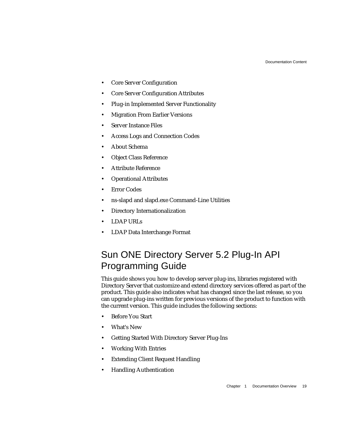- Core Server Configuration
- Core Server Configuration Attributes
- Plug-in Implemented Server Functionality
- Migration From Earlier Versions
- Server Instance Files
- Access Logs and Connection Codes
- About Schema
- Object Class Reference
- Attribute Reference
- Operational Attributes
- Error Codes
- ns-slapd and slapd.exe Command-Line Utilities
- Directory Internationalization
- LDAP URLs
- LDAP Data Interchange Format

## <span id="page-18-0"></span>Sun ONE Directory Server 5.2 Plug-In API Programming Guide

This guide shows you how to develop server plug-ins, libraries registered with Directory Server that customize and extend directory services offered as part of the product. This guide also indicates what has changed since the last release, so you can upgrade plug-ins written for previous versions of the product to function with the current version. This guide includes the following sections:

- Before You Start
- What's New
- Getting Started With Directory Server Plug-Ins
- Working With Entries
- Extending Client Request Handling
- Handling Authentication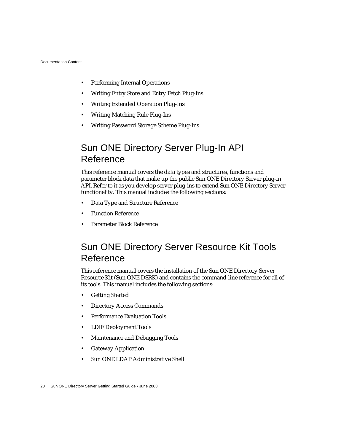- Performing Internal Operations
- Writing Entry Store and Entry Fetch Plug-Ins
- Writing Extended Operation Plug-Ins
- Writing Matching Rule Plug-Ins
- Writing Password Storage Scheme Plug-Ins

## <span id="page-19-0"></span>Sun ONE Directory Server Plug-In API Reference

This reference manual covers the data types and structures, functions and parameter block data that make up the public Sun ONE Directory Server plug-in API. Refer to it as you develop server plug-ins to extend Sun ONE Directory Server functionality. This manual includes the following sections:

- Data Type and Structure Reference
- Function Reference
- Parameter Block Reference

## <span id="page-19-1"></span>Sun ONE Directory Server Resource Kit Tools Reference

This reference manual covers the installation of the Sun ONE Directory Server Resource Kit (Sun ONE DSRK) and contains the command-line reference for all of its tools. This manual includes the following sections:

- Getting Started
- Directory Access Commands
- Performance Evaluation Tools
- LDIF Deployment Tools
- Maintenance and Debugging Tools
- Gateway Application
- Sun ONE LDAP Administrative Shell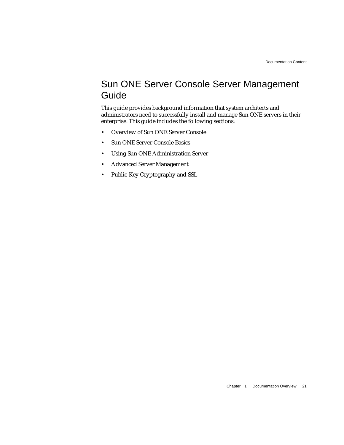### <span id="page-20-0"></span>Sun ONE Server Console Server Management Guide

This guide provides background information that system architects and administrators need to successfully install and manage Sun ONE servers in their enterprise. This guide includes the following sections:

- Overview of Sun ONE Server Console
- Sun ONE Server Console Basics
- Using Sun ONE Administration Server
- Advanced Server Management
- Public-Key Cryptography and SSL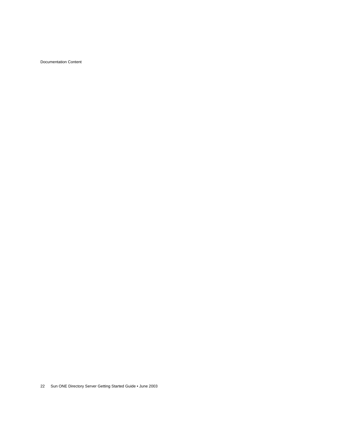Documentation Content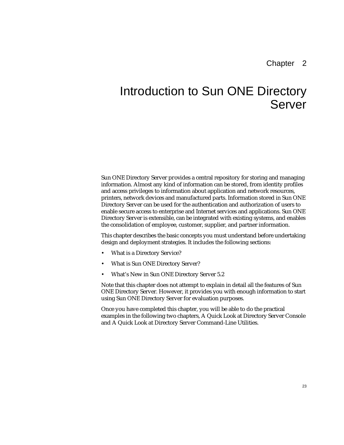# <span id="page-22-2"></span><span id="page-22-1"></span><span id="page-22-0"></span>Introduction to Sun ONE Directory Server

Sun ONE Directory Server provides a central repository for storing and managing information. Almost any kind of information can be stored, from identity profiles and access privileges to information about application and network resources, printers, network devices and manufactured parts. Information stored in Sun ONE Directory Server can be used for the authentication and authorization of users to enable secure access to enterprise and Internet services and applications. Sun ONE Directory Server is extensible, can be integrated with existing systems, and enables the consolidation of employee, customer, supplier, and partner information.

This chapter describes the basic concepts you must understand before undertaking design and deployment strategies. It includes the following sections:

- • [What is a Directory Service?](#page-23-0)
- • [What is Sun ONE Directory Server?](#page-26-0)
- • [What's New in Sun ONE Directory Server 5.2](#page-45-0)

Note that this chapter does not attempt to explain in detail all the features of Sun ONE Directory Server. However, it provides you with enough information to start using Sun ONE Directory Server for evaluation purposes.

Once you have completed this chapter, you will be able to do the practical examples in the following two chapters, [A Quick Look at Directory Server Console](#page-48-2)  and [A Quick Look at Directory Server Command-Line Utilities.](#page-68-2)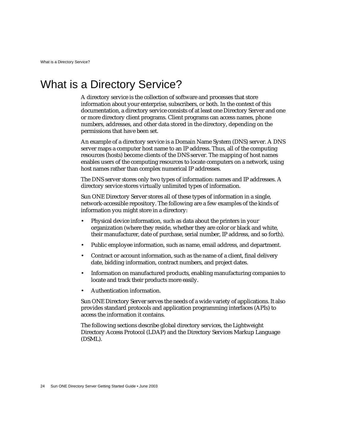## <span id="page-23-0"></span>What is a Directory Service?

A [directory service](#page-111-0) is the collection of software and processes that store information about your enterprise, subscribers, or both. In the context of this documentation, a directory service consists of at least one Directory Server and one or more directory client programs. Client programs can access names, phone numbers, addresses, and other data stored in the directory, depending on the permissions that have been set.

An example of a directory service is a Domain Name System (DNS) server. A [DNS](#page-111-1)  server maps a computer host name to an IP address. Thus, all of the computing resources (hosts) become clients of the DNS server. The mapping of host names enables users of the computing resources to locate computers on a network, using host names rather than complex numerical IP addresses.

The DNS server stores only two types of information: names and IP addresses. A directory service stores virtually unlimited types of information.

Sun ONE Directory Server stores all of these types of information in a single, network-accessible repository. The following are a few examples of the kinds of information you might store in a directory:

- Physical device information, such as data about the printers in your organization (where they reside, whether they are color or black and white, their manufacturer, date of purchase, serial number, IP address, and so forth).
- Public employee information, such as name, email address, and department.
- Contract or account information, such as the name of a client, final delivery date, bidding information, contract numbers, and project dates.
- Information on manufactured products, enabling manufacturing companies to locate and track their products more easily.
- Authentication information.

Sun ONE Directory Server serves the needs of a wide variety of applications. It also provides standard protocols and application programming interfaces (APIs) to access the information it contains.

The following sections describe global directory services, the Lightweight Directory Access Protocol ([LDAP](#page-113-0)) and the Directory Services Markup Language (DSML).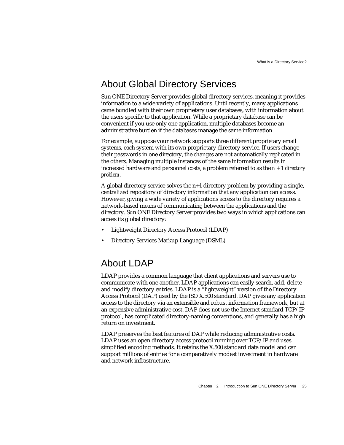### <span id="page-24-0"></span>About Global Directory Services

Sun ONE Directory Server provides global directory services, meaning it provides information to a wide variety of applications. Until recently, many applications came bundled with their own proprietary user databases, with information about the users specific to that application. While a proprietary database can be convenient if you use only one application, multiple databases become an administrative burden if the databases manage the same information.

For example, suppose your network supports three different proprietary email systems, each system with its own proprietary directory service. If users change their passwords in one directory, the changes are not automatically replicated in the others. Managing multiple instances of the same information results in increased hardware and personnel costs, a problem referred to as the *[n + 1 directory](#page-114-0)  [problem](#page-114-0)*.

A global directory service solves the n+1 directory problem by providing a single, centralized repository of directory information that any application can access. However, giving a wide variety of applications access to the directory requires a network-based means of communicating between the applications and the directory. Sun ONE Directory Server provides two ways in which applications can access its global directory:

- Lightweight Directory Access Protocol (LDAP)
- Directory Services Markup Language (DSML)

### <span id="page-24-1"></span>About LDAP

[LDAP](#page-113-0) provides a common language that client applications and servers use to communicate with one another. LDAP applications can easily search, add, delete and modify directory entries. LDAP is a "lightweight" version of the Directory Access Protocol ([DAP\)](#page-110-0) used by the ISO X.500 standard. DAP gives any application access to the directory via an extensible and robust information framework, but at an expensive administrative cost. DAP does not use the Internet standard [TCP/IP](#page-120-0)  protocol, has complicated directory-naming conventions, and generally has a high return on investment.

LDAP preserves the best features of DAP while reducing administrative costs. LDAP uses an open directory access protocol running over TCP/IP and uses simplified encoding methods. It retains the [X.500 standard](#page-121-0) data model and can support millions of entries for a comparatively modest investment in hardware and network infrastructure.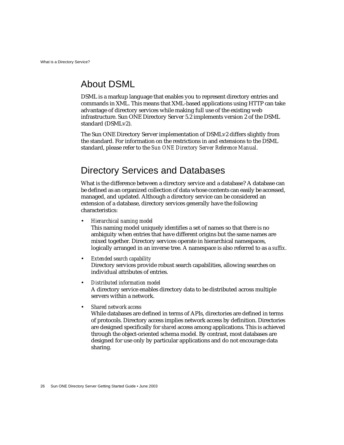## <span id="page-25-0"></span>About DSML

DSML is a markup language that enables you to represent directory entries and commands in XML. This means that XML-based applications using HTTP can take advantage of directory services while making full use of the existing web infrastructure. Sun ONE Directory Server 5.2 implements version 2 of the DSML standard (DSMLv2).

The Sun ONE Directory Server implementation of DSMLv2 differs slightly from the standard. For information on the restrictions in and extensions to the DSML standard, please refer to the *Sun ONE Directory Server Reference Manual*.

## <span id="page-25-1"></span>Directory Services and Databases

What is the difference between a directory service and a database? A database can be defined as an organized collection of data whose contents can easily be accessed, managed, and updated. Although a directory service can be considered an extension of a database, directory services generally have the following characteristics:

• *Hierarchical naming model*

This naming model uniquely identifies a set of names so that there is no ambiguity when entries that have different origins but the same names are mixed together. Directory services operate in hierarchical namespaces, logically arranged in an inverse tree. A namespace is also referred to as a *suffix*.

- *Extended search capability* Directory services provide robust search capabilities, allowing searches on individual attributes of entries.
- *Distributed information model* A directory service enables directory data to be distributed across multiple servers within a network.
- *Shared network access*

While databases are defined in terms of APIs, directories are defined in terms of protocols. Directory access implies network access by definition. Directories are designed specifically for *shared* access among applications. This is achieved through the object-oriented schema model. By contrast, most databases are designed for use only by particular applications and do not encourage data sharing.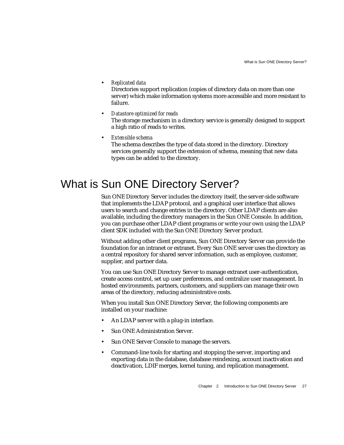• *Replicated data*

Directories support replication (copies of directory data on more than one server) which make information systems more accessible and more resistant to failure.

- *Datastore optimized for reads* The storage mechanism in a directory service is generally designed to support a high ratio of reads to writes.
- *Extensible schema*

The schema describes the type of data stored in the directory. Directory services generally support the extension of schema, meaning that new data types can be added to the directory.

## <span id="page-26-0"></span>What is Sun ONE Directory Server?

Sun ONE Directory Server includes the directory itself, the server-side software that implements the LDAP protocol, and a graphical user interface that allows users to search and change entries in the directory. Other LDAP clients are also available, including the directory managers in the Sun ONE Console. In addition, you can purchase other LDAP client programs or write your own using the LDAP client SDK included with the Sun ONE Directory Server product.

Without adding other client programs, Sun ONE Directory Server can provide the foundation for an intranet or extranet. Every Sun ONE server uses the directory as a central repository for shared server information, such as employee, customer, supplier, and partner data.

You can use Sun ONE Directory Server to manage extranet user-authentication, create access control, set up user preferences, and centralize user management. In hosted environments, partners, customers, and suppliers can manage their own areas of the directory, reducing administrative costs.

When you install Sun ONE Directory Server, the following components are installed on your machine:

- An LDAP server with a plug-in interface.
- Sun ONE Administration Server.
- Sun ONE Server Console to manage the servers.
- Command-line tools for starting and stopping the server, importing and exporting data in the database, database reindexing, account inactivation and deactivation, LDIF merges, kernel tuning, and replication management.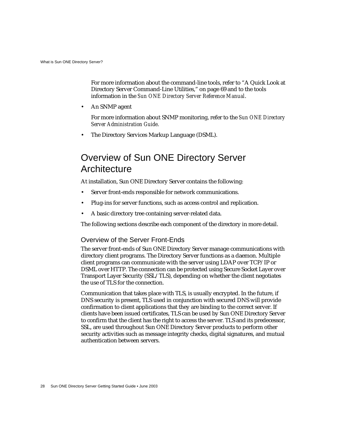For more information about the command-line tools, refer to["A Quick Look at](#page-68-2)  [Directory Server Command-Line Utilities," on page 69](#page-68-2) and to the tools information in the *Sun ONE Directory Server Reference Manual*.

• An SNMP agent

For more information about SNMP monitoring, refer to the *Sun ONE Directory Server Administration Guide*.

• The Directory Services Markup Language (DSML).

## <span id="page-27-0"></span>Overview of Sun ONE Directory Server **Architecture**

At installation, Sun ONE Directory Server contains the following:

- Server front-ends responsible for network communications.
- Plug-ins for server functions, such as access control and replication.
- A basic directory tree containing server-related data.

The following sections describe each component of the directory in more detail.

### Overview of the Server Front-Ends

The server front-ends of Sun ONE Directory Server manage communications with directory client programs. The Directory Server functions as a daemon. Multiple client programs can communicate with the server using LDAP over TCP/IP or DSML over HTTP. The connection can be protected using Secure Socket Layer over Transport Layer Security (SSL/TLS), depending on whether the client negotiates the use of TLS for the connection.

Communication that takes place with TLS, is usually encrypted. In the future, if DNS security is present, TLS used in conjunction with secured DNS will provide confirmation to client applications that they are binding to the correct server. If clients have been issued certificates, TLS can be used by Sun ONE Directory Server to confirm that the client has the right to access the server. TLS and its predecessor, SSL, are used throughout Sun ONE Directory Server products to perform other security activities such as message integrity checks, digital signatures, and mutual authentication between servers.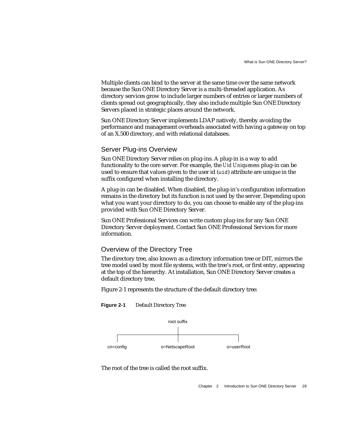Multiple clients can bind to the server at the same time over the same network because the Sun ONE Directory Server is a multi-threaded application. As directory services grow to include larger numbers of entries or larger numbers of clients spread out geographically, they also include multiple Sun ONE Directory Servers placed in strategic places around the network.

Sun ONE Directory Server implements LDAP natively, thereby avoiding the performance and management overheads associated with having a gateway on top of an X.500 directory, and with relational databases.

#### Server Plug-ins Overview

Sun ONE Directory Server relies on plug-ins. A plug-in is a way to add functionality to the core server. For example, the *Uid Uniqueness* plug-in can be used to ensure that values given to the user id (uid) attribute are unique in the suffix configured when installing the directory.

A plug-in can be disabled. When disabled, the plug-in's configuration information remains in the directory but its function is not used by the server. Depending upon what you want your directory to do, you can choose to enable any of the plug-ins provided with Sun ONE Directory Server.

Sun ONE Professional Services can write custom plug-ins for any Sun ONE Directory Server deployment. Contact Sun ONE Professional Services for more information.

#### Overview of the Directory Tree

The directory tree, also known as a directory information tree or DIT, mirrors the tree model used by most file systems, with the tree's root, or first entry, appearing at the top of the hierarchy. At installation, Sun ONE Directory Server creates a default directory tree.

[Figure 2-1](#page-28-0) represents the structure of the default directory tree:

<span id="page-28-0"></span>**Figure 2-1** Default Directory Tree



The root of the tree is called the root suffix.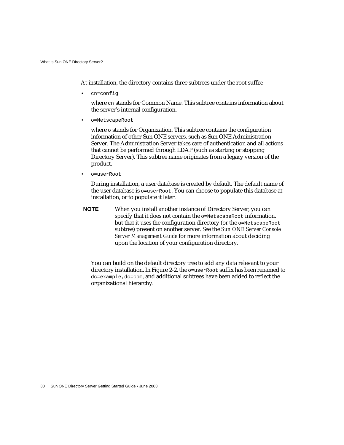At installation, the directory contains three subtrees under the root suffix:

• cn=config

where cn stands for Common Name. This subtree contains information about the server's internal configuration.

• o=NetscapeRoot

where o stands for Organization. This subtree contains the configuration information of other Sun ONE servers, such as Sun ONE Administration Server. The Administration Server takes care of authentication and all actions that cannot be performed through LDAP (such as starting or stopping Directory Server). This subtree name originates from a legacy version of the product.

• o=userRoot

During installation, a user database is created by default. The default name of the user database is o=userRoot. You can choose to populate this database at installation, or to populate it later.

**NOTE** When you install another instance of Directory Server, you can specify that it does not contain the o=NetscapeRoot information, but that it uses the configuration directory (or the o=NetscapeRoot subtree) present on another server. See the *Sun ONE Server Console Server Management Guide* for more information about deciding upon the location of your configuration directory.

You can build on the default directory tree to add any data relevant to your directory installation. In [Figure 2-2](#page-30-1), the  $\circ$ =userRoot suffix has been renamed to dc=example,dc=com, and additional subtrees have been added to reflect the organizational hierarchy.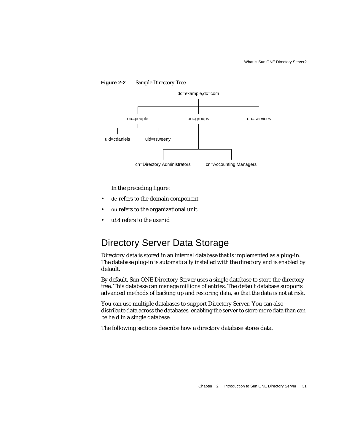#### **Figure 2-2** Sample Directory Tree

<span id="page-30-1"></span>

In the preceding figure:

- dc refers to the domain component
- ou refers to the organizational unit
- uid refers to the user id

### <span id="page-30-0"></span>Directory Server Data Storage

Directory data is stored in an internal database that is implemented as a plug-in. The database plug-in is automatically installed with the directory and is enabled by default.

By default, Sun ONE Directory Server uses a single database to store the directory tree. This database can manage millions of entries. The default database supports advanced methods of backing up and restoring data, so that the data is not at risk.

You can use multiple databases to support Directory Server. You can also distribute data across the databases, enabling the server to store more data than can be held in a single database.

The following sections describe how a directory database stores data.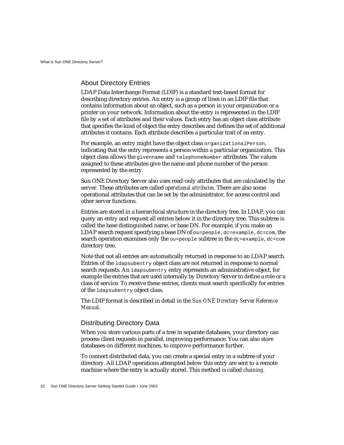### About Directory Entries

LDAP Data Interchange Format (LDIF) is a standard text-based format for describing directory entries. An entry is a group of lines in an LDIF file that contains information about an object, such as a person in your organization or a printer on your network. Information about the entry is represented in the LDIF file by a set of attributes and their values. Each entry has an object class attribute that specifies the kind of object the entry describes and defines the set of additional attributes it contains. Each attribute describes a particular trait of an entry.

For example, an entry might have the object class organizational Person, indicating that the entry represents a person within a particular organization. This object class allows the givenname and telephoneNumber attributes. The values assigned to these attributes give the name and phone number of the person represented by the entry.

Sun ONE Directory Server also uses read-only attributes that are calculated by the server. These attributes are called *operational attributes*. There are also some operational attributes that can be set by the administrator, for access control and other server functions.

Entries are stored in a hierarchical structure in the directory tree. In LDAP, you can query an entry and request all entries below it in the directory tree. This subtree is called the base distinguished name, or base DN. For example, if you make an LDAP search request specifying a base DN of  $\circ$ u=people,dc=example,dc=com,the search operation examines only the ou=people subtree in the dc=example,dc=com directory tree.

Note that not all entries are automatically returned in response to an LDAP search. Entries of the ldapsubentry object class are not returned in response to normal search requests. An ldapsubentry entry represents an administrative object, for example the entries that are used internally by Directory Server to define a role or a class of service. To receive these entries, clients must search specifically for entries of the ldapsubentry object class.

The LDIF format is described in detail in the *Sun ONE Directory Server Reference Manual*.

### Distributing Directory Data

When you store various parts of a tree in separate databases, your directory can process client requests in parallel, improving performance. You can also store databases on different machines, to improve performance further.

To connect distributed data, you can create a special entry in a subtree of your directory. All LDAP operations attempted below this entry are sent to a remote machine where the entry is actually stored. This method is called *chaining*.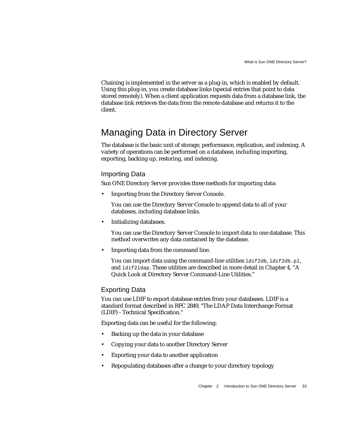Chaining is implemented in the server as a plug-in, which is enabled by default. Using this plug-in, you create database links (special entries that point to data stored remotely). When a client application requests data from a database link, the database link retrieves the data from the remote database and returns it to the client.

## <span id="page-32-0"></span>Managing Data in Directory Server

The database is the basic unit of storage, performance, replication, and indexing. A variety of operations can be performed on a database, including importing, exporting, backing up, restoring, and indexing.

#### Importing Data

Sun ONE Directory Server provides three methods for importing data:

• Importing from the Directory Server Console.

You can use the Directory Server Console to append data to all of your databases, including database links.

• Initializing databases.

You can use the Directory Server Console to import data to one database. This method overwrites any data contained by the database.

• Importing data from the command line.

You can import data using the command-line utilities ldif2db, ldif2db.pl, and ldif2ldap. These utilities are described in more detail in [Chapter 4, "A](#page-68-2)  [Quick Look at Directory Server Command-Line Utilities](#page-68-2)."

### Exporting Data

You can use LDIF to export database entries from your databases. LDIF is a standard format described in RFC 2849, "The LDAP Data Interchange Format (LDIF) - Technical Specification."

Exporting data can be useful for the following:

- Backing up the data in your database
- Copying your data to another Directory Server
- Exporting your data to another application
- Repopulating databases after a change to your directory topology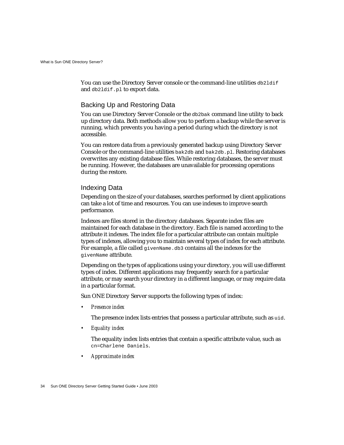You can use the Directory Server console or the command-line utilities db21dif and db2ldif.pl to export data.

#### Backing Up and Restoring Data

You can use Directory Server Console or the db2bak command line utility to back up directory data. Both methods allow you to perform a backup while the server is running, which prevents you having a period during which the directory is not accessible.

You can restore data from a previously generated backup using Directory Server Console or the command-line utilities  $bak2db$  and  $bak2db$ .pl. Restoring databases overwrites any existing database files. While restoring databases, the server must be running. However, the databases are unavailable for processing operations during the restore.

#### Indexing Data

Depending on the size of your databases, searches performed by client applications can take a lot of time and resources. You can use indexes to improve search performance.

Indexes are files stored in the directory databases. Separate index files are maintained for each database in the directory. Each file is named according to the attribute it indexes. The index file for a particular attribute can contain multiple types of indexes, allowing you to maintain several types of index for each attribute. For example, a file called givenName.db3 contains all the indexes for the givenName attribute.

Depending on the types of applications using your directory, you will use different types of index. Different applications may frequently search for a particular attribute, or may search your directory in a different language, or may require data in a particular format.

Sun ONE Directory Server supports the following types of index:

*• Presence index*

The presence index lists entries that possess a particular attribute, such as uid.

*• Equality index*

The equality index lists entries that contain a specific attribute value, such as cn=Charlene Daniels.

*• Approximate index*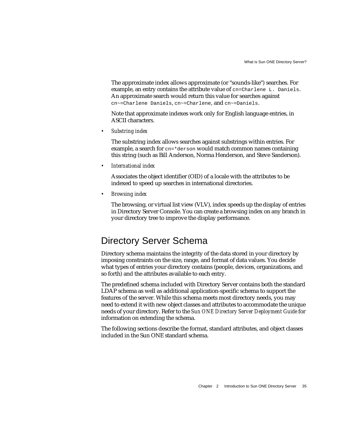The approximate index allows approximate (or "sounds-like") searches. For example, an entry contains the attribute value of cn=Charlene L. Daniels. An approximate search would return this value for searches against cn~=Charlene Daniels, cn~=Charlene, and cn~=Daniels.

Note that approximate indexes work only for English language entries, in ASCII characters.

*• Substring index*

The substring index allows searches against substrings within entries. For example, a search for cn=\*derson would match common names containing this string (such as Bill Anderson, Norma Henderson, and Steve Sanderson).

*• International index*

Associates the object identifier (OID) of a locale with the attributes to be indexed to speed up searches in international directories.

*• Browsing index*

The browsing, or virtual list view (VLV), index speeds up the display of entries in Directory Server Console. You can create a browsing index on any branch in your directory tree to improve the display performance.

### <span id="page-34-0"></span>Directory Server Schema

Directory schema maintains the integrity of the data stored in your directory by imposing constraints on the size, range, and format of data values. You decide what types of entries your directory contains (people, devices, organizations, and so forth) and the attributes available to each entry.

The predefined schema included with Directory Server contains both the standard LDAP schema as well as additional application-specific schema to support the features of the server. While this schema meets most directory needs, you may need to extend it with new object classes and attributes to accommodate the unique needs of your directory. Refer to the *Sun ONE Directory Server Deployment Guide* for information on extending the schema.

The following sections describe the format, standard attributes, and object classes included in the Sun ONE standard schema.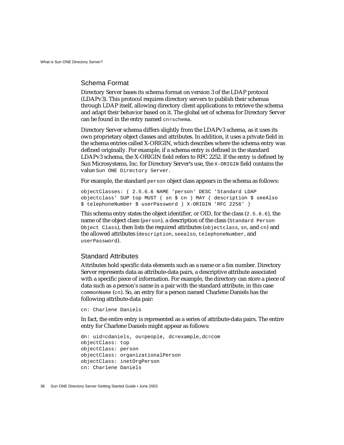#### Schema Format

Directory Server bases its schema format on version 3 of the LDAP protocol (LDAPv3). This protocol requires directory servers to publish their schemas through LDAP itself, allowing directory client applications to retrieve the schema and adapt their behavior based on it. The global set of schema for Directory Server can be found in the entry named cn=schema.

Directory Server schema differs slightly from the LDAPv3 schema, as it uses its own proprietary object classes and attributes. In addition, it uses a private field in the schema entries called X-ORIGIN, which describes where the schema entry was defined originally. For example, if a schema entry is defined in the standard LDAPv3 schema, the X-ORIGIN field refers to RFC 2252. If the entry is defined by Sun Microsystems, Inc. for Directory Server's use, the X-ORIGIN field contains the value Sun ONE Directory Server.

For example, the standard person object class appears in the schema as follows:

```
objectClasses: ( 2.5.6.6 NAME 'person' DESC 'Standard LDAP 
objectclass' SUP top MUST ( sn $ cn ) MAY ( description $ seeAlso 
$ telephoneNumber $ userPassword ) X-ORIGIN 'RFC 2256' )
```
This schema entry states the object identifier, or OID, for the class (2.5.6.6), the name of the object class (person), a description of the class (Standard Person Object Class), then lists the required attributes (objectclass, sn, and cn) and the allowed attributes (description, seealso, telephoneNumber, and userPassword).

#### Standard Attributes

Attributes hold specific data elements such as a name or a fax number. Directory Server represents data as attribute-data pairs, a descriptive attribute associated with a specific piece of information. For example, the directory can store a piece of data such as a person's name in a pair with the standard attribute, in this case commonName (cn). So, an entry for a person named Charlene Daniels has the following attribute-data pair:

cn: Charlene Daniels

In fact, the entire entry is represented as a series of attribute-data pairs. The entire entry for Charlene Daniels might appear as follows:

```
dn: uid=cdaniels, ou=people, dc=example,dc=com
objectClass: top
objectClass: person
objectClass: organizationalPerson
objectClass: inetOrgPerson
cn: Charlene Daniels
```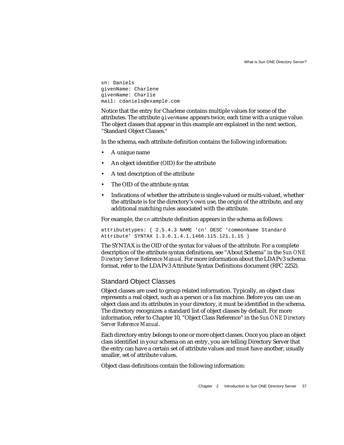```
sn: Daniels
givenName: Charlene
givenName: Charlie
mail: cdaniels@example.com
```
Notice that the entry for Charlene contains multiple values for some of the attributes. The attribute givenName appears twice, each time with a unique value. The object classes that appear in this example are explained in the next section, "Standard Object Classes."

In the schema, each attribute definition contains the following information:

- A unique name
- An object identifier (OID) for the attribute
- A text description of the attribute
- The OID of the attribute syntax
- Indications of whether the attribute is single-valued or multi-valued, whether the attribute is for the directory's own use, the origin of the attribute, and any additional matching rules associated with the attribute.

For example, the cn attribute definition appears in the schema as follows:

attributetypes: ( 2.5.4.3 NAME 'cn' DESC 'commonName Standard Attribute' SYNTAX 1.3.6.1.4.1.1466.115.121.1.15 )

The SYNTAX is the OID of the syntax for values of the attribute. For a complete description of the attribute syntax definitions, see "About Schema" in the *Sun ONE Directory Server Reference Manual*. For more information about the LDAPv3 schema format, refer to the LDAPv3 Attribute Syntax Definitions document (RFC 2252).

#### Standard Object Classes

Object classes are used to group related information. Typically, an object class represents a real object, such as a person or a fax machine. Before you can use an object class and its attributes in your directory, it must be identified in the schema. The directory recognizes a standard list of object classes by default. For more information, refer to Chapter 10, "Object Class Reference" in the *Sun ONE Directory Server Reference Manual*.

Each directory entry belongs to one or more object classes. Once you place an object class identified in your schema on an entry, you are telling Directory Server that the entry can have a certain set of attribute values and must have another, usually smaller, set of attribute values.

Object class definitions contain the following information: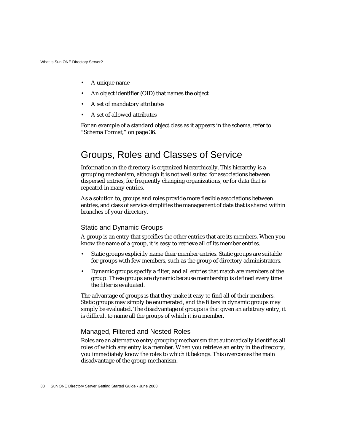- A unique name
- An object identifier (OID) that names the object
- A set of mandatory attributes
- A set of allowed attributes

For an example of a standard object class as it appears in the schema, refer to "Schema Format," on page 36.

## Groups, Roles and Classes of Service

Information in the directory is organized hierarchically. This hierarchy is a grouping mechanism, although it is not well suited for associations between dispersed entries, for frequently changing organizations, or for data that is repeated in many entries.

As a solution to, groups and roles provide more flexible associations between entries, and class of service simplifies the management of data that is shared within branches of your directory.

#### Static and Dynamic Groups

A group is an entry that specifies the other entries that are its members. When you know the name of a group, it is easy to retrieve all of its member entries.

- Static groups explicitly name their member entries. Static groups are suitable for groups with few members, such as the group of directory administrators.
- Dynamic groups specify a filter, and all entries that match are members of the group. These groups are dynamic because membership is defined every time the filter is evaluated.

The advantage of groups is that they make it easy to find all of their members. Static groups may simply be enumerated, and the filters in dynamic groups may simply be evaluated. The disadvantage of groups is that given an arbitrary entry, it is difficult to name all the groups of which it is a member.

#### Managed, Filtered and Nested Roles

Roles are an alternative entry grouping mechanism that automatically identifies all roles of which any entry is a member. When you retrieve an entry in the directory, you immediately know the roles to which it belongs. This overcomes the main disadvantage of the group mechanism.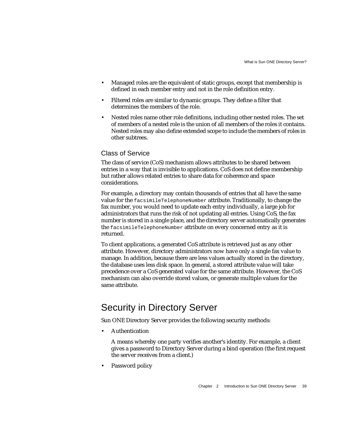- Managed roles are the equivalent of static groups, except that membership is defined in each member entry and not in the role definition entry.
- Filtered roles are similar to dynamic groups. They define a filter that determines the members of the role.
- Nested roles name other role definitions, including other nested roles. The set of members of a nested role is the union of all members of the roles it contains. Nested roles may also define extended scope to include the members of roles in other subtrees.

#### Class of Service

The class of service (CoS) mechanism allows attributes to be shared between entries in a way that is invisible to applications. CoS does not define membership but rather allows related entries to share data for coherence and space considerations.

For example, a directory may contain thousands of entries that all have the same value for the facsimileTelephoneNumber attribute. Traditionally, to change the fax number, you would need to update each entry individually, a large job for administrators that runs the risk of not updating all entries. Using CoS, the fax number is stored in a single place, and the directory server automatically generates the facsimileTelephoneNumber attribute on every concerned entry as it is returned.

To client applications, a generated CoS attribute is retrieved just as any other attribute. However, directory administrators now have only a single fax value to manage. In addition, because there are less values actually stored in the directory, the database uses less disk space. In general, a stored attribute value will take precedence over a CoS generated value for the same attribute. However, the CoS mechanism can also override stored values, or generate multiple values for the same attribute.

## Security in Directory Server

Sun ONE Directory Server provides the following security methods:

**Authentication** 

A means whereby one party verifies another's identity. For example, a client gives a password to Directory Server during a bind operation (the first request the server receives from a client.)

• Password policy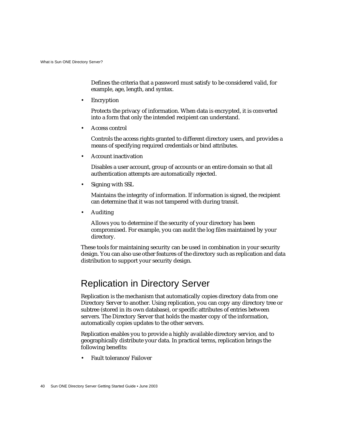Defines the criteria that a password must satisfy to be considered valid, for example, age, length, and syntax.

• Encryption

Protects the privacy of information. When data is encrypted, it is converted into a form that only the intended recipient can understand.

• Access control

Controls the access rights granted to different directory users, and provides a means of specifying required credentials or bind attributes.

• Account inactivation

Disables a user account, group of accounts or an entire domain so that all authentication attempts are automatically rejected.

• Signing with SSL

Maintains the integrity of information. If information is signed, the recipient can determine that it was not tampered with during transit.

• Auditing

Allows you to determine if the security of your directory has been compromised. For example, you can audit the log files maintained by your directory.

These tools for maintaining security can be used in combination in your security design. You can also use other features of the directory such as replication and data distribution to support your security design.

## Replication in Directory Server

Replication is the mechanism that automatically copies directory data from one Directory Server to another. Using replication, you can copy any directory tree or subtree (stored in its own database), or specific attributes of entries between servers. The Directory Server that holds the master copy of the information, automatically copies updates to the other servers.

Replication enables you to provide a highly available directory service, and to geographically distribute your data. In practical terms, replication brings the following benefits:

• Fault tolerance/Failover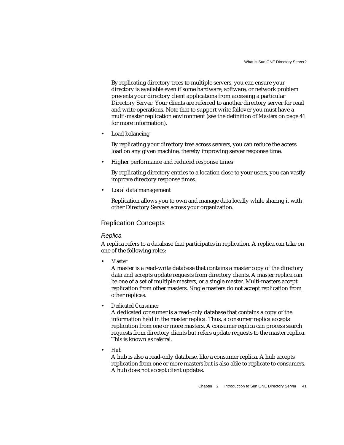By replicating directory trees to multiple servers, you can ensure your directory is available even if some hardware, software, or network problem prevents your directory client applications from accessing a particular Directory Server. Your clients are referred to another directory server for read and write operations. Note that to support write failover you must have a multi-master replication environment (see the definition of *Masters* on [page 41](#page-40-0) for more information).

• Load balancing

By replicating your directory tree across servers, you can reduce the access load on any given machine, thereby improving server response time.

• Higher performance and reduced response times

By replicating directory entries to a location close to your users, you can vastly improve directory response times.

• Local data management

Replication allows you to own and manage data locally while sharing it with other Directory Servers across your organization.

#### Replication Concepts

#### **Replica**

A replica refers to a database that participates in replication. A replica can take on one of the following roles:

<span id="page-40-0"></span>• *Master*

A master is a read-write database that contains a master copy of the directory data and accepts update requests from directory clients. A master replica can be one of a set of multiple masters, or a single master. Multi-masters accept replication from other masters. Single masters do not accept replication from other replicas.

• *Dedicated Consumer*

A dedicated consumer is a read-only database that contains a copy of the information held in the master replica. Thus, a consumer replica accepts replication from one or more masters. A consumer replica can process search requests from directory clients but refers update requests to the master replica. This is known as *referral*.

• *Hub*

A hub is also a read-only database, like a consumer replica. A hub accepts replication from one or more masters but is also able to replicate to consumers. A hub does not accept client updates.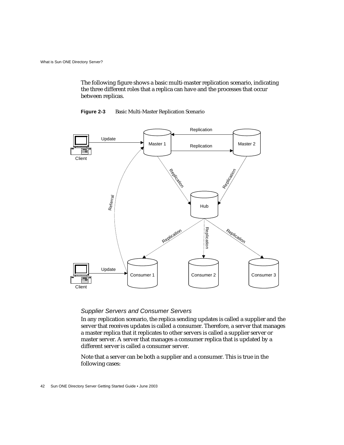The following figure shows a basic multi-master replication scenario, indicating the three different roles that a replica can have and the processes that occur between replicas.

#### **Figure 2-3** Basic Multi-Master Replication Scenario



#### Supplier Servers and Consumer Servers

In any replication scenario, the replica sending updates is called a supplier and the server that receives updates is called a consumer. Therefore, a server that manages a master replica that it replicates to other servers is called a supplier server or master server. A server that manages a consumer replica that is updated by a different server is called a consumer server.

Note that a server can be both a supplier and a consumer. This is true in the following cases: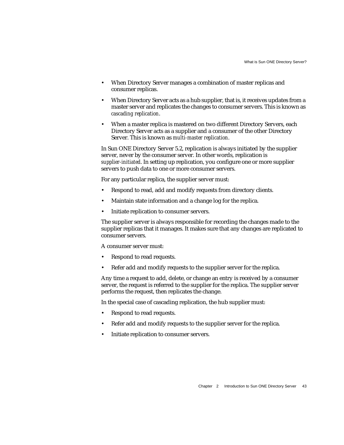- When Directory Server manages a combination of master replicas and consumer replicas.
- When Directory Server acts as a hub supplier, that is, it receives updates from a master server and replicates the changes to consumer servers. This is known as *cascading replication*.
- When a master replica is mastered on two different Directory Servers, each Directory Server acts as a supplier and a consumer of the other Directory Server. This is known as *multi-master replication*.

In Sun ONE Directory Server 5.2, replication is always initiated by the supplier server, never by the consumer server. In other words, replication is *supplier-initiated*. In setting up replication, you configure one or more supplier servers to push data to one or more consumer servers.

For any particular replica, the supplier server must:

- Respond to read, add and modify requests from directory clients.
- Maintain state information and a change log for the replica.
- Initiate replication to consumer servers.

The supplier server is always responsible for recording the changes made to the supplier replicas that it manages. It makes sure that any changes are replicated to consumer servers.

A consumer server must:

- Respond to read requests.
- Refer add and modify requests to the supplier server for the replica.

Any time a request to add, delete, or change an entry is received by a consumer server, the request is referred to the supplier for the replica. The supplier server performs the request, then replicates the change.

In the special case of cascading replication, the hub supplier must:

- Respond to read requests.
- Refer add and modify requests to the supplier server for the replica.
- Initiate replication to consumer servers.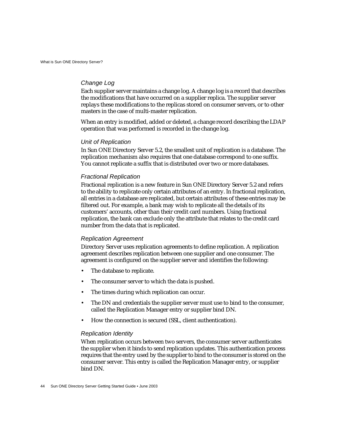#### Change Log

Each supplier server maintains a change log. A change log is a record that describes the modifications that have occurred on a supplier replica. The supplier server replays these modifications to the replicas stored on consumer servers, or to other masters in the case of multi-master replication.

When an entry is modified, added or deleted, a change record describing the LDAP operation that was performed is recorded in the change log.

#### Unit of Replication

In Sun ONE Directory Server 5.2, the smallest unit of replication is a database. The replication mechanism also requires that one database correspond to one suffix. You cannot replicate a suffix that is distributed over two or more databases.

#### Fractional Replication

Fractional replication is a new feature in Sun ONE Directory Server 5.2 and refers to the ability to replicate only certain attributes of an entry. In fractional replication, all entries in a database are replicated, but certain attributes of these entries may be filtered out. For example, a bank may wish to replicate all the details of its customers' accounts, other than their credit card numbers. Using fractional replication, the bank can exclude only the attribute that relates to the credit card number from the data that is replicated.

#### Replication Agreement

Directory Server uses replication agreements to define replication. A replication agreement describes replication between one supplier and one consumer. The agreement is configured on the supplier server and identifies the following:

- The database to replicate.
- The consumer server to which the data is pushed.
- The times during which replication can occur.
- The DN and credentials the supplier server must use to bind to the consumer, called the Replication Manager entry or supplier bind DN.
- How the connection is secured (SSL, client authentication).

#### Replication Identity

When replication occurs between two servers, the consumer server authenticates the supplier when it binds to send replication updates. This authentication process requires that the entry used by the supplier to bind to the consumer is stored on the consumer server. This entry is called the Replication Manager entry, or supplier bind DN.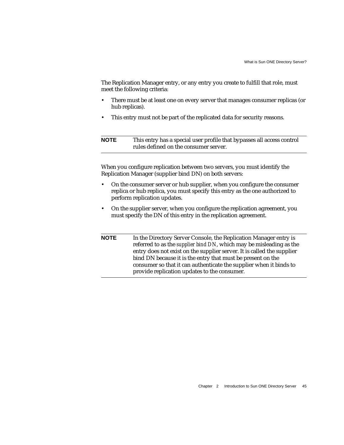The Replication Manager entry, or any entry you create to fulfill that role, must meet the following criteria:

- There must be at least one on every server that manages consumer replicas (or hub replicas).
- This entry must not be part of the replicated data for security reasons.

**NOTE** This entry has a special user profile that bypasses all access control rules defined on the consumer server.

When you configure replication between two servers, you must identify the Replication Manager (supplier bind DN) on both servers:

- On the consumer server or hub supplier, when you configure the consumer replica or hub replica, you must specify this entry as the one authorized to perform replication updates.
- On the supplier server, when you configure the replication agreement, you must specify the DN of this entry in the replication agreement.

**NOTE** In the Directory Server Console, the Replication Manager entry is referred to as the *supplier bind DN*, which may be misleading as the entry does not exist on the supplier server. It is called the supplier bind DN because it is the entry that must be present on the consumer so that it can authenticate the supplier when it binds to provide replication updates to the consumer.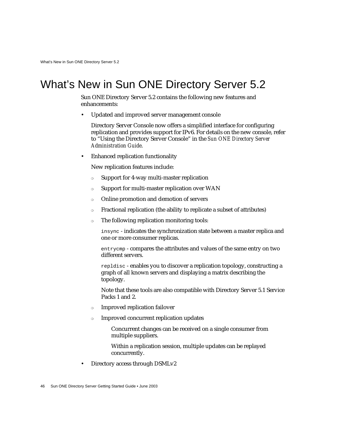# What's New in Sun ONE Directory Server 5.2

Sun ONE Directory Server 5.2 contains the following new features and enhancements:

• Updated and improved server management console

Directory Server Console now offers a simplified interface for configuring replication and provides support for IPv6. For details on the new console, refer to "Using the Directory Server Console" in the *Sun ONE Directory Server Administration Guide*.

• Enhanced replication functionality

New replication features include:

- ❍ Support for 4-way multi-master replication
- ❍ Support for multi-master replication over WAN
- ❍ Online promotion and demotion of servers
- ❍ Fractional replication (the ability to replicate a subset of attributes)
- ❍ The following replication monitoring tools:

insync - indicates the synchronization state between a master replica and one or more consumer replicas.

entrycmp - compares the attributes and values of the same entry on two different servers.

repldisc - enables you to discover a replication topology, constructing a graph of all known servers and displaying a matrix describing the topology.

Note that these tools are also compatible with Directory Server 5.1 Service Packs 1 and 2.

- ❍ Improved replication failover
- ❍ Improved concurrent replication updates

Concurrent changes can be received on a single consumer from multiple suppliers.

Within a replication session, multiple updates can be replayed concurrently.

• Directory access through DSMLv2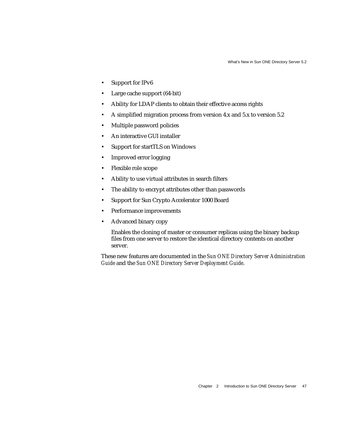- Support for IPv6
- Large cache support (64-bit)
- Ability for LDAP clients to obtain their effective access rights
- A simplified migration process from version 4.x and 5.x to version 5.2
- Multiple password policies
- An interactive GUI installer
- Support for startTLS on Windows
- Improved error logging
- Flexible role scope
- Ability to use virtual attributes in search filters
- The ability to encrypt attributes other than passwords
- Support for Sun Crypto Accelerator 1000 Board
- Performance improvements
- Advanced binary copy

Enables the cloning of master or consumer replicas using the binary backup files from one server to restore the identical directory contents on another server.

These new features are documented in the *Sun ONE Directory Server Administration Guide* and the *Sun ONE Directory Server Deployment Guide*.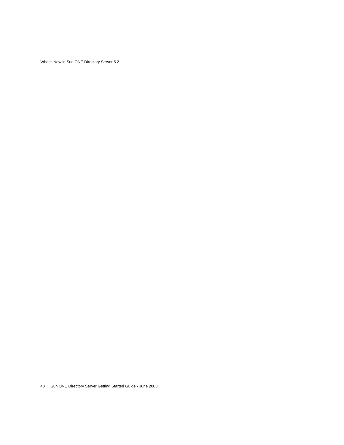What's New in Sun ONE Directory Server 5.2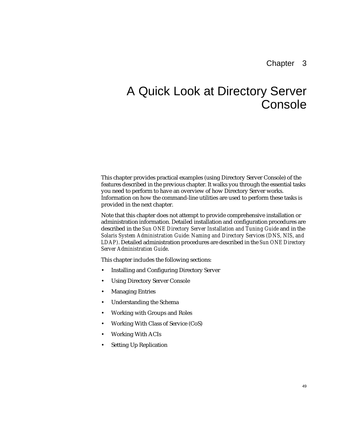# A Quick Look at Directory Server Console

This chapter provides practical examples (using Directory Server Console) of the features described in the previous chapter. It walks you through the essential tasks you need to perform to have an overview of how Directory Server works. Information on how the command-line utilities are used to perform these tasks is provided in the next chapter.

Note that this chapter does not attempt to provide comprehensive installation or administration information. Detailed installation and configuration procedures are described in the *Sun ONE Directory Server Installation and Tuning Guide* and in the *Solaris System Administration Guide: Naming and Directory Services (DNS, NIS, and LDAP)*. Detailed administration procedures are described in the *Sun ONE Directory Server Administration Guide*.

This chapter includes the following sections:

- • [Installing and Configuring Directory Server](#page-49-0)
- • [Using Directory Server Console](#page-50-0)
- • [Managing Entries](#page-53-0)
- • [Understanding the Schema](#page-54-0)
- • [Working with Groups and Roles](#page-55-0)
- • [Working With Class of Service \(CoS\)](#page-57-0)
- • [Working With ACIs](#page-61-0)
- • [Setting Up Replication](#page-62-0)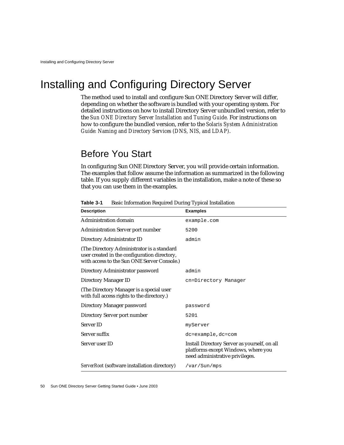# <span id="page-49-1"></span><span id="page-49-0"></span>Installing and Configuring Directory Server

The method used to install and configure Sun ONE Directory Server will differ, depending on whether the software is bundled with your operating system. For detailed instructions on how to install Directory Server unbundled version, refer to the *Sun ONE Directory Server Installation and Tuning Guide.* For instructions on how to configure the bundled version, refer to the *Solaris System Administration Guide: Naming and Directory Services (DNS, NIS, and LDAP)*.

## Before You Start

In configuring Sun ONE Directory Server, you will provide certain information. The examples that follow assume the information as summarized in the following table. If you supply different variables in the installation, make a note of these so that you can use them in the examples.

| <b>Description</b>                                                                                                                        | <b>Examples</b>                                                                                                        |
|-------------------------------------------------------------------------------------------------------------------------------------------|------------------------------------------------------------------------------------------------------------------------|
| Administration domain                                                                                                                     | example.com                                                                                                            |
| <b>Administration Server port number</b>                                                                                                  | 5200                                                                                                                   |
| Directory Administrator ID                                                                                                                | admin                                                                                                                  |
| (The Directory Administrator is a standard<br>user created in the configuration directory,<br>with access to the Sun ONE Server Console.) |                                                                                                                        |
| Directory Administrator password                                                                                                          | admin                                                                                                                  |
| Directory Manager ID                                                                                                                      | cn=Directory Manager                                                                                                   |
| (The Directory Manager is a special user<br>with full access rights to the directory.)                                                    |                                                                                                                        |
| Directory Manager password                                                                                                                | password                                                                                                               |
| Directory Server port number                                                                                                              | 5201                                                                                                                   |
| Server ID                                                                                                                                 | myServer                                                                                                               |
| Server suffix                                                                                                                             | dc=example, dc=com                                                                                                     |
| Server user ID                                                                                                                            | Install Directory Server as yourself, on all<br>platforms except Windows, where you<br>need administrative privileges. |
| ServerRoot (software installation directory)                                                                                              | /var/Sun/mps                                                                                                           |

**Table 3-1** Basic Information Required During Typical Installation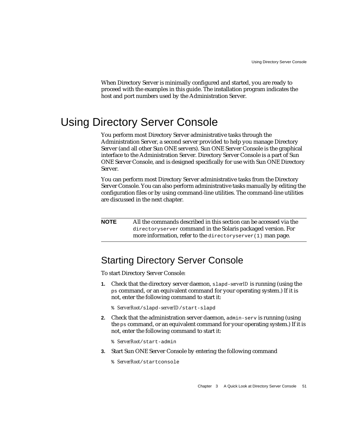When Directory Server is minimally configured and started, you are ready to proceed with the examples in this guide. The installation program indicates the host and port numbers used by the Administration Server.

## <span id="page-50-0"></span>Using Directory Server Console

You perform most Directory Server administrative tasks through the Administration Server, a second server provided to help you manage Directory Server (and all other Sun ONE servers). Sun ONE Server Console is the graphical interface to the Administration Server. Directory Server Console is a part of Sun ONE Server Console, and is designed specifically for use with Sun ONE Directory Server.

You can perform most Directory Server administrative tasks from the Directory Server Console. You can also perform administrative tasks manually by editing the configuration files or by using command-line utilities. The command-line utilities are discussed in the next chapter.

**NOTE** All the commands described in this section can be accessed via the directoryserver command in the Solaris packaged version. For more information, refer to the directoryserver(1) man page.

### Starting Directory Server Console

To start Directory Server Console:

**1.** Check that the directory server daemon, slapd-*serverID* is running (using the ps command, or an equivalent command for your operating system.) If it is not, enter the following command to start it:

% *ServerRoot*/slapd-*serverID*/start-slapd

**2.** Check that the administration server daemon, admin-serv is running (using the ps command, or an equivalent command for your operating system.) If it is not, enter the following command to start it:

% *ServerRoot*/start-admin

**3.** Start Sun ONE Server Console by entering the following command

% *ServerRoot*/startconsole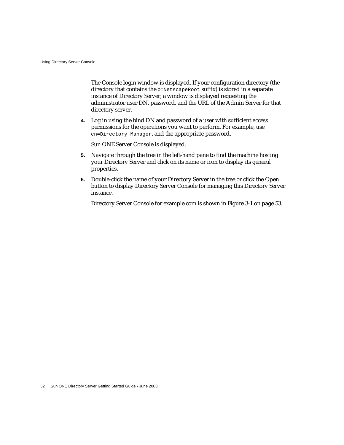The Console login window is displayed. If your configuration directory (the directory that contains the o=NetscapeRoot suffix) is stored in a separate instance of Directory Server, a window is displayed requesting the administrator user DN, password, and the URL of the Admin Server for that directory server.

**4.** Log in using the bind DN and password of a user with sufficient access permissions for the operations you want to perform. For example, use cn=Directory Manager, and the appropriate password.

Sun ONE Server Console is displayed.

- **5.** Navigate through the tree in the left-hand pane to find the machine hosting your Directory Server and click on its name or icon to display its general properties.
- **6.** Double-click the name of your Directory Server in the tree or click the Open button to display Directory Server Console for managing this Directory Server instance.

Directory Server Console for example.com is shown in [Figure 3-1 on page 53.](#page-52-0)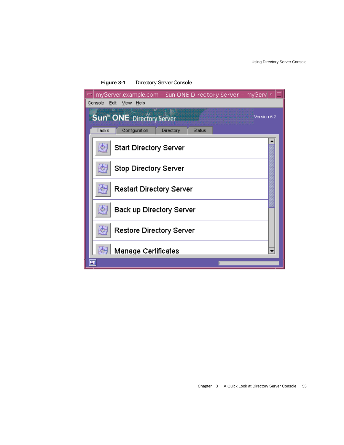<span id="page-52-0"></span>

| myServer.example.com – Sun ONE Directory Server – myServ |  |
|----------------------------------------------------------|--|
| Console<br>Edit<br>View.<br>Help                         |  |
| Sun <sup>™</sup> ONE Directory Server<br>Version 5.2     |  |
| Tasks<br>Configuration<br>Directory<br><b>Status</b>     |  |
| <b>Start Directory Server</b>                            |  |
| <b>Stop Directory Server</b>                             |  |
| <b>Restart Directory Server</b>                          |  |
| <b>Back up Directory Server</b>                          |  |
| <b>Restore Directory Server</b>                          |  |
| <b>Manage Certificates</b>                               |  |
|                                                          |  |

**Figure 3-1** Directory Server Console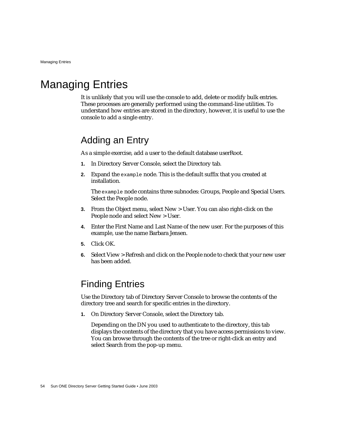# <span id="page-53-0"></span>Managing Entries

It is unlikely that you will use the console to add, delete or modify bulk entries. These processes are generally performed using the command-line utilities. To understand how entries are stored in the directory, however, it is useful to use the console to add a single entry.

## <span id="page-53-1"></span>Adding an Entry

As a simple exercise, add a user to the default database userRoot.

- **1.** In Directory Server Console, select the Directory tab.
- **2.** Expand the example node. This is the default suffix that you created at installation.

The example node contains three subnodes: Groups, People and Special Users. Select the People node.

- **3.** From the Object menu, select New > User. You can also right-click on the People node and select New > User.
- **4.** Enter the First Name and Last Name of the new user. For the purposes of this example, use the name Barbara Jensen.
- **5.** Click OK.
- **6.** Select View > Refresh and click on the People node to check that your new user has been added.

## Finding Entries

Use the Directory tab of Directory Server Console to browse the contents of the directory tree and search for specific entries in the directory.

**1.** On Directory Server Console, select the Directory tab.

Depending on the DN you used to authenticate to the directory, this tab displays the contents of the directory that you have access permissions to view. You can browse through the contents of the tree or right-click an entry and select Search from the pop-up menu.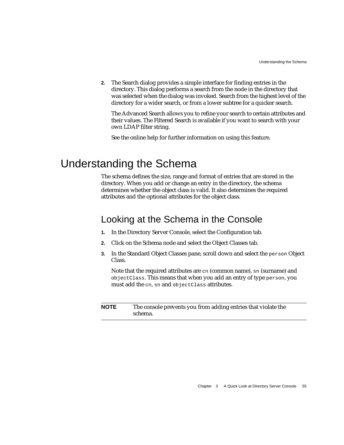**2.** The Search dialog provides a simple interface for finding entries in the directory. This dialog performs a search from the node in the directory that was selected when the dialog was invoked. Search from the highest level of the directory for a wider search, or from a lower subtree for a quicker search.

The Advanced Search allows you to refine your search to certain attributes and their values. The Filtered Search is available if you want to search with your own LDAP filter string.

See the online help for further information on using this feature.

## <span id="page-54-0"></span>Understanding the Schema

The schema defines the size, range and format of entries that are stored in the directory. When you add or change an entry in the directory, the schema determines whether the object class is valid. It also determines the required attributes and the optional attributes for the object class.

### Looking at the Schema in the Console

- **1.** In the Directory Server Console, select the Configuration tab.
- **2.** Click on the Schema node and select the Object Classes tab.
- **3.** In the Standard Object Classes pane, scroll down and select the person Object Class.

Note that the required attributes are  $cn$  (common name), sn (surname) and objectClass. This means that when you add an entry of type person, you must add the cn, sn and objectClass attributes.

#### **NOTE** The console prevents you from adding entries that violate the schema.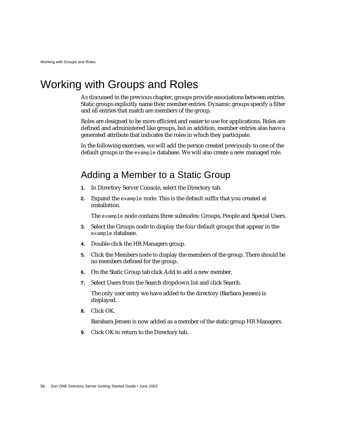# <span id="page-55-0"></span>Working with Groups and Roles

As discussed in the previous chapter, groups provide associations between entries. Static groups explicitly name their member entries. Dynamic groups specify a filter and all entries that match are members of the group.

Roles are designed to be more efficient and easier to use for applications. Roles are defined and administered like groups, but in addition, member entries also have a generated attribute that indicates the roles in which they participate.

In the following exercises, we will add the person created previously to one of the default groups in the example database. We will also create a new managed role.

## Adding a Member to a Static Group

- **1.** In Directory Server Console, select the Directory tab.
- **2.** Expand the example node. This is the default suffix that you created at installation.

The example node contains three subnodes: Groups, People and Special Users.

- **3.** Select the Groups node to display the four default groups that appear in the example database.
- **4.** Double-click the HR Managers group.
- **5.** Click the Members node to display the members of the group. There should be no members defined for the group.
- **6.** On the Static Group tab click Add to add a new member.
- **7.** Select Users from the Search dropdown list and click Search.

The only user entry we have added to the directory (Barbara Jensen) is displayed.

**8.** Click OK.

Barabara Jensen is now added as a member of the static group HR Managers.

**9.** Click OK to return to the Directory tab.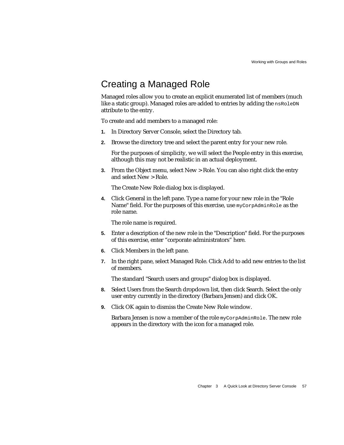### Creating a Managed Role

Managed roles allow you to create an explicit enumerated list of members (much like a static group). Managed roles are added to entries by adding the nsRoleDN attribute to the entry.

To create and add members to a managed role:

- **1.** In Directory Server Console, select the Directory tab.
- **2.** Browse the directory tree and select the parent entry for your new role.

For the purposes of simplicity, we will select the People entry in this exercise, although this may not be realistic in an actual deployment.

**3.** From the Object menu, select New > Role. You can also right click the entry and select New > Role.

The Create New Role dialog box is displayed.

**4.** Click General in the left pane. Type a name for your new role in the "Role Name" field. For the purposes of this exercise, use myCorpAdminRole as the role name.

The role name is required.

- **5.** Enter a description of the new role in the "Description" field. For the purposes of this exercise, enter "corporate administrators" here.
- **6.** Click Members in the left pane.
- **7.** In the right pane, select Managed Role. Click Add to add new entries to the list of members.

The standard "Search users and groups" dialog box is displayed.

- **8.** Select Users from the Search dropdown list, then click Search. Select the only user entry currently in the directory (Barbara Jensen) and click OK.
- **9.** Click OK again to dismiss the Create New Role window.

Barbara Jensen is now a member of the role myCorpAdminRole. The new role appears in the directory with the icon for a managed role.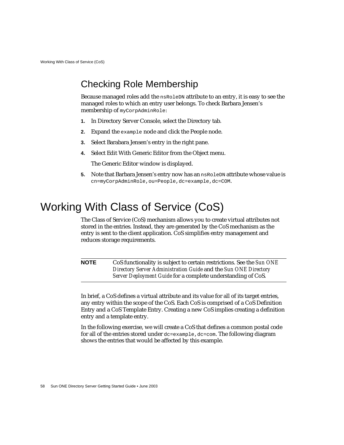## Checking Role Membership

Because managed roles add the nsRoleDN attribute to an entry, it is easy to see the managed roles to which an entry user belongs. To check Barbara Jensen's membership of myCorpAdminRole:

- **1.** In Directory Server Console, select the Directory tab.
- **2.** Expand the example node and click the People node.
- **3.** Select Barabara Jensen's entry in the right pane.
- **4.** Select Edit With Generic Editor from the Object menu.

The Generic Editor window is displayed.

**5.** Note that Barbara Jensen's entry now has an  $nSRO1eDM$  attribute whose value is cn=myCorpAdminRole,ou=People,dc=example,dc=COM.

# <span id="page-57-0"></span>Working With Class of Service (CoS)

The Class of Service (CoS) mechanism allows you to create virtual attributes not stored in the entries. Instead, they are generated by the CoS mechanism as the entry is sent to the client application. CoS simplifies entry management and reduces storage requirements.

**NOTE** CoS functionality is subject to certain restrictions. See the *Sun ONE Directory Server Administration Guide* and the *Sun ONE Directory Server Deployment Guide* for a complete understanding of CoS.

In brief, a CoS defines a virtual attribute and its value for all of its target entries, any entry within the scope of the CoS. Each CoS is comprised of a CoS Definition Entry and a CoS Template Entry. Creating a new CoS implies creating a definition entry and a template entry.

In the following exercise, we will create a CoS that defines a common postal code for all of the entries stored under dc=example,dc=com. The following diagram shows the entries that would be affected by this example.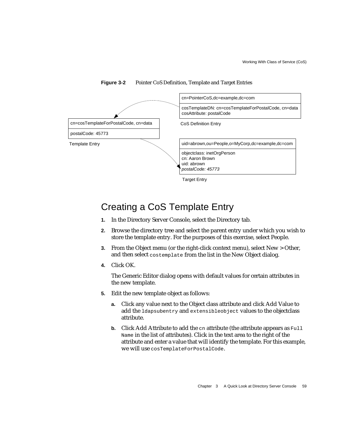



## Creating a CoS Template Entry

- **1.** In the Directory Server Console, select the Directory tab.
- **2.** Browse the directory tree and select the parent entry under which you wish to store the template entry. For the purposes of this exercise, select People.
- **3.** From the Object menu (or the right-click context menu), select New > Other, and then select costemplate from the list in the New Object dialog.
- **4.** Click OK.

The Generic Editor dialog opens with default values for certain attributes in the new template.

- **5.** Edit the new template object as follows:
	- **a.** Click any value next to the Object class attribute and click Add Value to add the ldapsubentry and extensibleobject values to the objectclass attribute.
	- **b.** Click Add Attribute to add the cn attribute (the attribute appears as Full Name in the list of attributes). Click in the text area to the right of the attribute and enter a value that will identify the template. For this example, we will use cosTemplateForPostalCode.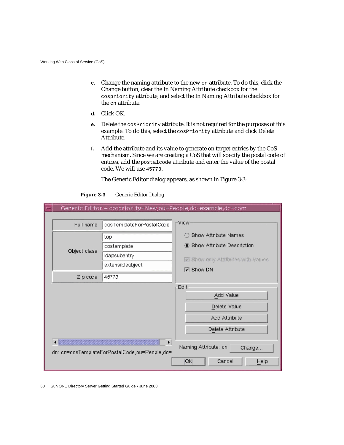- **c.** Change the naming attribute to the new cn attribute. To do this, click the Change button, clear the In Naming Attribute checkbox for the cospriority attribute, and select the In Naming Attribute checkbox for the cn attribute.
- **d.** Click OK.
- **e.** Delete the cospriority attribute. It is not required for the purposes of this example. To do this, select the cosPriority attribute and click Delete Attribute.
- **f.** Add the attribute and its value to generate on target entries by the CoS mechanism. Since we are creating a CoS that will specify the postal code of entries, add the postalcode attribute and enter the value of the postal code. We will use 45773.

The Generic Editor dialog appears, as shown in [Figure 3-3](#page-59-0):

<span id="page-59-0"></span>

**Figure 3-3** Generic Editor Dialog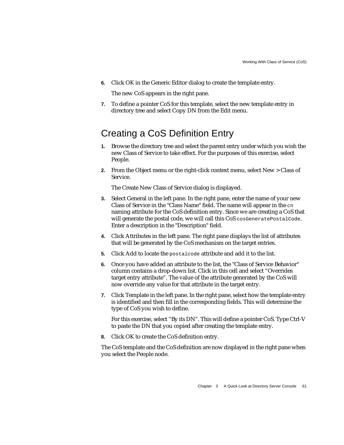**6.** Click OK in the Generic Editor dialog to create the template entry.

The new CoS appears in the right pane.

**7.** To define a pointer CoS for this template, select the new template entry in directory tree and select Copy DN from the Edit menu.

### Creating a CoS Definition Entry

- **1.** Browse the directory tree and select the parent entry under which you wish the new Class of Service to take effect. For the purposes of this exercise, select People.
- **2.** From the Object menu or the right-click context menu, select New > Class of Service.

The Create New Class of Service dialog is displayed.

- **3.** Select General in the left pane. In the right pane, enter the name of your new Class of Service in the "Class Name" field. The name will appear in the cn naming attribute for the CoS definition entry. Since we are creating a CoS that will generate the postal code, we will call this CoS cosGeneratePostalCode. Enter a description in the "Description" field.
- **4.** Click Attributes in the left pane. The right pane displays the list of attributes that will be generated by the CoS mechanism on the target entries.
- **5.** Click Add to locate the postalcode attribute and add it to the list.
- **6.** Once you have added an attribute to the list, the "Class of Service Behavior" column contains a drop-down list. Click in this cell and select "Overrides target entry attribute". The value of the attribute generated by the CoS will now override any value for that attribute in the target entry.
- **7.** Click Template in the left pane. In the right pane, select how the template entry is identified and then fill in the corresponding fields. This will determine the type of CoS you wish to define.

For this exercise, select "By its DN". This will define a pointer CoS. Type Ctrl-V to paste the DN that you copied after creating the template entry.

**8.** Click OK to create the CoS definition entry.

The CoS template and the CoS definition are now displayed in the right pane when you select the People node.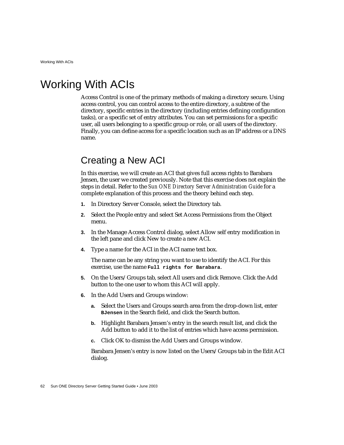# <span id="page-61-0"></span>Working With ACIs

Access Control is one of the primary methods of making a directory secure. Using access control, you can control access to the entire directory, a subtree of the directory, specific entries in the directory (including entries defining configuration tasks), or a specific set of entry attributes. You can set permissions for a specific user, all users belonging to a specific group or role, or all users of the directory. Finally, you can define access for a specific location such as an IP address or a DNS name.

## Creating a New ACI

In this exercise, we will create an ACI that gives full access rights to Barabara Jensen, the user we created previously. Note that this exercise does not explain the steps in detail. Refer to the *Sun ONE Directory Server Administration Guide* for a complete explanation of this process and the theory behind each step.

- **1.** In Directory Server Console, select the Directory tab.
- **2.** Select the People entry and select Set Access Permissions from the Object menu.
- **3.** In the Manage Access Control dialog, select Allow self entry modification in the left pane and click New to create a new ACI.
- **4.** Type a name for the ACI in the ACI name text box.

The name can be any string you want to use to identify the ACI. For this exercise, use the name **Full rights for Barabara**.

- **5.** On the Users/Groups tab, select All users and click Remove. Click the Add button to the one user to whom this ACI will apply.
- **6.** In the Add Users and Groups window:
	- **a.** Select the Users and Groups search area from the drop-down list, enter **BJensen** in the Search field, and click the Search button.
	- **b.** Highlight Barabara Jensen's entry in the search result list, and click the Add button to add it to the list of entries which have access permission.
	- **c.** Click OK to dismiss the Add Users and Groups window.

Barabara Jensen's entry is now listed on the Users/Groups tab in the Edit ACI dialog.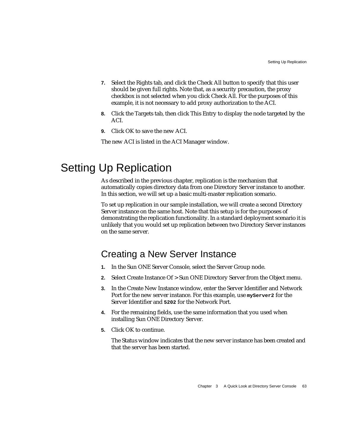- **7.** Select the Rights tab, and click the Check All button to specify that this user should be given full rights. Note that, as a security precaution, the proxy checkbox is not selected when you click Check All. For the purposes of this example, it is not necessary to add proxy authorization to the ACI.
- **8.** Click the Targets tab, then click This Entry to display the node targeted by the ACI.
- **9.** Click OK to save the new ACI.

The new ACI is listed in the ACI Manager window.

## <span id="page-62-0"></span>Setting Up Replication

As described in the previous chapter, replication is the mechanism that automatically copies directory data from one Directory Server instance to another. In this section, we will set up a basic multi-master replication scenario.

To set up replication in our sample installation, we will create a second Directory Server instance on the same host. Note that this setup is for the purposes of demonstrating the replication functionality. In a standard deployment scenario it is unlikely that you would set up replication between two Directory Server instances on the same server.

### Creating a New Server Instance

- **1.** In the Sun ONE Server Console, select the Server Group node.
- **2.** Select Create Instance Of > Sun ONE Directory Server from the Object menu.
- **3.** In the Create New Instance window, enter the Server Identifier and Network Port for the new server instance. For this example, use  $m$ **Server2** for the Server Identifier and **5202** for the Network Port.
- **4.** For the remaining fields, use the same information that you used when installing Sun ONE Directory Server.
- **5.** Click OK to continue.

The Status window indicates that the new server instance has been created and that the server has been started.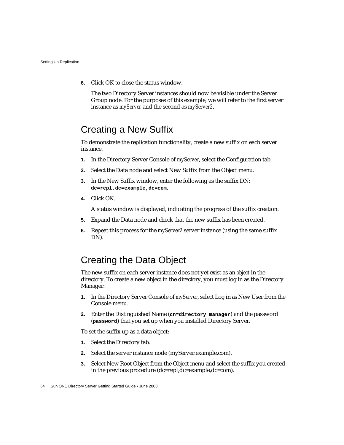**6.** Click OK to close the status window.

The two Directory Server instances should now be visible under the Server Group node. For the purposes of this example, we will refer to the first server instance as *myServer* and the second as *myServer2*.

### Creating a New Suffix

To demonstrate the replication functionality, create a new suffix on each server instance.

- **1.** In the Directory Server Console of *myServer*, select the Configuration tab.
- **2.** Select the Data node and select New Suffix from the Object menu.
- **3.** In the New Suffix window, enter the following as the suffix DN: **dc=repl,dc=example,dc=com**.
- **4.** Click OK.

A status window is displayed, indicating the progress of the suffix creation.

- **5.** Expand the Data node and check that the new suffix has been created.
- **6.** Repeat this process for the *myServer2* server instance (using the same suffix DN).

### Creating the Data Object

The new suffix on each server instance does not yet exist as an *object* in the directory. To create a new object in the directory, you must log in as the Directory Manager:

- **1.** In the Directory Server Console of *myServer*, select Log in as New User from the Console menu.
- **2.** Enter the Distinguished Name (**cn=directory manager**) and the password (**password**) that you set up when you installed Directory Server.

To set the suffix up as a data object:

- **1.** Select the Directory tab.
- **2.** Select the server instance node (myServer.example.com).
- **3.** Select New Root Object from the Object menu and select the suffix you created in the previous procedure (dc=repl,dc=example,dc=com).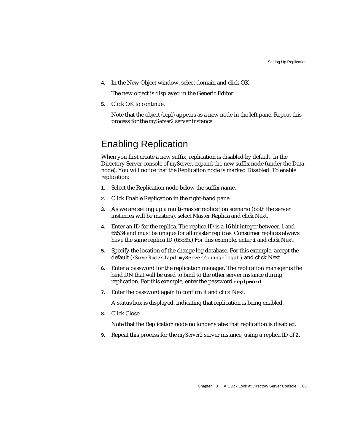**4.** In the New Object window, select domain and click OK.

The new object is displayed in the Generic Editor.

**5.** Click OK to continue.

Note that the object (repl) appears as a new node in the left pane. Repeat this process for the *myServer2* server instance.

### Enabling Replication

When you first create a new suffix, replication is disabled by default. In the Directory Server console of *myServer*, expand the new suffix node (under the Data node). You will notice that the Replication node is marked Disabled. To enable replication:

- **1.** Select the Replication node below the suffix name.
- **2.** Click Enable Replication in the right-hand pane.
- **3.** As we are setting up a multi-master replication scenario (both the server instances will be masters), select Master Replica and click Next.
- **4.** Enter an ID for the replica. The replica ID is a 16 bit integer between 1 and 65534 and must be unique for all master replicas. Consumer replicas always have the same replica ID (65535.) For this example, enter **1** and click Next.
- **5.** Specify the location of the change log database. For this example, accept the default (/*ServerRoot*/slapd-myServer/changelogdb) and click Next.
- **6.** Enter a password for the replication manager. The replication manager is the bind DN that will be used to bind to the other server instance during replication. For this example, enter the password **replpword**.
- **7.** Enter the password again to confirm it and click Next.

A status box is displayed, indicating that replication is being enabled.

**8.** Click Close.

Note that the Replication node no longer states that replication is disabled.

**9.** Repeat this process for the *myServer2* server instance, using a replica ID of **2**.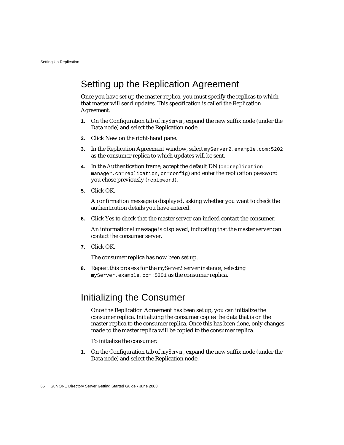### Setting up the Replication Agreement

Once you have set up the master replica, you must specify the replicas to which that master will send updates. This specification is called the Replication Agreement.

- **1.** On the Configuration tab of *myServer*, expand the new suffix node (under the Data node) and select the Replication node.
- **2.** Click New on the right-hand pane.
- **3.** In the Replication Agreement window, select myServer2.example.com:5202 as the consumer replica to which updates will be sent.
- **4.** In the Authentication frame, accept the default DN (cn=replication manager,cn=replication,cn=config) and enter the replication password you chose previously (replpword).
- **5.** Click OK.

A confirmation message is displayed, asking whether you want to check the authentication details you have entered.

**6.** Click Yes to check that the master server can indeed contact the consumer.

An informational message is displayed, indicating that the master server can contact the consumer server.

**7.** Click OK.

The consumer replica has now been set up.

**8.** Repeat this process for the *myServer2* server instance, selecting myServer.example.com:5201 as the consumer replica.

### Initializing the Consumer

Once the Replication Agreement has been set up, you can initialize the consumer replica. Initializing the consumer copies the data that is on the master replica to the consumer replica. Once this has been done, only changes made to the master replica will be copied to the consumer replica.

To initialize the consumer:

**1.** On the Configuration tab of *myServer*, expand the new suffix node (under the Data node) and select the Replication node.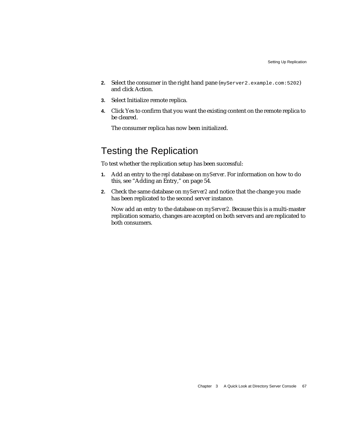- **2.** Select the consumer in the right hand pane (myServer2.example.com:5202) and click Action.
- **3.** Select Initialize remote replica.
- **4.** Click Yes to confirm that you want the existing content on the remote replica to be cleared.

The consumer replica has now been initialized.

### Testing the Replication

To test whether the replication setup has been successful:

- **1.** Add an entry to the *repl* database on *myServer*. For information on how to do this, see ["Adding an Entry," on page 54.](#page-53-1)
- **2.** Check the same database on *myServer2* and notice that the change you made has been replicated to the second server instance.

Now add an entry to the database on *myServer2*. Because this is a multi-master replication scenario, changes are accepted on both servers and are replicated to both consumers.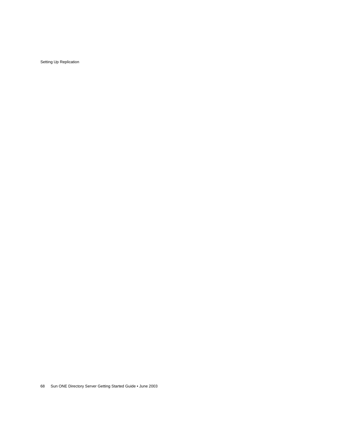Setting Up Replication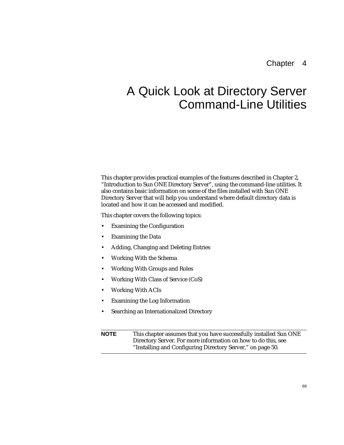# A Quick Look at Directory Server Command-Line Utilities

This chapter provides practical examples of the features described in [Chapter 2,](#page-22-0)  ["Introduction to Sun ONE Directory Server"](#page-22-0), using the command-line utilities. It also contains basic information on some of the files installed with Sun ONE Directory Server that will help you understand where default directory data is located and how it can be accessed and modified.

This chapter covers the following topics:

- **Examining the Configuration**
- • [Examining the Data](#page-70-0)
- • [Adding, Changing and Deleting Entries](#page-86-0)
- • [Working With the Schema](#page-89-0)
- • [Working With Groups and Roles](#page-90-0)
- • [Working With Class of Service \(CoS\)](#page-93-0)
- • [Working With ACIs](#page-94-0)
- • [Examining the Log Information](#page-95-0)
- • [Searching an Internationalized Directory](#page-97-0)

**NOTE** This chapter assumes that you have successfully installed Sun ONE Directory Server. For more information on how to do this, see ["Installing and Configuring Directory Server," on page 50.](#page-49-1)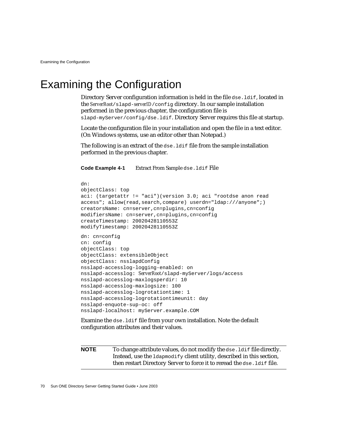# <span id="page-69-0"></span>Examining the Configuration

Directory Server configuration information is held in the file dse. Ldif, located in the *ServerRoot*/slapd-*serverID*/config directory. In our sample installation performed in the previous chapter, the configuration file is slapd-myServer/config/dse.ldif. Directory Server requires this file at startup.

Locate the configuration file in your installation and open the file in a text editor. (On Windows systems, use an editor other than Notepad.)

The following is an extract of the  $dse.1di\text{f}$  file from the sample installation performed in the previous chapter.

**Code Example 4-1** Extract From Sample dse. Ldif File

```
dn:
objectClass: top
aci: (targetattr != "aci")(version 3.0; aci "rootdse anon read 
access"; allow(read,search,compare) userdn="ldap:///anyone";)
creatorsName: cn=server,cn=plugins,cn=config
modifiersName: cn=server,cn=plugins,cn=config
createTimestamp: 20020428110553Z
modifyTimestamp: 20020428110553Z
dn: cn=config
cn: config
objectClass: top
objectClass: extensibleObject
objectClass: nsslapdConfig
nsslapd-accesslog-logging-enabled: on
nsslapd-accesslog: ServerRoot/slapd-myServer/logs/access
nsslapd-accesslog-maxlogsperdir: 10
nsslapd-accesslog-maxlogsize: 100
nsslapd-accesslog-logrotationtime: 1
nsslapd-accesslog-logrotationtimeunit: day
nsslapd-enquote-sup-oc: off
nsslapd-localhost: myServer.example.COM
```
Examine the dse.ldif file from your own installation. Note the default configuration attributes and their values.

**NOTE** To change attribute values, do not modify the dse. Ldif file directly. Instead, use the  $l$ dapmodify client utility, described in this section, then restart Directory Server to force it to reread the dse.ldif file.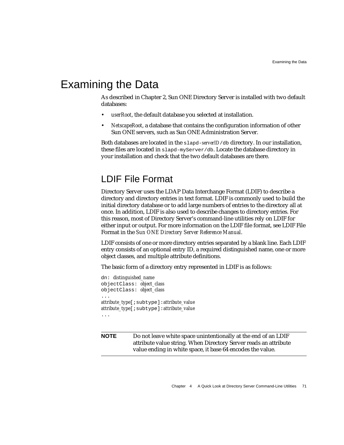## <span id="page-70-0"></span>Examining the Data

As described in [Chapter 2](#page-22-1), Sun ONE Directory Server is installed with two default databases:

- *userRoot*, the default database you selected at installation.
- *NetscapeRoot*, a database that contains the configuration information of other Sun ONE servers, such as Sun ONE Administration Server.

Both databases are located in the slapd-*serverID*/db directory. In our installation, these files are located in slapd-myServer/db. Locate the database directory in your installation and check that the two default databases are there.

### LDIF File Format

Directory Server uses the LDAP Data Interchange Format (LDIF) to describe a directory and directory entries in text format. LDIF is commonly used to build the initial directory database or to add large numbers of entries to the directory all at once. In addition, LDIF is also used to describe changes to directory entries. For this reason, most of Directory Server's command-line utilities rely on LDIF for either input or output. For more information on the LDIF file format, see LDIF File Format in the *Sun ONE Directory Server Reference Manual*.

LDIF consists of one or more directory entries separated by a blank line. Each LDIF entry consists of an optional entry ID, a required distinguished name, one or more object classes, and multiple attribute definitions.

The basic form of a directory entry represented in LDIF is as follows:

```
dn: distinguished_name
objectClass: object_class
objectClass: object_class
...
attribute_type[;subtype]:attribute_value
attribute_type[;subtype]:attribute_value
...
```
**NOTE** Do not leave white space unintentionally at the end of an LDIF attribute value string. When Directory Server reads an attribute value ending in white space, it base 64 encodes the value.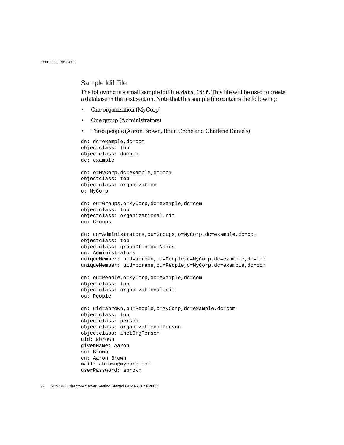#### Sample ldif File

The following is a small sample ldif file, data. Ldif. This file will be used to create a database in the next section. Note that this sample file contains the following:

- One organization (MyCorp)
- One group (Administrators)
- Three people (Aaron Brown, Brian Crane and Charlene Daniels)

```
dn: dc=example,dc=com
objectclass: top
objectclass: domain
dc: example
dn: o=MyCorp,dc=example,dc=com
objectclass: top
objectclass: organization
o: MyCorp
dn: ou=Groups,o=MyCorp,dc=example,dc=com
objectclass: top
objectclass: organizationalUnit
ou: Groups
dn: cn=Administrators,ou=Groups,o=MyCorp,dc=example,dc=com
objectclass: top
objectclass: groupOfUniqueNames
cn: Administrators
uniqueMember: uid=abrown,ou=People,o=MyCorp,dc=example,dc=com
uniqueMember: uid=bcrane,ou=People,o=MyCorp,dc=example,dc=com
dn: ou=People,o=MyCorp,dc=example,dc=com
objectclass: top
objectclass: organizationalUnit
ou: People
dn: uid=abrown,ou=People,o=MyCorp,dc=example,dc=com
objectclass: top
objectclass: person
objectclass: organizationalPerson
objectclass: inetOrgPerson
uid: abrown
givenName: Aaron
sn: Brown
cn: Aaron Brown
mail: abrown@mycorp.com
userPassword: abrown
```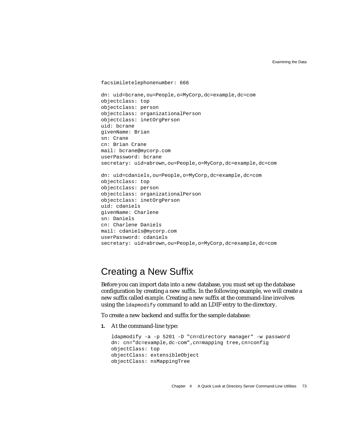```
facsimiletelephonenumber: 666
dn: uid=bcrane,ou=People,o=MyCorp,dc=example,dc=com
objectclass: top
objectclass: person
objectclass: organizationalPerson
objectclass: inetOrgPerson
uid: bcrane
givenName: Brian
sn: Crane
cn: Brian Crane
mail: bcrane@mycorp.com
userPassword: bcrane
secretary: uid=abrown,ou=People,o=MyCorp,dc=example,dc=com
dn: uid=cdaniels,ou=People,o=MyCorp,dc=example,dc=com
objectclass: top
objectclass: person
objectclass: organizationalPerson
objectclass: inetOrgPerson
uid: cdaniels
givenName: Charlene
sn: Daniels
cn: Charlene Daniels
mail: cdaniels@mycorp.com
userPassword: cdaniels
secretary: uid=abrown,ou=People,o=MyCorp,dc=example,dc=com
```
### Creating a New Suffix

Before you can import data into a new database, you must set up the database configuration by creating a new suffix. In the following example, we will create a new suffix called *example*. Creating a new suffix at the command-line involves using the ldapmodify command to add an LDIF entry to the directory.

To create a new backend and suffix for the sample database:

**1.** At the command-line type:

```
ldapmodify -a -p 5201 -D "cn=directory manager" -w password
dn: cn="dc=example,dc-com",cn=mapping tree,cn=config
objectClass: top
objectClass: extensibleObject
objectClass: nsMappingTree
```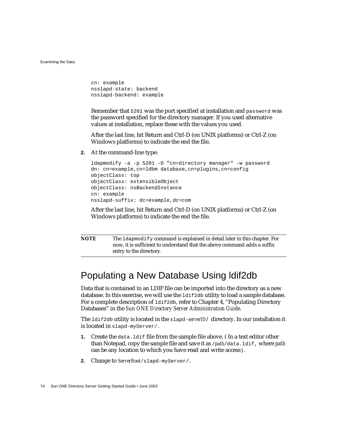```
cn: example
nsslapd-state: backend
nsslapd-backend: example
```
Remember that 5201 was the port specified at installation and password was the password specified for the directory manager. If you used alternative values at installation, replace these with the values you used.

After the last line, hit Return and Ctrl-D (on UNIX platforms) or Ctrl-Z (on Windows platforms) to indicate the end the file.

**2.** At the command-line type:

```
ldapmodify -a -p 5201 -D "cn=directory manager" -w password
dn: cn=example,cn=ldbm database,cn=plugins,cn=config
objectClass: top
objectClass: extensibleObject
objectClass: nsBackendInstance
cn: example
nsslapd-suffix: dc=example,dc=com
```
After the last line, hit Return and Ctrl-D (on UNIX platforms) or Ctrl-Z (on Windows platforms) to indicate the end the file.

```
NOTE The ldapmodify command is explained in detail later in this chapter. For 
             now, it is sufficient to understand that the above command adds a suffix 
             entry to the directory.
```
### <span id="page-73-0"></span>Populating a New Database Using ldif2db

Data that is contained in an LDIF file can be imported into the directory as a new database. In this exercise, we will use the  $ldiff2db$  utility to load a sample database. For a complete description of  $\text{Idif2db}$ , refer to Chapter 4, "Populating Directory Databases" in the *Sun ONE Directory Server Administration Guide*.

The ldif2db utility is located in the slapd-*serverID*/ directory. In our installation it is located in slapd-myServer/.

- **1.** Create the data. Ldif file from the sample file above. (In a text editor other than Notepad, copy the sample file and save it as /*path*/data.ldif, where *path* can be any location to which you have read and write access).
- **2.** Change to *ServerRoot*/slapd-myServer/.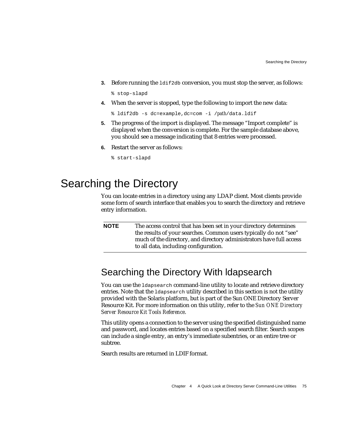**3.** Before running the ldif2db conversion, you must stop the server, as follows:

% stop-slapd

**4.** When the server is stopped, type the following to import the new data:

% ldif2db -s dc=example,dc=com -i /*path*/data.ldif

- **5.** The progress of the import is displayed. The message "Import complete" is displayed when the conversion is complete. For the sample database above, you should see a message indicating that 8 entries were processed.
- **6.** Restart the server as follows:

% start-slapd

# Searching the Directory

You can locate entries in a directory using any LDAP client. Most clients provide some form of search interface that enables you to search the directory and retrieve entry information.

**NOTE** The access control that has been set in your directory determines the results of your searches. Common users typically do not "see" much of the directory, and directory administrators have full access to all data, including configuration.

### Searching the Directory With ldapsearch

You can use the ldapsearch command-line utility to locate and retrieve directory entries. Note that the ldapsearch utility described in this section is not the utility provided with the Solaris platform, but is part of the Sun ONE Directory Server Resource Kit. For more information on this utility, refer to the *Sun ONE Directory Server Resource Kit Tools Reference*.

This utility opens a connection to the server using the specified distinguished name and password, and locates entries based on a specified search filter. Search scopes can include a single entry, an entry's immediate subentries, or an entire tree or subtree.

Search results are returned in LDIF format.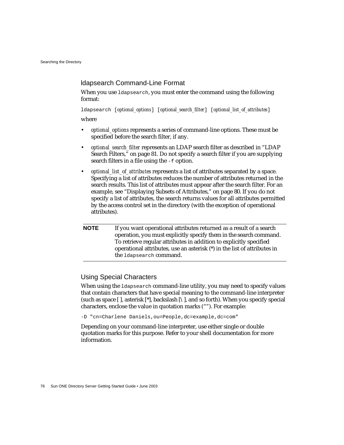### ldapsearch Command-Line Format

When you use ldapsearch, you must enter the command using the following format:

ldapsearch [*optional\_options*] [*optional\_search\_filter*] [*optional\_list\_of\_attributes*]

where

- *optional\_options* represents a series of command-line options. These must be specified before the search filter, if any.
- *optional\_search\_filter* represents an LDAP search filter as described in ["LDAP](#page-80-0)  [Search Filters," on page 81](#page-80-0). Do not specify a search filter if you are supplying search filters in a file using the -f option.
- *optional\_list\_of\_attributes* represents a list of attributes separated by a space. Specifying a list of attributes reduces the number of attributes returned in the search results. This list of attributes must appear after the search filter. For an example, see ["Displaying Subsets of Attributes," on page 80.](#page-79-0) If you do not specify a list of attributes, the search returns values for all attributes permitted by the access control set in the directory (with the exception of operational attributes).
- **NOTE** If you want operational attributes returned as a result of a search operation, you must explicitly specify them in the search command. To retrieve regular attributes in addition to explicitly specified operational attributes, use an asterisk (\*) in the list of attributes in the ldapsearch command.

### Using Special Characters

When using the ldapsearch command-line utility, you may need to specify values that contain characters that have special meaning to the command-line interpreter (such as space  $[]$ , asterisk  $[*/]$ , backslash  $[\n\setminus]$ , and so forth). When you specify special characters, enclose the value in quotation marks (""). For example:

-D "cn=Charlene Daniels,ou=People,dc=example,dc=com"

Depending on your command-line interpreter, use either single or double quotation marks for this purpose. Refer to your shell documentation for more information.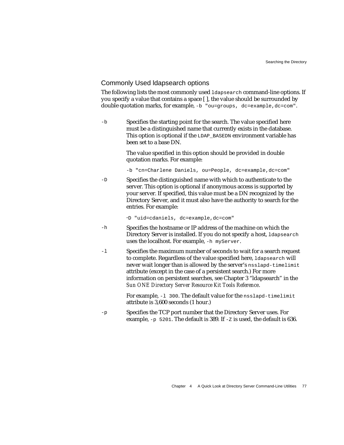### Commonly Used ldapsearch options

The following lists the most commonly used ldapsearch command-line options. If you specify a value that contains a space [ ], the value should be surrounded by double quotation marks, for example, -b "ou=groups, dc=example,dc=com".

-b Specifies the starting point for the search. The value specified here must be a distinguished name that currently exists in the database. This option is optional if the LDAP\_BASEDN environment variable has been set to a base DN.

> The value specified in this option should be provided in double quotation marks. For example:

-b "cn=Charlene Daniels, ou=People, dc=example,dc=com"

-D Specifies the distinguished name with which to authenticate to the server. This option is optional if anonymous access is supported by your server. If specified, this value must be a DN recognized by the Directory Server, and it must also have the authority to search for the entries. For example:

-D "uid=cdaniels, dc=example,dc=com"

- -h Specifies the hostname or IP address of the machine on which the Directory Server is installed. If you do not specify a host, ldapsearch uses the localhost. For example, -h myServer.
- -l Specifies the maximum number of seconds to wait for a search request to complete. Regardless of the value specified here, ldapsearch will never wait longer than is allowed by the server's nsslapd-timelimit attribute (except in the case of a persistent search.) For more information on persistent searches, see Chapter 3 "ldapsearch" in the *Sun ONE Directory Server Resource Kit Tools Reference*.

For example, -l 300. The default value for the nsslapd-timelimit attribute is 3,600 seconds (1 hour.)

-p Specifies the TCP port number that the Directory Server uses. For example,  $-p$  5201. The default is 389. If  $-z$  is used, the default is 636.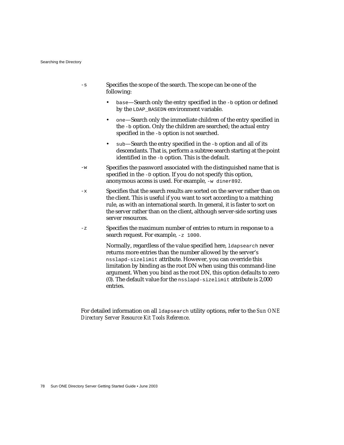- -s Specifies the scope of the search. The scope can be one of the following:
	- base—Search only the entry specified in the -b option or defined by the LDAP\_BASEDN environment variable.
	- one—Search only the immediate children of the entry specified in the -b option. Only the children are searched; the actual entry specified in the -b option is not searched.
	- sub—Search the entry specified in the -b option and all of its descendants. That is, perform a subtree search starting at the point identified in the -b option. This is the default.
- -w Specifies the password associated with the distinguished name that is specified in the -D option. If you do not specify this option, anonymous access is used. For example, -w diner892.
- -x Specifies that the search results are sorted on the server rather than on the client. This is useful if you want to sort according to a matching rule, as with an international search. In general, it is faster to sort on the server rather than on the client, although server-side sorting uses server resources.
- -z Specifies the maximum number of entries to return in response to a search request. For example,  $-z$  1000.

Normally, regardless of the value specified here, ldapsearch never returns more entries than the number allowed by the server's nsslapd-sizelimit attribute. However, you can override this limitation by binding as the root DN when using this command-line argument. When you bind as the root DN, this option defaults to zero (0). The default value for the nsslapd-sizelimit attribute is 2,000 entries.

For detailed information on all ldapsearch utility options, refer to the *Sun ONE Directory Server Resource Kit Tools Reference*.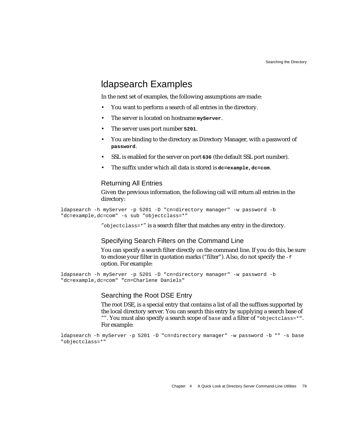### ldapsearch Examples

In the next set of examples, the following assumptions are made:

- You want to perform a search of all entries in the directory.
- The server is located on hostname **myServer**.
- The server uses port number **5201**.
- You are binding to the directory as Directory Manager, with a password of **password**.
- SSL is enabled for the server on port **636** (the default SSL port number).
- The suffix under which all data is stored is **dc=example,dc=com**.

#### Returning All Entries

Given the previous information, the following call will return all entries in the directory:

```
ldapsearch -h myServer -p 5201 -D "cn=directory manager" -w password -b 
"dc=example,dc=com" -s sub "objectclass=*"
```
"objectclass=\*" is a search filter that matches any entry in the directory.

#### Specifying Search Filters on the Command Line

You can specify a search filter directly on the command line. If you do this, be sure to enclose your filter in quotation marks ("filter"). Also, do not specify the  $-f$ option. For example:

```
ldapsearch -h myServer -p 5201 -D "cn=directory manager" -w password -b 
"dc=example,dc=com" "cn=Charlene Daniels"
```
#### Searching the Root DSE Entry

The root DSE, is a special entry that contains a list of all the suffixes supported by the local directory server. You can search this entry by supplying a search base of "". You must also specify a search scope of base and a filter of "objectclass=\*". For example:

```
ldapsearch -h myServer -p 5201 -D "cn=directory manager" -w password -b "" -s base 
"objectclass=*"
```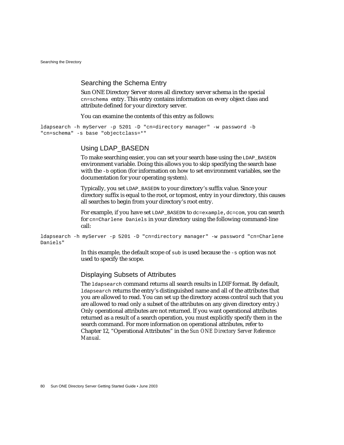### Searching the Schema Entry

Sun ONE Directory Server stores all directory server schema in the special cn=schema entry. This entry contains information on every object class and attribute defined for your directory server.

You can examine the contents of this entry as follows:

```
ldapsearch -h myServer -p 5201 -D "cn=directory manager" -w password -b 
"cn=schema" -s base "objectclass=*"
```
### Using LDAP\_BASEDN

To make searching easier, you can set your search base using the LDAP\_BASEDN environment variable. Doing this allows you to skip specifying the search base with the -b option (for information on how to set environment variables, see the documentation for your operating system).

Typically, you set LDAP\_BASEDN to your directory's suffix value. Since your directory suffix is equal to the root, or topmost, entry in your directory, this causes all searches to begin from your directory's root entry.

For example, if you have set LDAP\_BASEDN to  $dc=example$ ,  $dc=com$ , you can search for cn=Charlene Daniels in your directory using the following command-line call:

<span id="page-79-0"></span>ldapsearch -h myServer -p 5201 -D "cn=directory manager" -w password "cn=Charlene Daniels"

> In this example, the default scope of sub is used because the  $-$ s option was not used to specify the scope.

### Displaying Subsets of Attributes

The ldapsearch command returns all search results in LDIF format. By default, ldapsearch returns the entry's distinguished name and all of the attributes that you are allowed to read. You can set up the directory access control such that you are allowed to read only a subset of the attributes on any given directory entry.) Only operational attributes are not returned. If you want operational attributes returned as a result of a search operation, you must explicitly specify them in the search command. For more information on operational attributes, refer to Chapter 12, "Operational Attributes" in the *Sun ONE Directory Server Reference Manual*.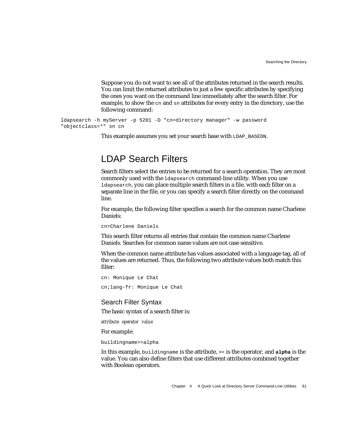Suppose you do not want to see all of the attributes returned in the search results. You can limit the returned attributes to just a few specific attributes by specifying the ones you want on the command line immediately after the search filter. For example, to show the cn and sn attributes for every entry in the directory, use the following command:

```
ldapsearch -h myServer -p 5201 -D "cn=directory manager" -w password 
"objectclass=*" sn cn
```
This example assumes you set your search base with LDAP\_BASEDN.

### LDAP Search Filters

Search filters select the entries to be returned for a search operation. They are most commonly used with the ldapsearch command-line utility. When you use ldapsearch, you can place multiple search filters in a file, with each filter on a separate line in the file, or you can specify a search filter directly on the command line.

For example, the following filter specifies a search for the common name Charlene Daniels:

```
cn=Charlene Daniels
```
This search filter returns all entries that contain the common name Charlene Daniels. Searches for common name values are not case sensitive.

When the common name attribute has values associated with a language tag, all of the values are returned. Thus, the following two attribute values both match this filter:

```
cn: Monique Le Chat
cn;lang-fr: Monique Le Chat
```
#### Search Filter Syntax

The basic syntax of a search filter is:

*attribute operator value*

For example:

```
buildingname>=alpha
```
In this example, buildingname is the attribute, >= is the operator, and **alpha** is the value. You can also define filters that use different attributes combined together with Boolean operators.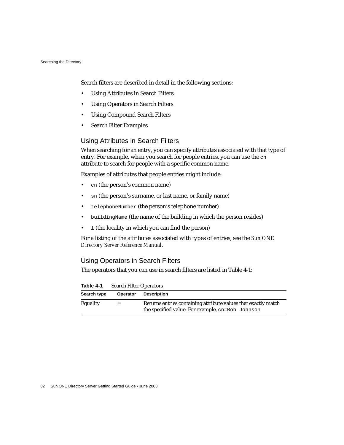Search filters are described in detail in the following sections:

- • [Using Attributes in Search Filters](#page-81-0)
- • [Using Operators in Search Filters](#page-81-1)
- • [Using Compound Search Filters](#page-83-0)
- • [Search Filter Examples](#page-85-0)

### <span id="page-81-0"></span>Using Attributes in Search Filters

When searching for an entry, you can specify attributes associated with that type of entry. For example, when you search for people entries, you can use the cn attribute to search for people with a specific common name.

Examples of attributes that people entries might include:

- cn (the person's common name)
- sn (the person's surname, or last name, or family name)
- telephoneNumber (the person's telephone number)
- building Name (the name of the building in which the person resides)
- $\perp$  (the locality in which you can find the person)

For a listing of the attributes associated with types of entries, see the *Sun ONE Directory Server Reference Manual*.

### <span id="page-81-1"></span>Using Operators in Search Filters

The operators that you can use in search filters are listed in [Table 4-1:](#page-81-2)

<span id="page-81-2"></span>

| Table 4-T   | Search Filter Operators |                                                                                                                    |  |
|-------------|-------------------------|--------------------------------------------------------------------------------------------------------------------|--|
| Search type | Operator                | <b>Description</b>                                                                                                 |  |
| Equality    | $=$                     | Returns entries containing attribute values that exactly match<br>the specified value. For example, cn=Bob Johnson |  |

 $Table 4.4$  Search Filter Operators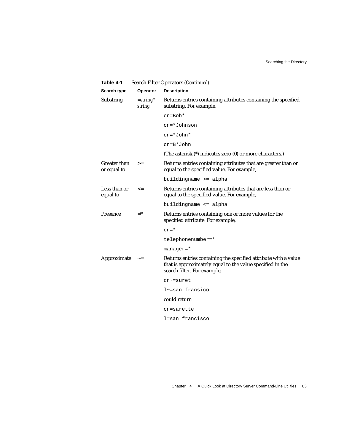| Search type                 | Operator                 | <b>Description</b>                                                                                                                                          |
|-----------------------------|--------------------------|-------------------------------------------------------------------------------------------------------------------------------------------------------------|
| Substring                   | $=$ string $*$<br>string | Returns entries containing attributes containing the specified<br>substring. For example,                                                                   |
|                             |                          | cn=Bob*                                                                                                                                                     |
|                             |                          | cn=*Johnson                                                                                                                                                 |
|                             |                          | cn=*John*                                                                                                                                                   |
|                             |                          | cn=B*John                                                                                                                                                   |
|                             |                          | (The asterisk (*) indicates zero (0) or more characters.)                                                                                                   |
| Greater than<br>or equal to | $>=$                     | Returns entries containing attributes that are greater than or<br>equal to the specified value. For example,                                                |
|                             |                          | buildingname >= alpha                                                                                                                                       |
| Less than or<br>equal to    | $\leq$                   | Returns entries containing attributes that are less than or<br>equal to the specified value. For example,                                                   |
|                             |                          | buildingname <= alpha                                                                                                                                       |
| Presence                    | $=^*$                    | Returns entries containing one or more values for the<br>specified attribute. For example,                                                                  |
|                             |                          | $cn = *$                                                                                                                                                    |
|                             |                          | telephonenumber=*                                                                                                                                           |
|                             |                          | $m$ anaqer= $*$                                                                                                                                             |
| Approximate                 | $\sim =$                 | Returns entries containing the specified attribute with a value<br>that is approximately equal to the value specified in the<br>search filter. For example, |
|                             |                          | cn~=suret                                                                                                                                                   |
|                             |                          | l~=san fransico                                                                                                                                             |
|                             |                          | could return                                                                                                                                                |
|                             |                          | cn=sarette                                                                                                                                                  |
|                             |                          | l=san francisco                                                                                                                                             |

**Table 4-1** Search Filter Operators *(Continued)*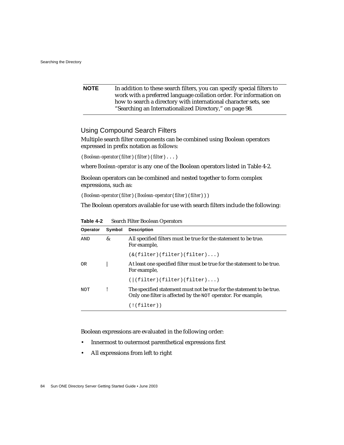**NOTE** In addition to these search filters, you can specify special filters to work with a preferred language collation order. For information on how to search a directory with international character sets, see ["Searching an Internationalized Directory," on page 98.](#page-97-0)

#### <span id="page-83-0"></span>Using Compound Search Filters

Multiple search filter components can be combined using Boolean operators expressed in prefix notation as follows:

(*Boolean-operator*(*filter*)(*filter*)(*filter*)...)

where *Boolean-operator* is any one of the Boolean operators listed in [Table 4-2](#page-83-1).

Boolean operators can be combined and nested together to form complex expressions, such as:

(*Boolean-operator*(*filter*)(*Boolean-operator*(*filter*)(*filter*)))

The Boolean operators available for use with search filters include the following:

<span id="page-83-1"></span>

| Operator   | Symbol | <b>Description</b>                                                                                                                      |
|------------|--------|-----------------------------------------------------------------------------------------------------------------------------------------|
| <b>AND</b> | &      | All specified filters must be true for the statement to be true.<br>For example,                                                        |
|            |        | $(\&(filter)(filter)(filter), \ldots)$                                                                                                  |
| <b>OR</b>  |        | At least one specified filter must be true for the statement to be true.<br>For example,                                                |
|            |        | ( (filter)(filter)(filter))                                                                                                             |
| <b>NOT</b> |        | The specified statement must not be true for the statement to be true.<br>Only one filter is affected by the NOT operator. For example, |
|            |        | (!(filter))                                                                                                                             |

**Table 4-2** Search Filter Boolean Operators

Boolean expressions are evaluated in the following order:

- Innermost to outermost parenthetical expressions first
- All expressions from left to right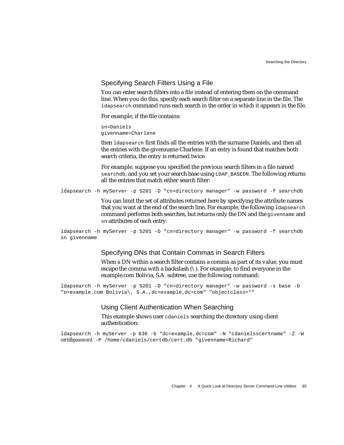### Specifying Search Filters Using a File

You can enter search filters into a file instead of entering them on the command line. When you do this, specify each search filter on a separate line in the file. The ldapsearch command runs each search in the order in which it appears in the file.

For example, if the file contains:

```
sn=Daniels
givenname=Charlene
```
then ldapsearch first finds all the entries with the surname Daniels, and then all the entries with the givenname Charlene. If an entry is found that matches both search criteria, the entry is returned twice.

For example, suppose you specified the previous search filters in a file named searchdb, and you set your search base using LDAP\_BASEDN. The following returns all the entries that match either search filter:

```
ldapsearch -h myServer -p 5201 -D "cn=directory manager" -w password -f searchdb
```
You can limit the set of attributes returned here by specifying the attribute names that you want at the end of the search line. For example, the following ldapsearch command performs both searches, but returns only the DN and the givenname and sn attributes of each entry:

ldapsearch -h myServer -p 5201 -D "cn=directory manager" -w password -f searchdb sn givenname

#### Specifying DNs that Contain Commas in Search Filters

When a DN within a search filter contains a comma as part of its value, you must escape the comma with a backslash  $(\cdot)$ . For example, to find everyone in the example.com Bolivia, S.A. subtree, use the following command:

```
ldapsearch -h myServer -p 5201 -D "cn=directory manager" -w password -s base -b 
"o=example.com Bolivia\, S.A.,dc=example,dc=com" "objectclass=*"
```
#### Using Client Authentication When Searching

This example shows user cdaniels searching the directory using client authentication:

ldapsearch -h myServer -p 636 -b "dc=example,dc=com" -N "cdanielsscertname" -Z -W *certdbpassword* -P /home/cdaniels/certdb/cert.db "givenname=Richard"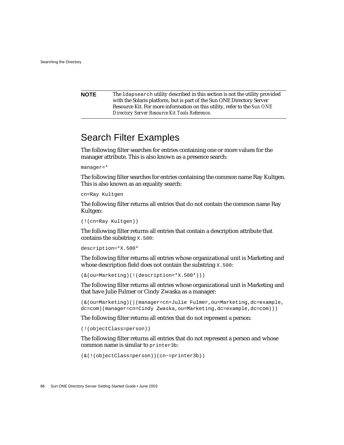**NOTE** The ldapsearch utility described in this section is not the utility provided with the Solaris platform, but is part of the Sun ONE Directory Server Resource Kit. For more information on this utility, refer to the *Sun ONE Directory Server Resource Kit Tools Reference*.

### <span id="page-85-0"></span>Search Filter Examples

The following filter searches for entries containing one or more values for the manager attribute. This is also known as a presence search:

```
manager=*
```
The following filter searches for entries containing the common name Ray Kultgen. This is also known as an equality search:

cn=Ray Kultgen

The following filter returns all entries that do not contain the common name Ray Kultgen:

```
(!(cn=Ray Kultgen))
```
The following filter returns all entries that contain a description attribute that contains the substring X.500:

```
description=*X.500*
```
The following filter returns all entries whose organizational unit is Marketing and whose description field does not contain the substring  $x.500$ :

```
(&(ou=Marketing)(!(description=*X.500*)))
```
The following filter returns all entries whose organizational unit is Marketing and that have Julie Fulmer or Cindy Zwaska as a manager:

```
(&(ou=Marketing)(|(manager=cn=Julie Fulmer,ou=Marketing,dc=example,
dc=com)(manager=cn=Cindy Zwaska,ou=Marketing,dc=example,dc=com)))
```
The following filter returns all entries that do not represent a person:

```
(!(objectClass=person))
```
The following filter returns all entries that do not represent a person and whose common name is similar to printer3b:

```
(&(!(objectClass=person))(cn~=printer3b))
```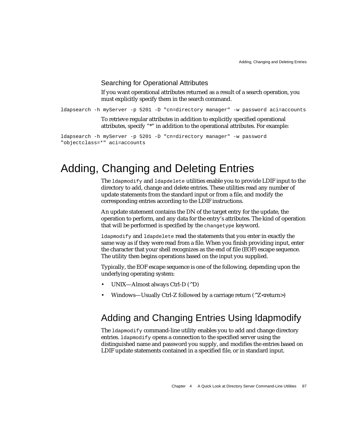#### Searching for Operational Attributes

If you want operational attributes returned as a result of a search operation, you must explicitly specify them in the search command.

```
ldapsearch -h myServer -p 5201 -D "cn=directory manager" -w password aci=accounts
```
To retrieve regular attributes in addition to explicitly specified operational attributes, specify "\*" in addition to the operational attributes. For example:

```
ldapsearch -h myServer -p 5201 -D "cn=directory manager" -w password 
"objectclass=*" aci=accounts
```
# Adding, Changing and Deleting Entries

The ldapmodify and ldapdelete utilities enable you to provide LDIF input to the directory to add, change and delete entries. These utilities read any number of update statements from the standard input or from a file, and modify the corresponding entries according to the LDIF instructions.

An update statement contains the DN of the target entry for the update, the operation to perform, and any data for the entry's attributes. The kind of operation that will be performed is specified by the changetype keyword.

ldapmodify and ldapdelete read the statements that you enter in exactly the same way as if they were read from a file. When you finish providing input, enter the character that your shell recognizes as the end of file (EOF) escape sequence. The utility then begins operations based on the input you supplied.

Typically, the EOF escape sequence is one of the following, depending upon the underlying operating system:

- UNIX—Almost always Ctrl-D (^D)
- Windows—Usually Ctrl-Z followed by a carriage return ( $\textdegree$ Z<return>)

## Adding and Changing Entries Using ldapmodify

The  $l$ dapmodify command-line utility enables you to add and change directory entries. ldapmodify opens a connection to the specified server using the distinguished name and password you supply, and modifies the entries based on LDIF update statements contained in a specified file, or in standard input.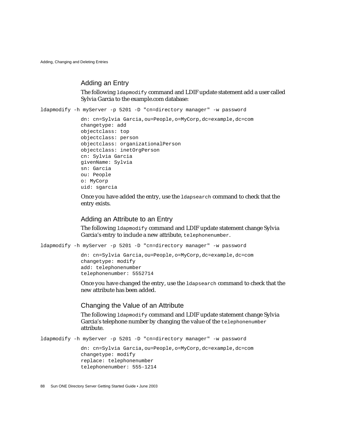### Adding an Entry

The following ldapmodify command and LDIF update statement add a user called Sylvia Garcia to the example.com database:

```
ldapmodify -h myServer -p 5201 -D "cn=directory manager" -w password
             dn: cn=Sylvia Garcia,ou=People,o=MyCorp,dc=example,dc=com
             changetype: add
             objectclass: top
             objectclass: person
             objectclass: organizationalPerson
             objectclass: inetOrgPerson
             cn: Sylvia Garcia
             givenName: Sylvia
             sn: Garcia
             ou: People
             o: MyCorp
             uid: sgarcia
```
Once you have added the entry, use the ldapsearch command to check that the entry exists.

### Adding an Attribute to an Entry

The following ldapmodify command and LDIF update statement change Sylvia Garcia's entry to include a new attribute, telephonenumber.

```
ldapmodify -h myServer -p 5201 -D "cn=directory manager" -w password
```
dn: cn=Sylvia Garcia,ou=People,o=MyCorp,dc=example,dc=com changetype: modify add: telephonenumber telephonenumber: 5552714

Once you have changed the entry, use the ldapsearch command to check that the new attribute has been added.

Changing the Value of an Attribute

The following ldapmodify command and LDIF update statement change Sylvia Garcia's telephone number by changing the value of the telephonenumber attribute.

```
ldapmodify -h myServer -p 5201 -D "cn=directory manager" -w password
```
dn: cn=Sylvia Garcia,ou=People,o=MyCorp,dc=example,dc=com changetype: modify replace: telephonenumber telephonenumber: 555-1214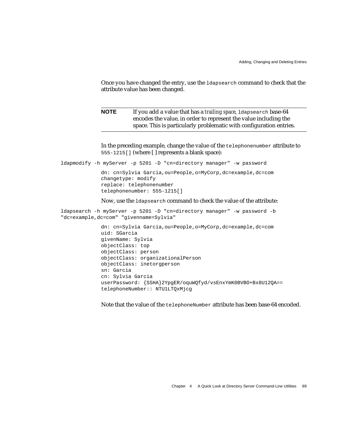Once you have changed the entry, use the ldapsearch command to check that the attribute value has been changed.

**NOTE** If you add a value that has a *trailing space*, ldapsearch base-64 encodes the value, in order to represent the value including the space. This is particularly problematic with configuration entries.

In the preceding example, change the value of the telephonenumber attribute to 555-1215[] (where [ ] represents a blank space):

ldapmodify -h myServer -p 5201 -D "cn=directory manager" -w password

dn: cn=Sylvia Garcia,ou=People,o=MyCorp,dc=example,dc=com changetype: modify replace: telephonenumber telephonenumber: 555-1215[]

Now, use the ldapsearch command to check the value of the attribute:

ldapsearch -h myServer -p 5201 -D "cn=directory manager" -w password -b "dc=example,dc=com" "givenname=Sylvia"

> dn: cn=Sylvia Garcia,ou=People,o=MyCorp,dc=example,dc=com uid: SGarcia givenName: Sylvia objectClass: top objectClass: person objectClass: organizationalPerson objectClass: inetorgperson sn: Garcia cn: Sylvia Garcia userPassword: {SSHA}2YpgER/oquWQfyd/vsEnxYmK0BVBO+Bx8U12QA== telephoneNumber:: NTU1LTQxMjcg

Note that the value of the telephoneNumber attribute has been base-64 encoded.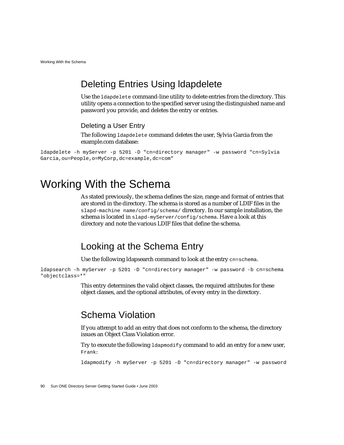## Deleting Entries Using ldapdelete

Use the ldapdelete command-line utility to delete entries from the directory. This utility opens a connection to the specified server using the distinguished name and password you provide, and deletes the entry or entries.

### Deleting a User Entry

The following ldapdelete command deletes the user, Sylvia Garcia from the example.com database:

```
ldapdelete -h myServer -p 5201 -D "cn=directory manager" -w password "cn=Sylvia 
Garcia,ou=People,o=MyCorp,dc=example,dc=com"
```
# Working With the Schema

As stated previously, the schema defines the size, range and format of entries that are stored in the directory. The schema is stored as a number of LDIF files in the slapd-machine name/config/schema/ directory. In our sample installation, the schema is located in slapd-myServer/config/schema. Have a look at this directory and note the various LDIF files that define the schema.

## Looking at the Schema Entry

Use the following ldapsearch command to look at the entry cn=schema.

```
ldapsearch -h myServer -p 5201 -D "cn=directory manager" -w password -b cn=schema 
"objectclass=*"
```
This entry determines the valid object classes, the required attributes for these object classes, and the optional attributes, of every entry in the directory.

## Schema Violation

If you attempt to add an entry that does not conform to the schema, the directory issues an Object Class Violation error.

Try to execute the following ldapmodify command to add an entry for a new user, Frank:

ldapmodify -h myServer -p 5201 -D "cn=directory manager" -w password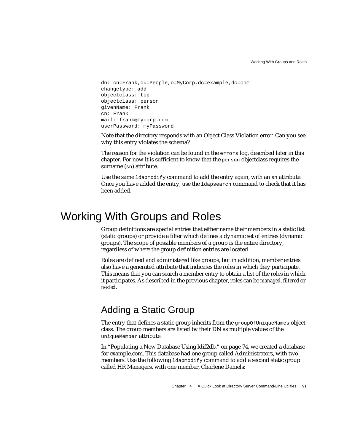```
dn: cn=Frank,ou=People,o=MyCorp,dc=example,dc=com
changetype: add
objectclass: top
objectclass: person
givenName: Frank
cn: Frank
mail: frank@mycorp.com
userPassword: myPassword
```
Note that the directory responds with an Object Class Violation error. Can you see why this entry violates the schema?

The reason for the violation can be found in the errors log, described later in this chapter. For now it is sufficient to know that the person objectclass requires the surname (sn) attribute.

Use the same  $\text{Idapmodify}$  command to add the entry again, with an sn attribute. Once you have added the entry, use the ldapsearch command to check that it has been added.

# Working With Groups and Roles

Group definitions are special entries that either name their members in a static list (static groups) or provide a filter which defines a dynamic set of entries (dynamic groups). The scope of possible members of a group is the entire directory, regardless of where the group definition entries are located.

Roles are defined and administered like groups, but in addition, member entries also have a generated attribute that indicates the roles in which they participate. This means that you can search a member entry to obtain a list of the roles in which it participates. As described in the previous chapter, roles can be *managed*, *filtered* or *nested*.

### Adding a Static Group

The entry that defines a static group inherits from the groupOfUniqueNames object class. The group members are listed by their DN as multiple values of the uniqueMember attribute.

In ["Populating a New Database Using ldif2db," on page 74](#page-73-0), we created a database for example.com. This database had one group called Administrators, with two members. Use the following ldapmodify command to add a second static group called HR Managers, with one member, Charlene Daniels: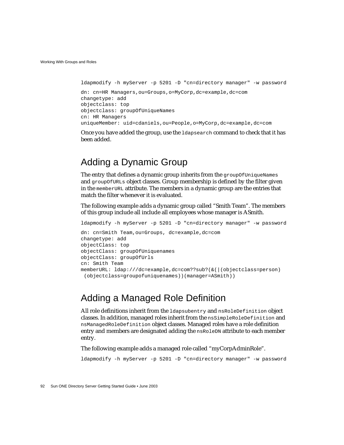```
ldapmodify -h myServer -p 5201 -D "cn=directory manager" -w password
dn: cn=HR Managers,ou=Groups,o=MyCorp,dc=example,dc=com
changetype: add
objectclass: top
objectclass: groupOfUniqueNames
cn: HR Managers
uniqueMember: uid=cdaniels,ou=People,o=MyCorp,dc=example,dc=com
```
Once you have added the group, use the ldapsearch command to check that it has been added.

## Adding a Dynamic Group

The entry that defines a dynamic group inherits from the  $graph$  oupOfUniqueNames and groupOfURLs object classes. Group membership is defined by the filter given in the memberURL attribute. The members in a dynamic group are the entries that match the filter whenever it is evaluated.

The following example adds a dynamic group called "Smith Team". The members of this group include all include all employees whose manager is ASmith.

```
ldapmodify -h myServer -p 5201 -D "cn=directory manager" -w password
dn: cn=Smith Team,ou=Groups, dc=example,dc=com
changetype: add
objectClass: top
objectClass: groupOfUniquenames
objectClass: groupOfUrls
cn: Smith Team
memberURL: ldap:///dc=example,dc=com??sub?(&(|(objectclass=person)
(objectclass=groupofuniquenames))(manager=ASmith))
```
### Adding a Managed Role Definition

All role definitions inherit from the 1dapsubentry and nsRoleDefinition object classes. In addition, managed roles inherit from the nsSimpleRoleDefinition and nsManagedRoleDefinition object classes. Managed roles have a role definition entry and members are designated adding the nsRoleDN attribute to each member entry.

The following example adds a managed role called "myCorpAdminRole".

```
ldapmodify -h myServer -p 5201 -D "cn=directory manager" -w password
```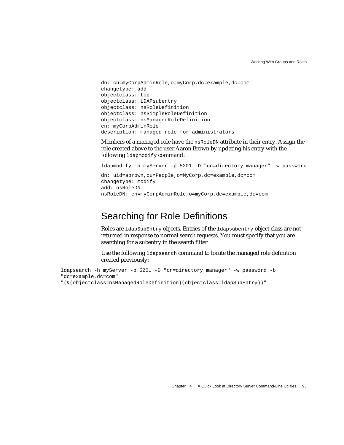```
dn: cn=myCorpAdminRole,o=myCorp,dc=example,dc=com
changetype: add
objectclass: top
objectclass: LDAPsubentry
objectclass: nsRoleDefinition
objectclass: nsSimpleRoleDefinition
objectclass: nsManagedRoleDefinition
cn: myCorpAdminRole
description: managed role for administrators
```
Members of a managed role have the nsRoleDN attribute in their entry. Assign the role created above to the user Aaron Brown by updating his entry with the following ldapmodify command:

```
ldapmodify -h myServer -p 5201 -D "cn=directory manager" -w password
dn: uid=abrown,ou=People,o=MyCorp,dc=example,dc=com
changetype: modify
add: nsRoleDN
nsRoleDN: cn=myCorpAdminRole,o=myCorp,dc=example,dc=com
```
### Searching for Role Definitions

Roles are ldapSubEntry objects. Entries of the ldapsubentry object class are not returned in response to normal search requests. You must specify that you are searching for a subentry in the search filter.

Use the following ldapsearch command to locate the managed role definition created previously:

```
ldapsearch -h myServer -p 5201 -D "cn=directory manager" -w password -b 
"dc=example,dc=com" 
"(&(objectclass=nsManagedRoleDefinition)(objectclass=ldapSubEntry))"
```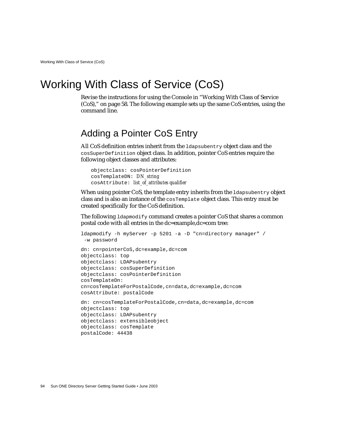# Working With Class of Service (CoS)

Revise the instructions for using the Console in ["Working With Class of Service](#page-57-0)  [\(CoS\)," on page 58.](#page-57-0) The following example sets up the same CoS entries, using the command line.

### Adding a Pointer CoS Entry

All CoS definition entries inherit from the ldapsubentry object class and the cosSuperDefinition object class. In addition, pointer CoS entries require the following object classes and attributes:

```
objectclass: cosPointerDefinition
cosTemplateDN: DN_string
cosAttribute: list_of_attributes qualifier
```
When using pointer CoS, the template entry inherits from the Ldapsubentry object class and is also an instance of the cosTemplate object class. This entry must be created specifically for the CoS definition.

The following  $l$  dapmodify command creates a pointer CoS that shares a common postal code with all entries in the dc=example,dc=com tree:

```
ldapmodify -h myServer -p 5201 -a -D "cn=directory manager" /
-w password
dn: cn=pointerCoS,dc=example,dc=com
objectclass: top
objectclass: LDAPsubentry
objectclass: cosSuperDefinition
objectclass: cosPointerDefinition
cosTemplateDn: 
cn=cosTemplateForPostalCode,cn=data,dc=example,dc=com
cosAttribute: postalCode 
dn: cn=cosTemplateForPostalCode,cn=data,dc=example,dc=com
objectclass: top
objectclass: LDAPsubentry
objectclass: extensibleobject
objectclass: cosTemplate
postalCode: 44438
```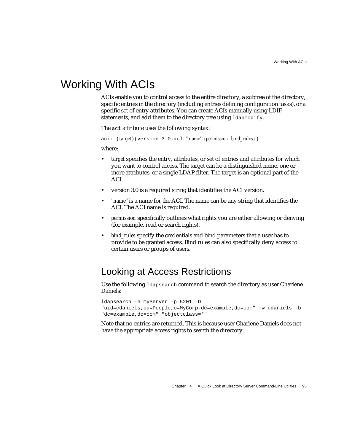# Working With ACIs

ACIs enable you to control access to the entire directory, a subtree of the directory, specific entries in the directory (including entries defining configuration tasks), or a specific set of entry attributes. You can create ACIs manually using LDIF statements, and add them to the directory tree using ldapmodify.

The aci attribute uses the following syntax:

aci: (*target*)(version 3.0;acl "*name*";*permission bind\_rules*;)

where:

- *target* specifies the entry, attributes, or set of entries and attributes for which you want to control access. The target can be a distinguished name, one or more attributes, or a single LDAP filter. The target is an optional part of the ACI.
- version 3.0 is a required string that identifies the ACI version.
- "*name*" is a name for the ACI. The name can be any string that identifies the ACI. The ACI name is required.
- *permission* specifically outlines what rights you are either allowing or denying (for example, read or search rights).
- *bind\_rules* specify the credentials and bind parameters that a user has to provide to be granted access. Bind rules can also specifically deny access to certain users or groups of users.

### Looking at Access Restrictions

Use the following ldapsearch command to search the directory as user Charlene Daniels:

```
ldapsearch -h myServer -p 5201 -D 
"uid=cdaniels,ou=People,o=MyCorp,dc=example,dc=com" -w cdaniels -b 
"dc=example,dc=com" "objectclass=*"
```
Note that no entries are returned. This is because user Charlene Daniels does not have the appropriate access rights to search the directory.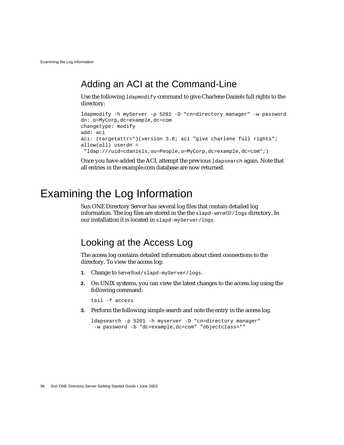## Adding an ACI at the Command-Line

Use the following  $ld$ apmodify command to give Charlene Daniels full rights to the directory:

```
ldapmodify -h myServer -p 5201 -D "cn=directory manager" -w password
dn: o=MyCorp,dc=example,dc=com
changetype: modify
add: aci
aci: (targetattr=*)(version 3.0; aci "give charlene full rights"; 
allow(all) userdn = 
 "ldap:///uid=cdaniels,ou=People,o=MyCorp,dc=example,dc=com";)
```
Once you have added the ACI, attempt the previous ldapsearch again. Note that all entries in the example.com database are now returned.

# Examining the Log Information

Sun ONE Directory Server has several log files that contain detailed log information. The log files are stored in the the slapd-*serverID*/logs directory. In our installation it is located in slapd-myServer/logs.

### Looking at the Access Log

The access log contains detailed information about client connections to the directory. To view the access log:

- **1.** Change to *ServerRoot*/slapd-myServer/logs.
- **2.** On UNIX systems, you can view the latest changes to the access log using the following command:

tail -f access

**3.** Perform the following simple search and note the entry in the access log.

```
ldapsearch -p 5201 -h myserver -D "cn=directory manager" 
-w password -b "dc=example,dc=com" "objectclass=*"
```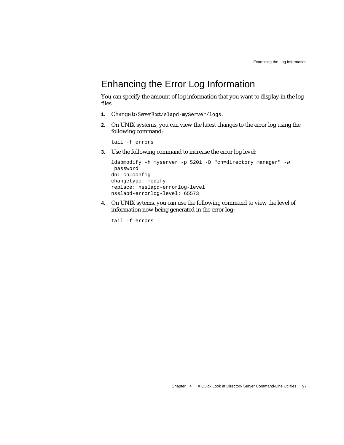### Enhancing the Error Log Information

You can specify the amount of log information that you want to display in the log files.

- **1.** Change to *ServerRoot*/slapd-myServer/logs.
- **2.** On UNIX systems, you can view the latest changes to the error log using the following command:

tail -f errors

**3.** Use the following command to increase the error log level:

```
ldapmodify -h myserver -p 5201 -D "cn=directory manager" -w 
password
dn: cn=config
changetype: modify
replace: nsslapd-errorlog-level
nsslapd-errorlog-level: 65573
```
**4.** On UNIX sytems, you can use the following command to view the level of information now being generated in the error log:

tail -f errors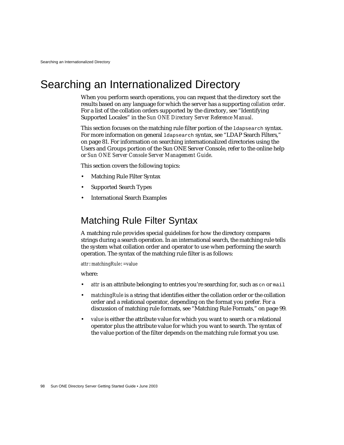# <span id="page-97-0"></span>Searching an Internationalized Directory

When you perform search operations, you can request that the directory sort the results based on any language for which the server has a supporting *collation order*. For a list of the collation orders supported by the directory, see "Identifying Supported Locales" in the *Sun ONE Directory Server Reference Manual*.

This section focuses on the matching rule filter portion of the ldapsearch syntax. For more information on general ldapsearch syntax, see ["LDAP Search Filters,"](#page-80-0)  [on page 81.](#page-80-0) For information on searching internationalized directories using the Users and Groups portion of the Sun ONE Server Console, refer to the online help or *Sun ONE Server Console Server Management Guide*.

This section covers the following topics:

- • [Matching Rule Filter Syntax](#page-97-1)
- • [Supported Search Types](#page-100-0)
- • [International Search Examples](#page-101-0)

# <span id="page-97-1"></span>Matching Rule Filter Syntax

A matching rule provides special guidelines for how the directory compares strings during a search operation. In an international search, the matching rule tells the system what collation order and operator to use when performing the search operation. The syntax of the matching rule filter is as follows:

*attr*:*matchingRule*:=*value*

where:

- attr is an attribute belonging to entries you're searching for, such as cn or mail
- *matchingRule* is a string that identifies either the collation order or the collation order and a relational operator, depending on the format you prefer. For a discussion of matching rule formats, see ["Matching Rule Formats," on page 99](#page-98-0).
- *value* is either the attribute value for which you want to search or a relational operator plus the attribute value for which you want to search. The syntax of the value portion of the filter depends on the matching rule format you use.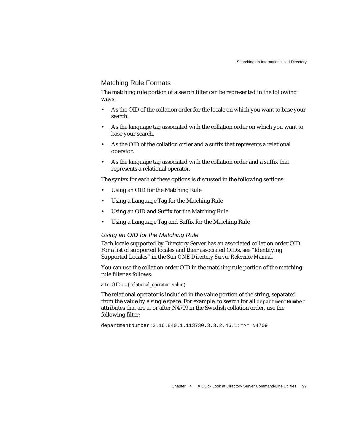#### <span id="page-98-0"></span>Matching Rule Formats

The matching rule portion of a search filter can be represented in the following ways:

- As the OID of the collation order for the locale on which you want to base your search.
- As the language tag associated with the collation order on which you want to base your search.
- As the OID of the collation order and a suffix that represents a relational operator.
- As the language tag associated with the collation order and a suffix that represents a relational operator.

The syntax for each of these options is discussed in the following sections:

- • [Using an OID for the Matching Rule](#page-98-1)
- • [Using a Language Tag for the Matching Rule](#page-99-0)
- • [Using an OID and Suffix for the Matching Rule](#page-99-1)
- • [Using a Language Tag and Suffix for the Matching Rule](#page-99-2)

#### <span id="page-98-1"></span>Using an OID for the Matching Rule

Each locale supported by Directory Server has an associated collation order OID. For a list of supported locales and their associated OIDs, see "Identifying Supported Locales" in the *Sun ONE Directory Server Reference Manual*.

You can use the collation order OID in the matching rule portion of the matching rule filter as follows:

#### *attr*:*OID*:=(*relational\_operator value*)

The relational operator is included in the value portion of the string, separated from the value by a single space. For example, to search for all departmentNumber attributes that are at or after N4709 in the Swedish collation order, use the following filter:

departmentNumber:2.16.840.1.113730.3.3.2.46.1:=>= N4709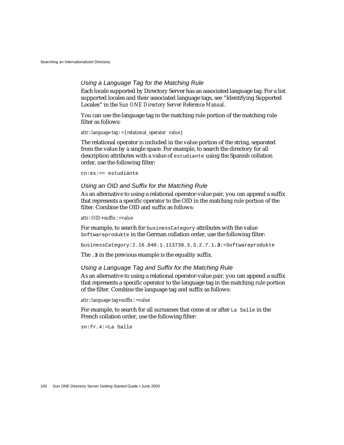#### <span id="page-99-0"></span>Using a Language Tag for the Matching Rule

Each locale supported by Directory Server has an associated language tag. For a list supported locales and their associated language tags, see "Identifying Supported Locales" in the *Sun ONE Directory Server Reference Manual*.

You can use the language tag in the matching rule portion of the matching rule filter as follows:

*attr*:*language-tag*:=(*relational\_operator value*)

The relational operator is included in the value portion of the string, separated from the value by a single space. For example, to search the directory for all description attributes with a value of estudiante using the Spanish collation order, use the following filter:

```
cn:es:== estudiante
```
#### <span id="page-99-1"></span>Using an OID and Suffix for the Matching Rule

As an alternative to using a relational operator-value pair, you can append a suffix that represents a specific operator to the OID in the matching rule portion of the filter. Combine the OID and suffix as follows:

*attr*:*OID+suffix*:=*value*

For example, to search for businessCategory attributes with the value Softwareprodukte in the German collation order, use the following filter:

businessCategory:2.16.840.1.113730.3.3.2.7.1**.3**:=Softwareprodukte

The **.3** in the previous example is the equality suffix.

#### <span id="page-99-2"></span>Using a Language Tag and Suffix for the Matching Rule

As an alternative to using a relational operator-value pair, you can append a suffix that represents a specific operator to the language tag in the matching rule portion of the filter. Combine the language tag and suffix as follows:

```
attr:language-tag+suffix:=value
```
For example, to search for all surnames that come at or after La Salle in the French collation order, use the following filter:

sn:fr.4:=La Salle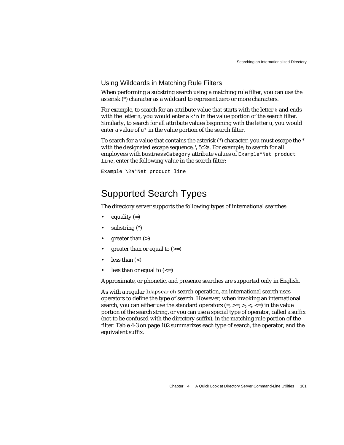### Using Wildcards in Matching Rule Filters

When performing a substring search using a matching rule filter, you can use the asterisk (\*) character as a wildcard to represent zero or more characters.

For example, to search for an attribute value that starts with the letter  $k$  and ends with the letter n, you would enter a  $k * n$  in the value portion of the search filter. Similarly, to search for all attribute values beginning with the letter u, you would enter a value of  $u^*$  in the value portion of the search filter.

To search for a value that contains the asterisk (\*) character, you must escape the \* with the designated escape sequence, \5c2a. For example, to search for all employees with businessCategory attribute values of Example\*Net product line, enter the following value in the search filter:

```
Example \2a*Net product line
```
### <span id="page-100-0"></span>Supported Search Types

The directory server supports the following types of international searches:

- equality  $(=)$
- substring  $(*)$
- greater than  $(>)$
- greater than or equal to  $(>=)$
- less than  $(\le)$
- less than or equal to  $(\leq)$

Approximate, or phonetic, and presence searches are supported only in English.

As with a regular ldapsearch search operation, an international search uses operators to define the type of search. However, when invoking an international search, you can either use the standard operators  $(=, >=, >, <, ==)$  in the value portion of the search string, or you can use a special type of operator, called a suffix (not to be confused with the directory suffix), in the matching rule portion of the filter. [Table 4-3 on page 102](#page-101-1) summarizes each type of search, the operator, and the equivalent suffix.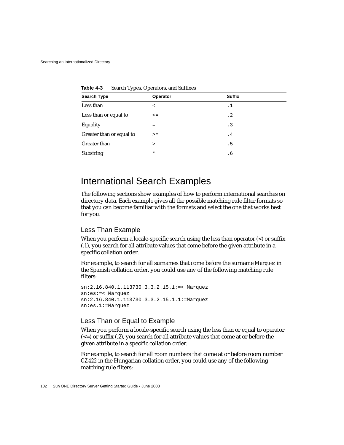| $\sim$ 1 $\sim$ 1 $\sim$ 1 $\sim$ 1 $\sim$ 1 $\sim$ 1 $\sim$ 1 $\sim$ 1 $\sim$ 1 $\sim$ 1 $\sim$ 1 $\sim$ 1 $\sim$ 1 $\sim$ 1 $\sim$ |            |               |  |  |  |  |
|--------------------------------------------------------------------------------------------------------------------------------------|------------|---------------|--|--|--|--|
| Search Type                                                                                                                          | Operator   | <b>Suffix</b> |  |  |  |  |
| Less than                                                                                                                            | $\,<\,$    | .1            |  |  |  |  |
| Less than or equal to                                                                                                                | $\leq$ $=$ | $\cdot$ 2     |  |  |  |  |
| Equality                                                                                                                             | $=$        | . 3           |  |  |  |  |
| Greater than or equal to                                                                                                             | $>=$       | .4            |  |  |  |  |
| Greater than                                                                                                                         | $\geq$     | . 5           |  |  |  |  |
| Substring                                                                                                                            | *          | . 6           |  |  |  |  |
|                                                                                                                                      |            |               |  |  |  |  |

<span id="page-101-1"></span>**Table 4-3** Search Types, Operators, and Suffixes

### <span id="page-101-0"></span>International Search Examples

The following sections show examples of how to perform international searches on directory data. Each example gives all the possible matching rule filter formats so that you can become familiar with the formats and select the one that works best for you.

### Less Than Example

When you perform a locale-specific search using the less than operator (<) or suffix (.1), you search for all attribute values that come before the given attribute in a specific collation order.

For example, to search for all surnames that come before the surname *Marquez* in the Spanish collation order, you could use any of the following matching rule filters:

```
sn:2.16.840.1.113730.3.3.2.15.1:=< Marquez
sn:es:=< Marquez
sn:2.16.840.1.113730.3.3.2.15.1.1:=Marquez
sn:es.1:=Marquez
```
### Less Than or Equal to Example

When you perform a locale-specific search using the less than or equal to operator  $(\leq)$  or suffix (.2), you search for all attribute values that come at or before the given attribute in a specific collation order.

For example, to search for all room numbers that come at or before room number *CZ422* in the Hungarian collation order, you could use any of the following matching rule filters: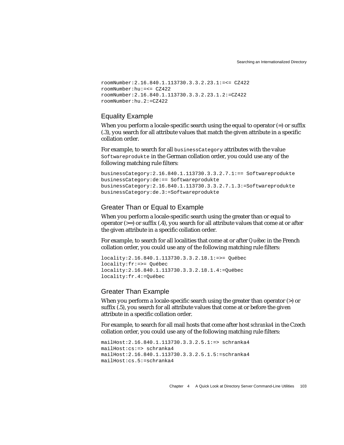```
roomNumber:2.16.840.1.113730.3.3.2.23.1:=<= CZ422
roomNumber:hu:=<= CZ422
roomNumber:2.16.840.1.113730.3.3.2.23.1.2:=CZ422
roomNumber:hu.2:=CZ422
```
### Equality Example

When you perform a locale-specific search using the equal to operator (=) or suffix (.3), you search for all attribute values that match the given attribute in a specific collation order.

For example, to search for all businessCategory attributes with the value Softwareprodukte in the German collation order, you could use any of the following matching rule filters:

```
businessCategory: 2.16.840.1.113730.3.3.2.7.1:=5 Softwareprodukte
businessCategory:de:== Softwareprodukte
businessCategory:2.16.840.1.113730.3.3.2.7.1.3:=Softwareprodukte
businessCategory:de.3:=Softwareprodukte
```
### Greater Than or Equal to Example

When you perform a locale-specific search using the greater than or equal to operator  $(>=)$  or suffix  $(0.4)$ , you search for all attribute values that come at or after the given attribute in a specific collation order.

For example, to search for all localities that come at or after *Québec* in the French collation order, you could use any of the following matching rule filters:

```
locality:2.16.840.1.113730.3.3.2.18.1:=>= Québec
locality:fr:=>= Québec
locality:2.16.840.1.113730.3.3.2.18.1.4:=Québec
locality:fr.4:=Québec
```
### Greater Than Example

When you perform a locale-specific search using the greater than operator (>) or suffix (.5), you search for all attribute values that come at or before the given attribute in a specific collation order.

For example, to search for all mail hosts that come after host *schranka4* in the Czech collation order, you could use any of the following matching rule filters:

```
mailHost:2.16.840.1.113730.3.3.2.5.1:=> schranka4
mailHost:cs:=> schranka4
mailHost:2.16.840.1.113730.3.3.2.5.1.5:=schranka4
mailHost:cs.5:=schranka4
```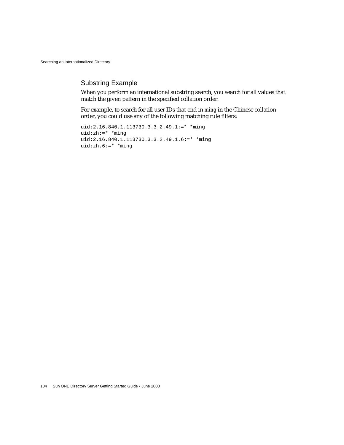### Substring Example

When you perform an international substring search, you search for all values that match the given pattern in the specified collation order.

For example, to search for all user IDs that end in *ming* in the Chinese collation order, you could use any of the following matching rule filters:

```
uid:2.16.840.1.113730.3.3.2.49.1:=* *ming
uid:zh:=* *ming
uid:2.16.840.1.113730.3.3.2.49.1.6:=* *ming
uid:zh.6:=* *minq
```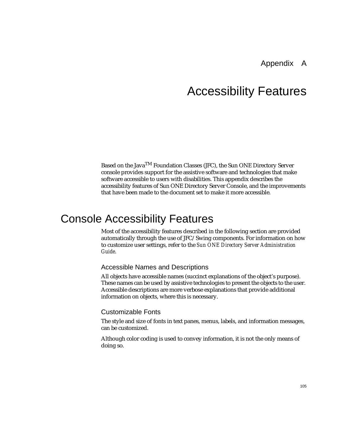# Accessibility Features

Based on the Java<sup>TM</sup> Foundation Classes (JFC), the Sun ONE Directory Server console provides support for the assistive software and technologies that make software accessible to users with disabilities. This appendix describes the accessibility features of Sun ONE Directory Server Console, and the improvements that have been made to the document set to make it more accessible.

# Console Accessibility Features

Most of the accessibility features described in the following section are provided automatically through the use of JFC/Swing components. For information on how to customize user settings, refer to the *Sun ONE Directory Server Administration Guide*.

#### Accessible Names and Descriptions

All objects have accessible names (succinct explanations of the object's purpose). These names can be used by assistive technologies to present the objects to the user. Accessible descriptions are more verbose explanations that provide additional information on objects, where this is necessary.

#### Customizable Fonts

The style and size of fonts in text panes, menus, labels, and information messages, can be customized.

Although color coding is used to convey information, it is not the only means of doing so.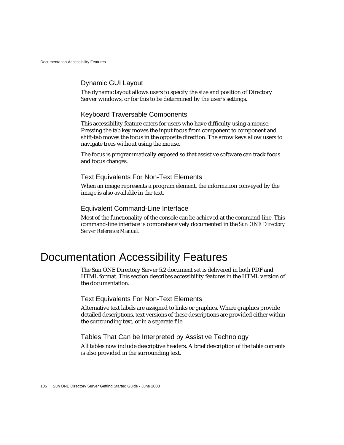### Dynamic GUI Layout

The dynamic layout allows users to specify the size and position of Directory Server windows, or for this to be determined by the user's settings.

### Keyboard Traversable Components

This accessibility feature caters for users who have difficulty using a mouse. Pressing the tab key moves the input focus from component to component and shift-tab moves the focus in the opposite direction. The arrow keys allow users to navigate trees without using the mouse.

The focus is programmatically exposed so that assistive software can track focus and focus changes.

### Text Equivalents For Non-Text Elements

When an image represents a program element, the information conveyed by the image is also available in the text.

### Equivalent Command-Line Interface

Most of the functionality of the console can be achieved at the command-line. This command-line interface is comprehensively documented in the *Sun ONE Directory Server Reference Manual*.

# Documentation Accessibility Features

The Sun ONE Directory Server 5.2 document set is delivered in both PDF and HTML format. This section describes accessibility features in the HTML version of the documentation.

### Text Equivalents For Non-Text Elements

Alternative text labels are assigned to links or graphics. Where graphics provide detailed descriptions, text versions of these descriptions are provided either within the surrounding text, or in a separate file.

### Tables That Can be Interpreted by Assistive Technology

All tables now include descriptive headers. A brief description of the table contents is also provided in the surrounding text.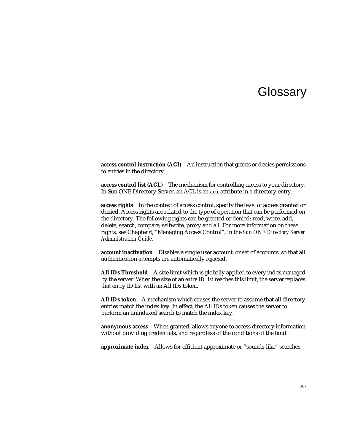# **Glossary**

**access control instruction (ACI)** An instruction that grants or denies permissions to entries in the directory.

**access control list (ACL)** The mechanism for controlling access to your directory. In Sun ONE Directory Server, an ACL is an aci attribute in a directory entry.

**access rights** In the context of access control, specify the level of access granted or denied. Access rights are related to the type of operation that can be performed on the directory. The following rights can be granted or denied: read, write, add, delete, search, compare, selfwrite, proxy and all. For more information on these rights, see Chapter 6, "Managing Access Control", in the *Sun ONE Directory Server Administration Guide*.

**account inactivation** Disables a single user account, or set of accounts, so that all authentication attempts are automatically rejected.

**All IDs Threshold** A size limit which is globally applied to every index managed by the server. When the size of an *[entry ID list](#page-112-0)* reaches this limit, the server replaces that entry ID list with an All IDs token.

**All IDs token** A mechanism which causes the server to assume that all directory entries match the index key. In effect, the All IDs token causes the server to perform an unindexed search to match the index key.

**anonymous access** When granted, allows anyone to access directory information without providing credentials, and regardless of the conditions of the bind.

**approximate index** Allows for efficient approximate or "sounds-like" searches.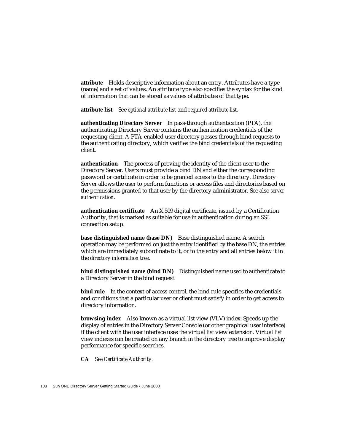**attribute** Holds descriptive information about an entry. Attributes have a type (name) and a set of values. An attribute type also specifies the syntax for the kind of information that can be stored as values of attributes of that type.

**attribute list** See *[optional attribute list](#page-115-0)* and *[required attribute list](#page-117-0)*.

**authenticating Directory Server** In pass-through authentication (PTA), the authenticating Directory Server contains the authentication credentials of the requesting client. A PTA-enabled user directory passes through bind requests to the authenticating directory, which verifies the bind credentials of the requesting client.

**authentication** The process of proving the identity of the client user to the Directory Server. Users must provide a bind DN and either the corresponding password or certificate in order to be granted access to the directory. Directory Server allows the user to perform functions or access files and directories based on the permissions granted to that user by the directory administrator. See also *[server](#page-119-0)  [authentication](#page-119-0)*.

**authentication certificate** An X.509 digital certificate, issued by a Certification Authority, that is marked as suitable for use in authentication during an *[SSL](#page-119-1)* connection setup.

**base distinguished name (base DN)** Base distinguished name. A search operation may be performed on just the entry identified by the base DN, the entries which are immediately subordinate to it, or to the entry and all entries below it in the *[directory information tree](#page-110-0)*.

**bind distinguished name (bind DN)** Distinguished name used to authenticate to a Directory Server in the bind request.

**bind rule** In the context of access control, the bind rule specifies the credentials and conditions that a particular user or client must satisfy in order to get access to directory information.

**browsing index** Also known as a virtual list view (VLV) index. Speeds up the display of entries in the Directory Server Console (or other graphical user interface) if the client with the user interface uses the virtual list view extension. Virtual list view indexes can be created on any branch in the directory tree to improve display performance for specific searches.

**CA** *See [Certificate Authority.](#page-108-0)*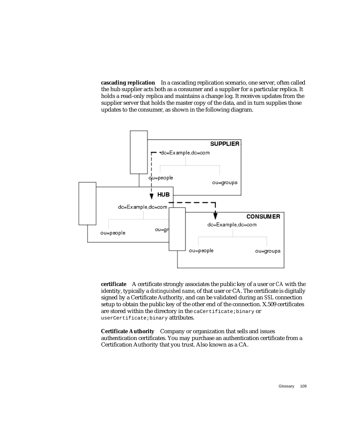<span id="page-108-0"></span>**cascading replication** In a cascading replication scenario, one server, often called the hub supplier acts both as a consumer and a supplier for a particular replica. It holds a read-only replica and maintains a change log. It receives updates from the supplier server that holds the master copy of the data, and in turn supplies those updates to the consumer, as shown in the following diagram.



**certificate** A certificate strongly associates the public key of a user or *[CA](#page-107-0)* with the identity, typically a *[distinguished name](#page-111-0)*, of that user or CA. The certificate is digitally signed by a Certificate Authority, and can be validated during an *[SSL](#page-119-0)* connection setup to obtain the public key of the other end of the connection. X.509 certificates are stored within the directory in the caCertificate;binary or userCertificate;binary attributes.

**Certificate Authority** Company or organization that sells and issues authentication certificates. You may purchase an authentication certificate from a Certification Authority that you trust. Also known as a CA.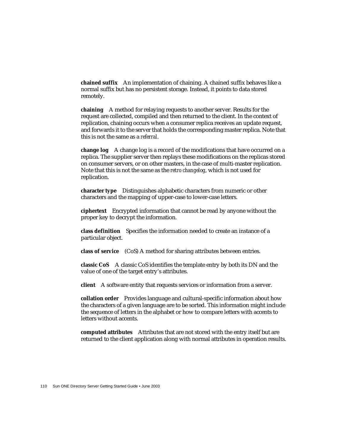**chained suffix** An implementation of chaining. A chained suffix behaves like a normal suffix but has no persistent storage. Instead, it points to data stored remotely.

**chaining** A method for relaying requests to another server. Results for the request are collected, compiled and then returned to the client. In the context of replication, chaining occurs when a consumer replica receives an update request, and forwards it to the server that holds the corresponding master replica. Note that this is not the same as a *[referral](#page-117-0)*.

<span id="page-109-1"></span>**change log** A change log is a record of the modifications that have occurred on a replica. The supplier server then replays these modifications on the replicas stored on consumer servers, or on other masters, in the case of multi-master replication. Note that this is not the same as the *[retro changelog](#page-118-0)*, which is not used for replication.

**character type** Distinguishes alphabetic characters from numeric or other characters and the mapping of upper-case to lower-case letters.

**ciphertext** Encrypted information that cannot be read by anyone without the proper key to decrypt the information.

**class definition** Specifies the information needed to create an instance of a particular object.

<span id="page-109-0"></span>**class of service** (CoS) A method for sharing attributes between entries.

**classic CoS** A classic CoS identifies the template entry by both its DN and the value of one of the target entry's attributes.

<span id="page-109-2"></span>**client** A software entity that requests services or information from a server.

**collation order** Provides language and cultural-specific information about how the characters of a given language are to be sorted. This information might include the sequence of letters in the alphabet or how to compare letters with accents to letters without accents.

**computed attributes** Attributes that are not stored with the entry itself but are returned to the client application along with normal attributes in operation results.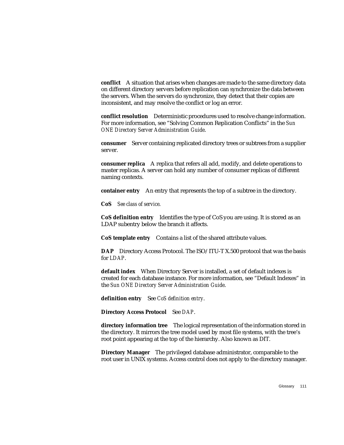<span id="page-110-3"></span>**conflict** A situation that arises when changes are made to the same directory data on different directory servers before replication can synchronize the data between the servers. When the servers do synchronize, they detect that their copies are inconsistent, and may resolve the conflict or log an error.

**conflict resolution** Deterministic procedures used to resolve change information. For more information, see "Solving Common Replication Conflicts" in the *Sun ONE Directory Server Administration Guide*.

<span id="page-110-4"></span>**consumer** Server containing replicated directory trees or subtrees from a supplier server.

<span id="page-110-5"></span>**consumer replica** A replica that refers all add, modify, and delete operations to master replicas. A server can hold any number of consumer replicas of different naming contexts.

**container entry** An entry that represents the top of a subtree in the directory.

**CoS** *See [class of service](#page-109-0)*.

<span id="page-110-0"></span>**CoS definition entry** Identifies the type of CoS you are using. It is stored as an LDAP subentry below the branch it affects.

<span id="page-110-6"></span>**CoS template entry** Contains a list of the shared attribute values.

<span id="page-110-1"></span>**DAP** Directory Access Protocol. The ISO/ITU-T X.500 protocol that was the basis for *[LDAP](#page-113-0)*.

**default index** When Directory Server is installed, a set of default indexes is created for each database instance. For more information, see "Default Indexes" in the *Sun ONE Directory Server Administration Guide*.

**definition entry** See *[CoS definition entry](#page-110-0)*.

**Directory Access Protocol** See *[DAP](#page-110-1)*.

<span id="page-110-2"></span>**directory information tree** The logical representation of the information stored in the directory. It mirrors the tree model used by most file systems, with the tree's root point appearing at the top of the hierarchy. Also known as [DIT.](#page-111-1)

**Directory Manager** The privileged database administrator, comparable to the root user in UNIX systems. Access control does not apply to the directory manager.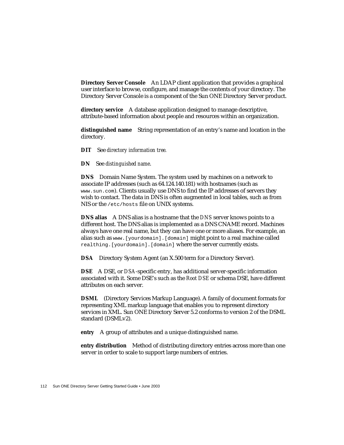**Directory Server Console** An LDAP client application that provides a graphical user interface to browse, configure, and manage the contents of your directory. The Directory Server Console is a component of the Sun ONE Directory Server product.

**directory service** A database application designed to manage descriptive, attribute-based information about people and resources within an organization.

<span id="page-111-0"></span>**distinguished name** String representation of an entry's name and location in the directory.

<span id="page-111-1"></span>**DIT** See *[directory information tree](#page-110-2).*

**DN** See *[distinguished name](#page-111-0)*.

<span id="page-111-3"></span>**DNS** Domain Name System. The system used by machines on a network to associate IP addresses (such as 64.124.140.181) with hostnames (such as www.sun.com). Clients usually use DNS to find the IP addresses of servers they wish to contact. The data in DNS is often augmented in local tables, such as from NIS or the /etc/hosts file on UNIX systems.

**DNS alias** A DNS alias is a hostname that the *[DNS](#page-111-3)* server knows points to a different host. The DNS alias is implemented as a DNS CNAME record. Machines always have one real name, but they can have one or more aliases. For example, an alias such as www.[yourdomain].[domain] might point to a real machine called realthing.[yourdomain].[domain] where the server currently exists.

<span id="page-111-2"></span>**DSA** Directory System Agent (an X.500 term for a Directory Server).

<span id="page-111-5"></span>**DSE** A DSE, or *[DSA](#page-111-2)*-specific entry, has additional server-specific information associated with it. Some DSE's such as the *[Root DSE](#page-118-1)* or schema DSE, have different attributes on each server.

**DSML** (Directory Services Markup Language). A family of document formats for representing XML markup language that enables you to represent directory services in XML. Sun ONE Directory Server 5.2 conforms to version 2 of the DSML standard (DSMLv2).

<span id="page-111-4"></span>**entry** A group of attributes and a unique distinguished name.

**entry distribution** Method of distributing directory entries across more than one server in order to scale to support large numbers of entries.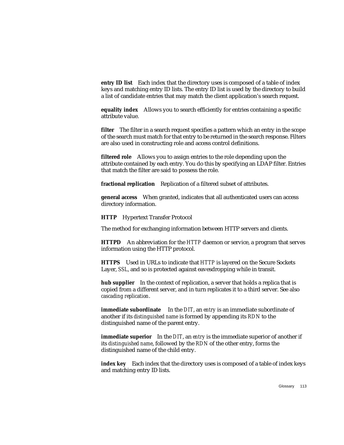**entry ID list** Each index that the directory uses is composed of a table of index keys and matching entry ID lists. The entry ID list is used by the directory to build a list of candidate entries that may match the client application's search request.

**equality index** Allows you to search efficiently for entries containing a specific attribute value.

**filter** The filter in a search request specifies a pattern which an entry in the scope of the search must match for that entry to be returned in the search response. Filters are also used in constructing role and access control definitions.

**filtered role** Allows you to assign entries to the role depending upon the attribute contained by each entry. You do this by specifying an LDAP filter. Entries that match the filter are said to possess the role.

**fractional replication** Replication of a filtered subset of attributes.

**general access** When granted, indicates that all authenticated users can access directory information.

<span id="page-112-0"></span>**HTTP** Hypertext Transfer Protocol

The method for exchanging information between HTTP servers and clients.

**HTTPD** An abbreviation for the *[HTTP](#page-112-0)* daemon or service, a program that serves information using the HTTP protocol.

<span id="page-112-1"></span>**HTTPS** Used in URLs to indicate that *[HTTP](#page-112-0)* is layered on the Secure Sockets Layer, *[SSL](#page-119-0)*, and so is protected against eavesdropping while in transit.

**hub supplier** In the context of replication, a server that holds a replica that is copied from a different server, and in turn replicates it to a third server. See also *[cascading replication](#page-108-0)*.

**immediate subordinate** In the *[DIT](#page-111-1)*, an *[entry](#page-111-4)* is an immediate subordinate of another if its *[distinguished name](#page-111-0)* is formed by appending its *[RDN](#page-116-0)* to the distinguished name of the parent entry.

**immediate superior** In the *[DIT](#page-111-1)*, an *[entry](#page-111-4)* is the immediate superior of another if its *[distinguished name](#page-111-0)*, followed by the *[RDN](#page-116-0)* of the other entry, forms the distinguished name of the child entry.

<span id="page-112-2"></span>**index key** Each index that the directory uses is composed of a table of index keys and matching entry ID lists.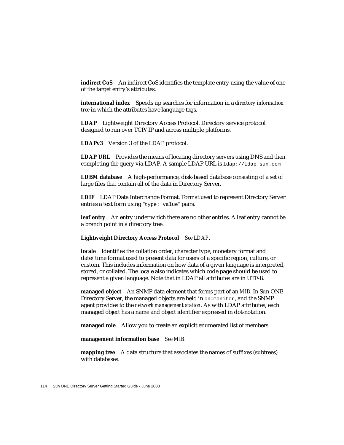**indirect CoS** An indirect CoS identifies the template entry using the value of one of the target entry's attributes.

**international index** Speeds up searches for information in a *[directory information](#page-110-2)  [tree](#page-110-2)* in which the attributes have language tags.

<span id="page-113-0"></span>**LDAP** Lightweight Directory Access Protocol. Directory service protocol designed to run over TCP/IP and across multiple platforms.

**LDAPv3** Version 3 of the LDAP protocol.

**LDAP URL** Provides the means of locating directory servers using DNS and then completing the query via LDAP. A sample LDAP URL is  $l \cdot \text{dap}: l / \text{dap}.$  sun.com

**LDBM database** A high-performance, disk-based database consisting of a set of large files that contain all of the data in Directory Server.

**LDIF** LDAP Data Interchange Format. Format used to represent Directory Server entries a text form using "type: value" pairs.

**leaf entry** An entry under which there are no other entries. A leaf entry cannot be a branch point in a directory tree.

#### **Lightweight Directory Access Protocol** *See [LDAP.](#page-113-0)*

**locale** Identifies the collation order, character type, monetary format and date/time format used to present data for users of a specific region, culture, or custom. This includes information on how data of a given language is interpreted, stored, or collated. The locale also indicates which code page should be used to represent a given language. Note that in LDAP all attributes are in UTF-8.

**managed object** An SNMP data element that forms part of an *[MIB](#page-114-0)*. In Sun ONE Directory Server, the managed objects are held in cn=monitor, and the SNMP agent provides to the *[network management station](#page-114-1)*. As with LDAP attributes, each managed object has a name and object identifier expressed in dot-notation.

**managed role** Allow you to create an explicit enumerated list of members.

#### **management information base** *See [MIB](#page-114-0).*

**mapping tree** A data structure that associates the names of suffixes (subtrees) with databases.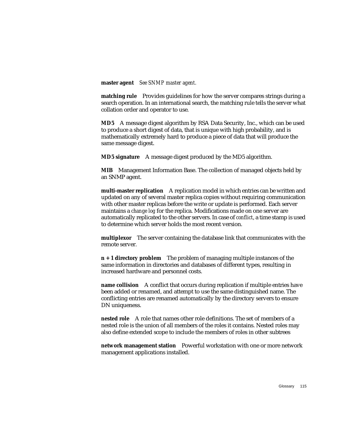**master agent** *See [SNMP master agent](#page-119-1).*

**matching rule** Provides guidelines for how the server compares strings during a search operation. In an international search, the matching rule tells the server what collation order and operator to use.

**MD5** A message digest algorithm by RSA Data Security, Inc., which can be used to produce a short digest of data, that is unique with high probability, and is mathematically extremely hard to produce a piece of data that will produce the same message digest.

**MD5 signature** A message digest produced by the MD5 algorithm.

<span id="page-114-0"></span>**MIB** Management Information Base. The collection of managed objects held by an SNMP agent.

**multi-master replication** A replication model in which entries can be written and updated on any of several master replica copies without requiring communication with other master replicas before the write or update is performed. Each server maintains a *[change log](#page-109-1)* for the replica. Modifications made on one server are automatically replicated to the other servers. In case of *[conflict](#page-110-3)*, a time stamp is used to determine which server holds the most recent version.

**multiplexor** The server containing the database link that communicates with the remote server.

**n + 1 directory problem** The problem of managing multiple instances of the same information in directories and databases of different types, resulting in increased hardware and personnel costs.

**name collision** A conflict that occurs during replication if multiple entries have been added or renamed, and attempt to use the same distinguished name. The conflicting entries are renamed automatically by the directory servers to ensure DN uniqueness.

**nested role** A role that names other role definitions. The set of members of a nested role is the union of all members of the roles it contains. Nested roles may also define extended scope to include the members of roles in other subtrees

<span id="page-114-1"></span>**network management station** Powerful workstation with one or more network management applications installed.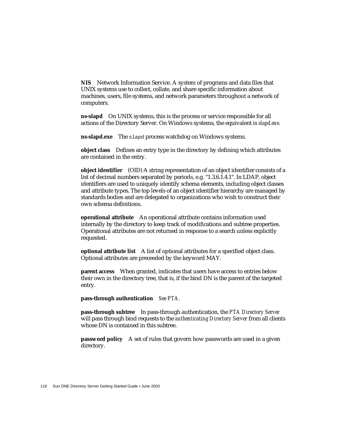**NIS** Network Information Service. A system of programs and data files that UNIX systems use to collect, collate, and share specific information about machines, users, file systems, and network parameters throughout a network of computers.

<span id="page-115-1"></span>**ns-slapd** On UNIX systems, this is the process or service responsible for all actions of the Directory Server. On Windows systems, the equivalent is *[slapd.exe](#page-119-2)*.

**ns-slapd.exe** The slapd process watchdog on Windows systems.

**object class** Defines an entry type in the directory by defining which attributes are contained in the entry.

**object identifier** (OID) A string representation of an object identifier consists of a list of decimal numbers separated by periods, e.g. "1.3.6.1.4.1". In LDAP, object identifiers are used to uniquely identify schema elements, including object classes and attribute types. The top levels of an object identifier hierarchy are managed by standards bodies and are delegated to organizations who wish to construct their own schema definitions.

**operational attribute** An operational attribute contains information used internally by the directory to keep track of modifications and subtree properties. Operational attributes are not returned in response to a search unless explicitly requested.

**optional attribute list** A list of optional attributes for a specified object class. Optional attributes are preceeded by the keyword MAY.

**parent access** When granted, indicates that users have access to entries below their own in the directory tree, that is, if the bind DN is the parent of the targeted entry.

**pass-through authentication** *See [PTA.](#page-116-1)*

<span id="page-115-0"></span>**pass-through subtree** In pass-through authentication, the *[PTA Directory Server](#page-116-2)* will pass through bind requests to the *[authenticating Directory Server](#page-107-1)* from all clients whose DN is contained in this subtree.

**password policy** A set of rules that govern how passwords are used in a given directory.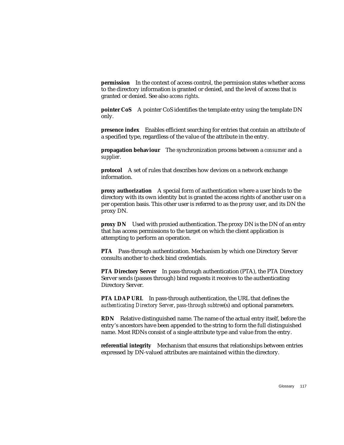**permission** In the context of access control, the permission states whether access to the directory information is granted or denied, and the level of access that is granted or denied. See also *[access rights](#page-106-0)*.

**pointer CoS** A pointer CoS identifies the template entry using the template DN only.

**presence index** Enables efficient searching for entries that contain an attribute of a specified type, regardless of the value of the attribute in the entry.

**propagation behaviour** The synchronization process between a *[consumer](#page-110-4)* and a *[supplier](#page-120-0)*.

**protocol** A set of rules that describes how devices on a network exchange information.

**proxy authorization** A special form of authentication where a user binds to the directory with its own identity but is granted the access rights of another user on a per operation basis. This other user is referred to as the proxy user, and its DN the proxy DN.

**proxy DN** Used with proxied authentication. The proxy DN is the DN of an entry that has access permissions to the target on which the client application is attempting to perform an operation.

<span id="page-116-1"></span>**PTA** Pass-through authentication. Mechanism by which one Directory Server consults another to check bind credentials.

<span id="page-116-2"></span>**PTA Directory Server** In pass-through authentication ([PTA\)](#page-116-1), the PTA Directory Server sends (passes through) bind requests it receives to the [authenticating](#page-107-1)  [Directory Server.](#page-107-1)

**PTA LDAP URL** In pass-through authentication, the URL that defines the *[authenticating Directory Server](#page-107-1)*, *[pass-through subtree](#page-115-0)*(s) and optional parameters.

<span id="page-116-0"></span>**RDN** Relative distinguished name. The name of the actual entry itself, before the entry's ancestors have been appended to the string to form the full distinguished name. Most RDNs consist of a single attribute type and value from the entry.

**referential integrity** Mechanism that ensures that relationships between entries expressed by DN-valued attributes are maintained within the directory.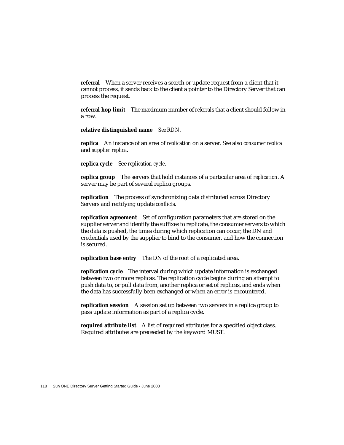<span id="page-117-0"></span>**referral** When a server receives a search or update request from a client that it cannot process, it sends back to the client a pointer to the Directory Server that can process the request.

**referral hop limit** The maximum number of *[referral](#page-117-0)*s that a client should follow in a row.

**relative distinguished name** *See [RDN.](#page-116-0)*

**replica** An instance of an area of *[replication](#page-117-2)* on a server. See also *[consumer replica](#page-110-5)* and *[supplier replica](#page-120-1)*.

**replica cycle** See *[replication cycle](#page-117-1)*.

**replica group** The servers that hold instances of a particular area of *[replication](#page-117-2)*. A server may be part of several replica groups.

<span id="page-117-2"></span>**replication** The process of synchronizing data distributed across Directory Servers and rectifying update *[conflict](#page-110-3)*s.

**replication agreement** Set of configuration parameters that are stored on the supplier server and identify the suffixes to replicate, the consumer servers to which the data is pushed, the times during which replication can occur, the DN and credentials used by the supplier to bind to the consumer, and how the connection is secured.

**replication base entry** The DN of the root of a replicated area.

<span id="page-117-1"></span>**replication cycle** The interval during which update information is exchanged between two or more replicas. The replication cycle begins during an attempt to push data to, or pull data from, another replica or set of replicas, and ends when the data has successfully been exchanged or when an error is encountered.

**replication session** A session set up between two servers in a replica group to pass update information as part of a replica cycle.

**required attribute list** A list of required attributes for a specified object class. Required attributes are preceeded by the keyword MUST.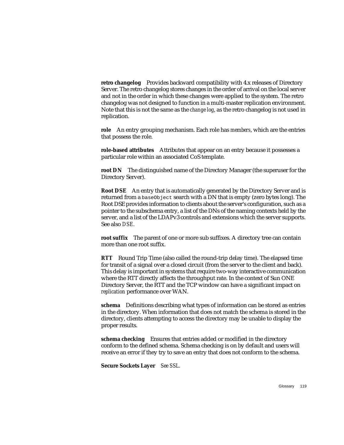<span id="page-118-0"></span>**retro changelog** Provides backward compatibility with 4.x releases of Directory Server. The retro changelog stores changes in the order of arrival on the local server and not in the order in which these changes were applied to the system. The retro changelog was not designed to function in a multi-master replication environment. Note that this is not the same as the *[change log](#page-109-1)*, as the retro changelog is not used in replication.

**role** An entry grouping mechanism. Each role has *members*, which are the entries that possess the role.

**role-based attributes** Attributes that appear on an entry because it possesses a particular role within an associated CoS template.

**root DN** The distinguished name of the Directory Manager (the superuser for the Directory Server).

<span id="page-118-1"></span>**Root DSE** An entry that is automatically generated by the Directory Server and is returned from a baseObject search with a DN that is empty (zero bytes long). The Root DSE provides information to clients about the server's configuration, such as a pointer to the subschema entry, a list of the DNs of the naming contexts held by the server, and a list of the LDAPv3 controls and extensions which the server supports. See also *[DSE](#page-111-5)*.

**root suffix** The parent of one or more sub suffixes. A directory tree can contain more than one root suffix.

**RTT** Round Trip Time (also called the round-trip delay time). The elapsed time for transit of a signal over a closed circuit (from the server to the client and back). This delay is important in systems that require two-way interactive communication where the RTT directly affects the throughput rate. In the context of Sun ONE Directory Server, the RTT and the TCP window can have a significant impact on *[replication](#page-117-2)* performance over WAN.

**schema** Definitions describing what types of information can be stored as entries in the directory. When information that does not match the schema is stored in the directory, clients attempting to access the directory may be unable to display the proper results.

**schema checking** Ensures that entries added or modified in the directory conform to the defined schema. Schema checking is on by default and users will receive an error if they try to save an entry that does not conform to the schema.

**Secure Sockets Layer** *See [SSL.](#page-119-0)*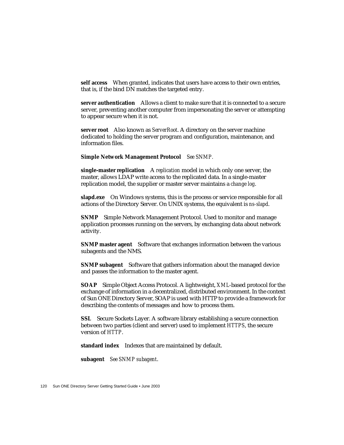**self access** When granted, indicates that users have access to their own entries, that is, if the bind DN matches the targeted entry.

**server authentication** Allows a [client](#page-109-2) to make sure that it is connected to a secure server, preventing another computer from impersonating the server or attempting to appear secure when it is not.

**server root** Also known as *ServerRoot*. A directory on the server machine dedicated to holding the server program and configuration, maintenance, and information files.

**Simple Network Management Protocol** *See [SNMP](#page-119-3).*

**single-master replication** A *[replication](#page-117-2)* model in which only one server, the master, allows LDAP write access to the replicated data. In a single-master replication model, the supplier or master server maintains a *[change log](#page-109-1)*.

<span id="page-119-2"></span>**slapd.exe** On Windows systems, this is the process or service responsible for all actions of the Directory Server. On UNIX systems, the equivalent is *[ns-slapd](#page-115-1)*.

<span id="page-119-3"></span>**SNMP** Simple Network Management Protocol. Used to monitor and manage application processes running on the servers, by exchanging data about network activity.

<span id="page-119-1"></span>**SNMP master agent** Software that exchanges information between the various subagents and the NMS.

<span id="page-119-4"></span>**SNMP subagent** Software that gathers information about the managed device and passes the information to the master agent.

**SOAP** Simple Object Access Protocol. A lightweight, *[XML](#page-121-0)*-based protocol for the exchange of information in a decentralized, distributed environment. In the context of Sun ONE Directory Server, SOAP is used with HTTP to provide a framework for describing the contents of messages and how to process them.

<span id="page-119-0"></span>**SSL** Secure Sockets Layer. A software library establishing a secure connection between two parties (client and server) used to implement *[HTTPS](#page-112-1)*, the secure version of *[HTTP](#page-112-0)*.

**standard index** Indexes that are maintained by default.

**subagent** *See [SNMP subagent](#page-119-4)*.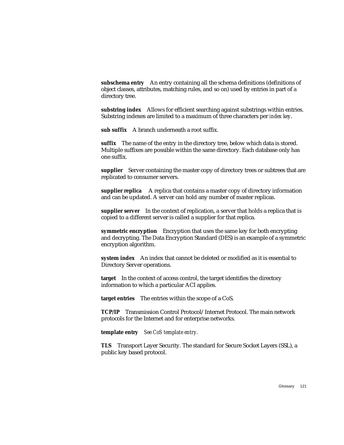**subschema entry** An entry containing all the schema definitions (definitions of object classes, attributes, matching rules, and so on) used by entries in part of a directory tree.

**substring index** Allows for efficient searching against substrings within entries. Substring indexes are limited to a maximum of three characters per *[index key](#page-112-2)*.

**sub suffix** A branch underneath a root suffix.

**suffix** The name of the entry in the directory tree, below which data is stored. Multiple suffixes are possible within the same directory. Each database only has one suffix.

<span id="page-120-0"></span>**supplier** Server containing the master copy of directory trees or subtrees that are replicated to consumer servers.

<span id="page-120-1"></span>**supplier replica** A replica that contains a master copy of directory information and can be updated. A server can hold any number of master replicas.

**supplier server** In the context of replication, a server that holds a replica that is copied to a different server is called a supplier for that replica.

**symmetric encryption** Encryption that uses the same key for both encrypting and decrypting. The Data Encryption Standard (DES) is an example of a symmetric encryption algorithm.

**system index** An index that cannot be deleted or modified as it is essential to Directory Server operations.

**target** In the context of access control, the target identifies the directory information to which a particular ACI applies.

**target entries** The entries within the scope of a CoS.

**TCP/IP** Transmission Control Protocol/Internet Protocol. The main network protocols for the Internet and for enterprise networks.

**template entry** *See [CoS template entry.](#page-110-6)*

<span id="page-120-2"></span>**TLS** Transport Layer Security. The standard for Secure Socket Layers (SSL), a public key based protocol.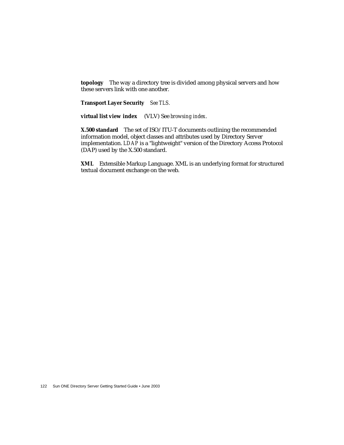**topology** The way a directory tree is divided among physical servers and how these servers link with one another.

**Transport Layer Security** *See [TLS](#page-120-2).*

**virtual list view index** (VLV) See *browsing index*.

**X.500 standard** The set of ISO/ITU-T documents outlining the recommended information model, object classes and attributes used by Directory Server implementation. *[LDAP](#page-113-0)* is a "lightweight" version of the Directory Access Protocol (DAP) used by the X.500 standard.

<span id="page-121-0"></span>**XML** Extensible Markup Language. XML is an underlying format for structured textual document exchange on the web.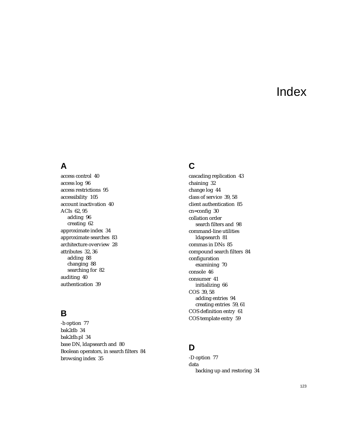# Index

### **A**

access control [40](#page-39-0) access log [96](#page-95-0) access restrictions [95](#page-94-0) accessibility [105](#page-104-0) account inactivation [40](#page-39-1) ACIs [62,](#page-61-0) [95](#page-94-1) adding [96](#page-95-1) creating [62](#page-61-1) approximate index [34](#page-33-0) approximate searches [83](#page-82-0) architecture overview [28](#page-27-0) attributes [32](#page-31-0), [36](#page-35-0) adding [88](#page-87-0) changing [88](#page-87-1) searching for [82](#page-81-0) auditing [40](#page-39-2) authentication [39](#page-38-0)

### **B**

-b option [77](#page-76-0) bak2db [34](#page-33-1) bak2db.pl [34](#page-33-2) base DN, ldapsearch and [80](#page-79-0) Boolean operators, in search filters [84](#page-83-0) browsing index [35](#page-34-0)

### **C**

cascading replication [43](#page-42-0) chaining [32](#page-31-1) change log [44](#page-43-0) class of service [39](#page-38-1), [58](#page-57-0) client authentication [85](#page-84-0) cn=config [30](#page-29-0) collation order search filters and [98](#page-97-0) command-line utilities ldapsearch [81](#page-80-0) commas in DNs [85](#page-84-1) compound search filters [84](#page-83-1) configuration examining [70](#page-69-0) console [46](#page-45-0) consumer [41](#page-40-0) initializing [66](#page-65-0) COS [39,](#page-38-1) [58](#page-57-0) adding entries [94](#page-93-0) creating entries [59,](#page-58-0) [61](#page-60-0) COS definition entry [61](#page-60-0) COS template entry [59](#page-58-0)

### **D**

-D option [77](#page-76-1) data backing up and restoring [34](#page-33-3)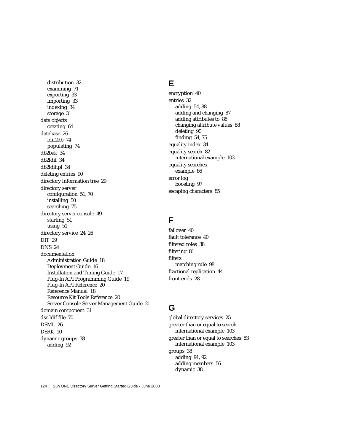distribution [32](#page-31-2) examining [71](#page-70-0) exporting [33](#page-32-0) importing [33](#page-32-1) indexing [34](#page-33-4) storage [31](#page-30-0) data objects creating [64](#page-63-0) database [26](#page-25-0) ldif2db [74](#page-73-0) populating [74](#page-73-0) db2bak [34](#page-33-5) db2ldif [34](#page-33-6) db2ldif.pl [34](#page-33-7) deleting entries [90](#page-89-0) directory information tree [29](#page-28-0) directory server configuration [51](#page-50-0), [70](#page-69-0) installing [50](#page-49-0) searching [75](#page-74-0) directory server console [49](#page-48-0) starting [51](#page-50-1) using [51](#page-50-2) directory service [24,](#page-23-0) [26](#page-25-1) DIT [29](#page-28-1) DNS [24](#page-23-1) documentation Administration Guide [18](#page-17-0) Deployment Guide [16](#page-15-0) Installation and Tuning Guide [17](#page-16-0) Plug-In API Programming Guide [19](#page-18-0) Plug-In API Reference [20](#page-19-0) Reference Manual [18](#page-17-1) Resource Kit Tools Reference [20](#page-19-1) Server Console Server Management Guide [21](#page-20-0) domain component [31](#page-30-1) dse.ldif file [70](#page-69-1) DSML [26](#page-25-2) DSRK [10](#page-9-0) dynamic groups [38](#page-37-0) adding [92](#page-91-0)

### **E**

encryption [40](#page-39-3) entries [32](#page-31-3) adding [54,](#page-53-0) [88](#page-87-2) adding and changing [87](#page-86-0) adding attributes to [88](#page-87-0) changing attribute values [88](#page-87-1) deleting [90](#page-89-0) finding [54,](#page-53-1) [75](#page-74-0) equality index [34](#page-33-8) equality search [82](#page-81-1) international example [103](#page-102-0) equality searches example [86](#page-85-0) error log boosting [97](#page-96-0) escaping characters [85](#page-84-2)

### **F**

failover [40](#page-39-4) fault tolerance [40](#page-39-5) filtered roles [38](#page-37-1) filtering [81](#page-80-1) filters matching rule [98](#page-97-1) fractional replication [44](#page-43-1) front-ends [28](#page-27-1)

## **G**

global directory services [25](#page-24-0) greater than or equal to search international example [103](#page-102-1) greater than or equal to searches [83](#page-82-1) international example [103](#page-102-2) groups [38](#page-37-0) adding [91,](#page-90-0) [92](#page-91-0) adding members [56](#page-55-0) dynamic [38](#page-37-0)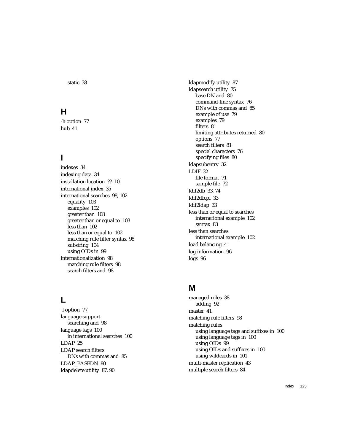static [38](#page-37-0)

## **H**

-h option [77](#page-76-2) hub [41](#page-40-1)

# **I**

indexes [34](#page-33-4) indexing data [34](#page-33-4) installation location ??[–10](#page-9-1) international index [35](#page-34-1) international searches [98](#page-97-2), [102](#page-101-0) equality [103](#page-102-0) examples [102](#page-101-1) greater than [103](#page-102-1) greater than or equal to [103](#page-102-2) less than [102](#page-101-2) less than or equal to [102](#page-101-3) matching rule filter syntax [98](#page-97-3) substring [104](#page-103-0) using OIDs in [99](#page-98-0) internationalization [98](#page-97-4) matching rule filters [98](#page-97-3) search filters and [98](#page-97-2)

### **L**

-l option [77](#page-76-3) language support searching and [98](#page-97-2) language tags [100](#page-99-0) in international searches [100](#page-99-1) LDAP [25](#page-24-1) LDAP search filters DNs with commas and [85](#page-84-1) LDAP\_BASEDN [80](#page-79-1) ldapdelete utility [87,](#page-86-1) [90](#page-89-0)

ldapmodify utility [87](#page-86-2) ldapsearch utility [75](#page-74-1) base DN and [80](#page-79-0) command-line syntax [76](#page-75-0) DNs with commas and [85](#page-84-1) example of use [79](#page-78-0) examples [79](#page-78-1) filters [81](#page-80-1) limiting attributes returned [80](#page-79-2) options [77](#page-76-4) search filters [81](#page-80-0) special characters [76](#page-75-1) specifying files [80](#page-79-2) ldapsubentry [32](#page-31-4) LDIF [32](#page-31-5) file format [71](#page-70-1) sample file [72](#page-71-0) ldif2db [33](#page-32-2), [74](#page-73-0) ldif2db.pl [33](#page-32-3) ldif2ldap [33](#page-32-4) less than or equal to searches international example [102](#page-101-3) syntax [83](#page-82-2) less than searches international example [102](#page-101-2) load balancing [41](#page-40-2) log information [96](#page-95-2) logs [96](#page-95-2)

#### **M**

managed roles [38](#page-37-1) adding [92](#page-91-1) master [41](#page-40-3) matching rule filters [98](#page-97-1) matching rules using language tags and suffixes in [100](#page-99-2) using language tags in [100](#page-99-1) using OIDs [99](#page-98-1) using OIDs and suffixes in [100](#page-99-3) using wildcards in [101](#page-100-0) multi-master replication [43](#page-42-1) multiple search filters [84](#page-83-1)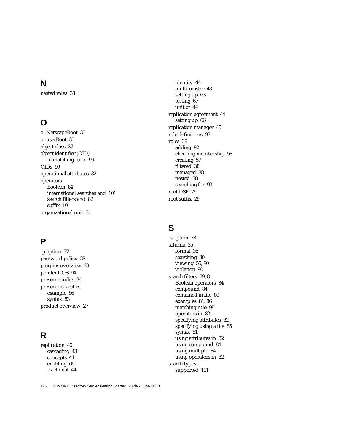### **N**

nested roles [38](#page-37-1)

## **O**

o=NetscapeRoot [30](#page-29-1) o=userRoot [30](#page-29-2) object class [37](#page-36-0) object identifier (OID) in matching rules [99](#page-98-0) OIDs [99](#page-98-2) operational attributes [32](#page-31-6) operators Boolean [84](#page-83-0) international searches and [101](#page-100-1) search filters and [82](#page-81-2) suffix [101](#page-100-2) organizational unit [31](#page-30-2)

## **P**

-p option [77](#page-76-5) password policy [39](#page-38-2) plug-ins overview [29](#page-28-2) pointer COS [94](#page-93-0) presence index [34](#page-33-9) presence searches example [86](#page-85-1) syntax [83](#page-82-3) product overview [27](#page-26-0)

## **R**

replication [40](#page-39-6) cascading [43](#page-42-0) concepts [41](#page-40-4) enabling [65](#page-64-0) fractional [44](#page-43-1)

identity [44](#page-43-2) multi-master [43](#page-42-1) setting up [63](#page-62-0) testing [67](#page-66-0) unit of [44](#page-43-3) replication agreement [44](#page-43-4) setting up [66](#page-65-1) replication manager [45](#page-44-0) role definitions [93](#page-92-0) roles [38](#page-37-1) adding [92](#page-91-1) checking membership [58](#page-57-1) creating [57](#page-56-0) filtered [38](#page-37-1) managed [38](#page-37-1) nested [38](#page-37-1) searching for [93](#page-92-0) root DSE [79](#page-78-2) root suffix [29](#page-28-3)

## **S**

-s option [78](#page-77-0) schema [35](#page-34-2) format [36](#page-35-1) searching [80](#page-79-3) viewing [55,](#page-54-0) [90](#page-89-1) violation [90](#page-89-2) search filters [79,](#page-78-3) [81](#page-80-0) Boolean operators [84](#page-83-0) compound [84](#page-83-2) contained in file [80](#page-79-2) examples [81](#page-80-2), [86](#page-85-2) matching rule [98](#page-97-3) operators in [82](#page-81-2) specifying attributes [82](#page-81-0) specifying using a file [85](#page-84-3) syntax [81](#page-80-3) using attributes in [82](#page-81-3) using compound [84](#page-83-1) using multiple [84](#page-83-1) using operators in [82](#page-81-4) search types supported [101](#page-100-3)